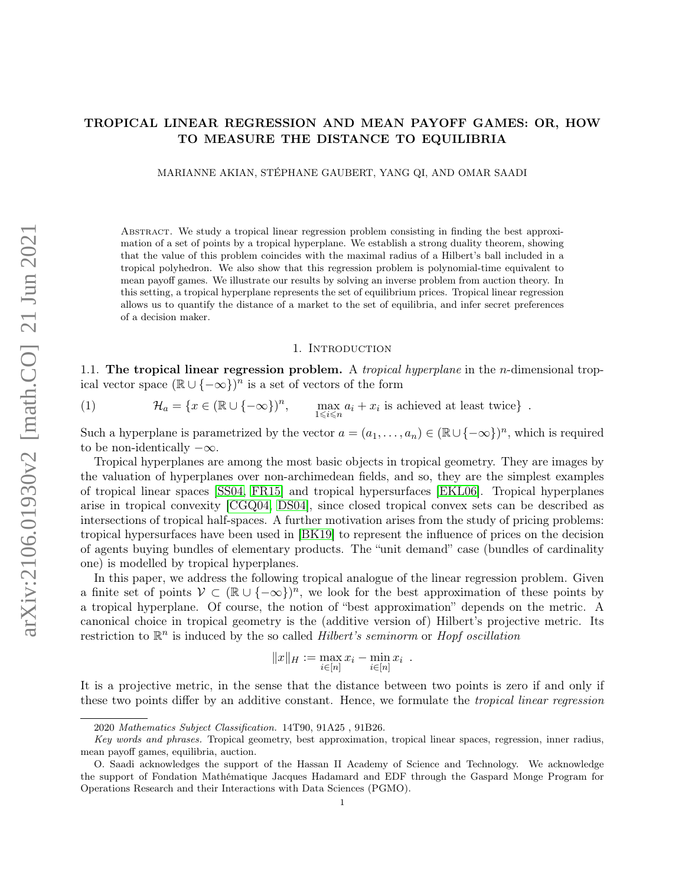# TROPICAL LINEAR REGRESSION AND MEAN PAYOFF GAMES: OR, HOW TO MEASURE THE DISTANCE TO EQUILIBRIA

MARIANNE AKIAN, STÉPHANE GAUBERT, YANG QI, AND OMAR SAADI

Abstract. We study a tropical linear regression problem consisting in finding the best approximation of a set of points by a tropical hyperplane. We establish a strong duality theorem, showing that the value of this problem coincides with the maximal radius of a Hilbert's ball included in a tropical polyhedron. We also show that this regression problem is polynomial-time equivalent to mean payoff games. We illustrate our results by solving an inverse problem from auction theory. In this setting, a tropical hyperplane represents the set of equilibrium prices. Tropical linear regression allows us to quantify the distance of a market to the set of equilibria, and infer secret preferences of a decision maker.

#### 1. Introduction

1.1. The tropical linear regression problem. A *tropical hyperplane* in the *n*-dimensional tropical vector space  $(\mathbb{R} \cup \{-\infty\})^n$  is a set of vectors of the form

<span id="page-0-0"></span>(1) 
$$
\mathcal{H}_a = \{x \in (\mathbb{R} \cup \{-\infty\})^n, \quad \max_{1 \leq i \leq n} a_i + x_i \text{ is achieved at least twice}\}.
$$

Such a hyperplane is parametrized by the vector  $a = (a_1, \ldots, a_n) \in (\mathbb{R} \cup \{-\infty\})^n$ , which is required to be non-identically  $-\infty$ .

Tropical hyperplanes are among the most basic objects in tropical geometry. They are images by the valuation of hyperplanes over non-archimedean fields, and so, they are the simplest examples of tropical linear spaces [\[SS04,](#page-39-0) [FR15\]](#page-38-0) and tropical hypersurfaces [\[EKL06\]](#page-38-1). Tropical hyperplanes arise in tropical convexity [\[CGQ04,](#page-38-2) [DS04\]](#page-38-3), since closed tropical convex sets can be described as intersections of tropical half-spaces. A further motivation arises from the study of pricing problems: tropical hypersurfaces have been used in [\[BK19\]](#page-38-4) to represent the influence of prices on the decision of agents buying bundles of elementary products. The "unit demand" case (bundles of cardinality one) is modelled by tropical hyperplanes.

In this paper, we address the following tropical analogue of the linear regression problem. Given a finite set of points  $V \subset (\mathbb{R} \cup \{-\infty\})^n$ , we look for the best approximation of these points by a tropical hyperplane. Of course, the notion of "best approximation" depends on the metric. A canonical choice in tropical geometry is the (additive version of) Hilbert's projective metric. Its restriction to  $\mathbb{R}^n$  is induced by the so called *Hilbert's seminorm* or *Hopf oscillation* 

$$
||x||_H := \max_{i \in [n]} x_i - \min_{i \in [n]} x_i .
$$

It is a projective metric, in the sense that the distance between two points is zero if and only if these two points differ by an additive constant. Hence, we formulate the tropical linear regression

<sup>2020</sup> Mathematics Subject Classification. 14T90, 91A25 , 91B26.

Key words and phrases. Tropical geometry, best approximation, tropical linear spaces, regression, inner radius, mean payoff games, equilibria, auction.

O. Saadi acknowledges the support of the Hassan II Academy of Science and Technology. We acknowledge the support of Fondation Mathématique Jacques Hadamard and EDF through the Gaspard Monge Program for Operations Research and their Interactions with Data Sciences (PGMO).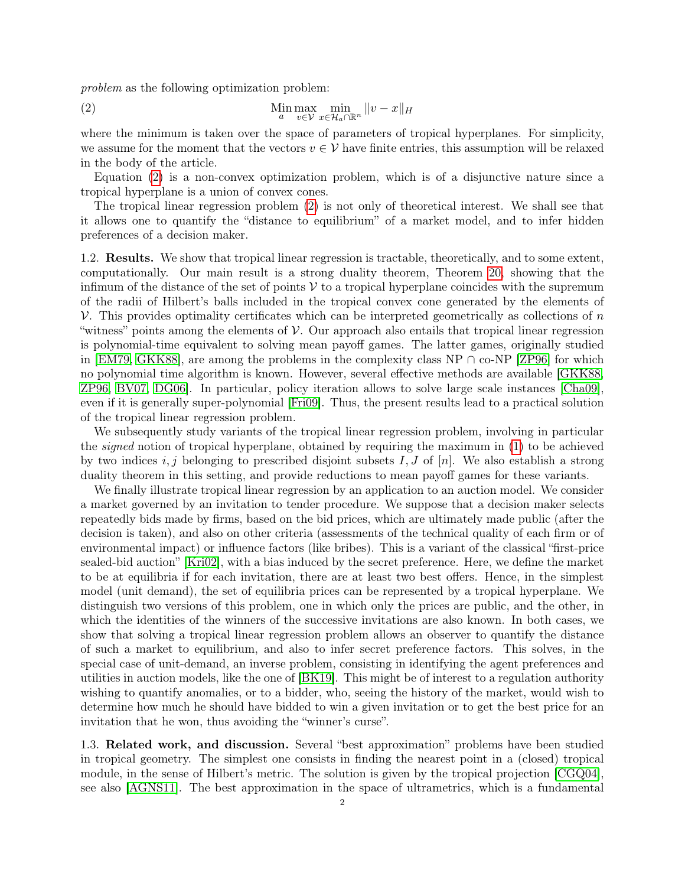problem as the following optimization problem:

<span id="page-1-0"></span>(2) 
$$
\lim_{a} \max_{v \in \mathcal{V}} \min_{x \in \mathcal{H}_a \cap \mathbb{R}^n} ||v - x||_H
$$

where the minimum is taken over the space of parameters of tropical hyperplanes. For simplicity, we assume for the moment that the vectors  $v \in V$  have finite entries, this assumption will be relaxed in the body of the article.

Equation [\(2\)](#page-1-0) is a non-convex optimization problem, which is of a disjunctive nature since a tropical hyperplane is a union of convex cones.

The tropical linear regression problem [\(2\)](#page-1-0) is not only of theoretical interest. We shall see that it allows one to quantify the "distance to equilibrium" of a market model, and to infer hidden preferences of a decision maker.

1.2. Results. We show that tropical linear regression is tractable, theoretically, and to some extent, computationally. Our main result is a strong duality theorem, Theorem [20,](#page-16-0) showing that the infimum of the distance of the set of points  $\mathcal V$  to a tropical hyperplane coincides with the supremum of the radii of Hilbert's balls included in the tropical convex cone generated by the elements of  $\mathcal V$ . This provides optimality certificates which can be interpreted geometrically as collections of n "witness" points among the elements of  $\mathcal V$ . Our approach also entails that tropical linear regression is polynomial-time equivalent to solving mean payoff games. The latter games, originally studied in  $|EM79, \text{GKK88}|\text{ are among the problems in the complexity class NP }\cap\text{co-NP}$  [\[ZP96\]](#page-40-0) for which no polynomial time algorithm is known. However, several effective methods are available [\[GKK88,](#page-39-1) [ZP96,](#page-40-0) [BV07,](#page-38-6) [DG06\]](#page-38-7). In particular, policy iteration allows to solve large scale instances [\[Cha09\]](#page-38-8), even if it is generally super-polynomial [\[Fri09\]](#page-38-9). Thus, the present results lead to a practical solution of the tropical linear regression problem.

We subsequently study variants of the tropical linear regression problem, involving in particular the signed notion of tropical hyperplane, obtained by requiring the maximum in [\(1\)](#page-0-0) to be achieved by two indices  $i, j$  belonging to prescribed disjoint subsets  $I, J$  of  $[n]$ . We also establish a strong duality theorem in this setting, and provide reductions to mean payoff games for these variants.

We finally illustrate tropical linear regression by an application to an auction model. We consider a market governed by an invitation to tender procedure. We suppose that a decision maker selects repeatedly bids made by firms, based on the bid prices, which are ultimately made public (after the decision is taken), and also on other criteria (assessments of the technical quality of each firm or of environmental impact) or influence factors (like bribes). This is a variant of the classical "first-price sealed-bid auction" [\[Kri02\]](#page-39-2), with a bias induced by the secret preference. Here, we define the market to be at equilibria if for each invitation, there are at least two best offers. Hence, in the simplest model (unit demand), the set of equilibria prices can be represented by a tropical hyperplane. We distinguish two versions of this problem, one in which only the prices are public, and the other, in which the identities of the winners of the successive invitations are also known. In both cases, we show that solving a tropical linear regression problem allows an observer to quantify the distance of such a market to equilibrium, and also to infer secret preference factors. This solves, in the special case of unit-demand, an inverse problem, consisting in identifying the agent preferences and utilities in auction models, like the one of [\[BK19\]](#page-38-4). This might be of interest to a regulation authority wishing to quantify anomalies, or to a bidder, who, seeing the history of the market, would wish to determine how much he should have bidded to win a given invitation or to get the best price for an invitation that he won, thus avoiding the "winner's curse".

1.3. Related work, and discussion. Several "best approximation" problems have been studied in tropical geometry. The simplest one consists in finding the nearest point in a (closed) tropical module, in the sense of Hilbert's metric. The solution is given by the tropical projection [\[CGQ04\]](#page-38-2), see also [\[AGNS11\]](#page-38-10). The best approximation in the space of ultrametrics, which is a fundamental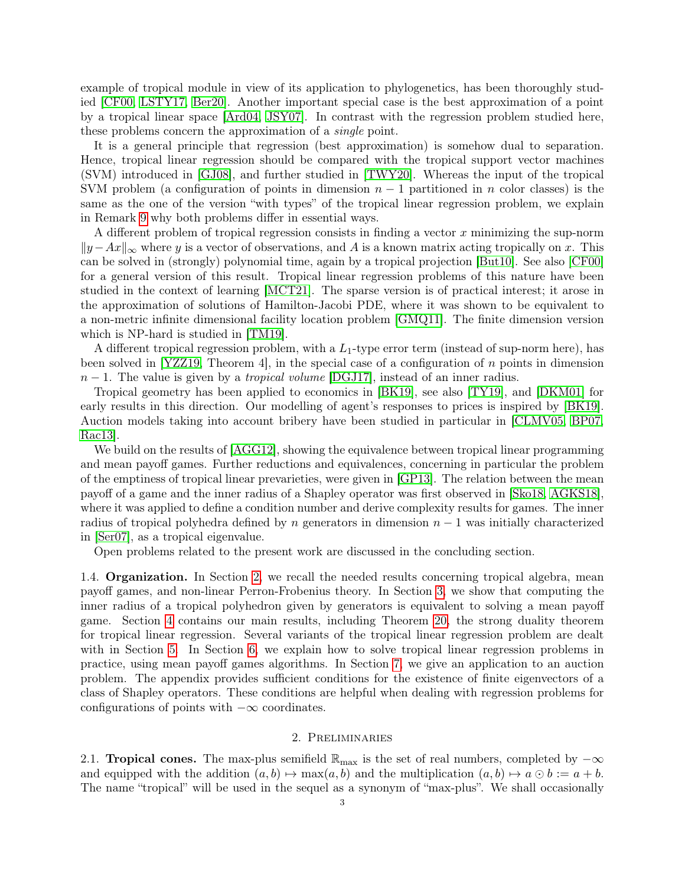example of tropical module in view of its application to phylogenetics, has been thoroughly studied [\[CF00,](#page-38-11) [LSTY17,](#page-39-3) [Ber20\]](#page-38-12). Another important special case is the best approximation of a point by a tropical linear space [\[Ard04,](#page-38-13) [JSY07\]](#page-39-4). In contrast with the regression problem studied here, these problems concern the approximation of a single point.

It is a general principle that regression (best approximation) is somehow dual to separation. Hence, tropical linear regression should be compared with the tropical support vector machines (SVM) introduced in [\[GJ08\]](#page-39-5), and further studied in [\[TWY20\]](#page-39-6). Whereas the input of the tropical SVM problem (a configuration of points in dimension  $n-1$  partitioned in n color classes) is the same as the one of the version "with types" of the tropical linear regression problem, we explain in Remark [9](#page-25-0) why both problems differ in essential ways.

A different problem of tropical regression consists in finding a vector x minimizing the sup-norm  $||y-Ax||_{\infty}$  where y is a vector of observations, and A is a known matrix acting tropically on x. This can be solved in (strongly) polynomial time, again by a tropical projection [\[But10\]](#page-38-14). See also [\[CF00\]](#page-38-11) for a general version of this result. Tropical linear regression problems of this nature have been studied in the context of learning [\[MCT21\]](#page-39-7). The sparse version is of practical interest; it arose in the approximation of solutions of Hamilton-Jacobi PDE, where it was shown to be equivalent to a non-metric infinite dimensional facility location problem [\[GMQ11\]](#page-39-8). The finite dimension version which is NP-hard is studied in [\[TM19\]](#page-39-9).

A different tropical regression problem, with a  $L_1$ -type error term (instead of sup-norm here), has been solved in [\[YZZ19,](#page-39-10) Theorem 4], in the special case of a configuration of  $n$  points in dimension  $n-1$ . The value is given by a *tropical volume* [\[DGJ17\]](#page-38-15), instead of an inner radius.

Tropical geometry has been applied to economics in [\[BK19\]](#page-38-4), see also [\[TY19\]](#page-39-11), and [\[DKM01\]](#page-38-16) for early results in this direction. Our modelling of agent's responses to prices is inspired by [\[BK19\]](#page-38-4). Auction models taking into account bribery have been studied in particular in [\[CLMV05,](#page-38-17) [BP07,](#page-38-18) [Rac13\]](#page-39-12).

We build on the results of  $[AGG12]$ , showing the equivalence between tropical linear programming and mean payoff games. Further reductions and equivalences, concerning in particular the problem of the emptiness of tropical linear prevarieties, were given in [\[GP13\]](#page-39-13). The relation between the mean payoff of a game and the inner radius of a Shapley operator was first observed in [\[Sko18,](#page-39-14) [AGKS18\]](#page-38-19), where it was applied to define a condition number and derive complexity results for games. The inner radius of tropical polyhedra defined by n generators in dimension  $n-1$  was initially characterized in [\[Ser07\]](#page-39-15), as a tropical eigenvalue.

Open problems related to the present work are discussed in the concluding section.

1.4. Organization. In Section [2,](#page-2-0) we recall the needed results concerning tropical algebra, mean payoff games, and non-linear Perron-Frobenius theory. In Section [3,](#page-8-0) we show that computing the inner radius of a tropical polyhedron given by generators is equivalent to solving a mean payoff game. Section [4](#page-14-0) contains our main results, including Theorem [20,](#page-16-0) the strong duality theorem for tropical linear regression. Several variants of the tropical linear regression problem are dealt with in Section [5.](#page-20-0) In Section [6,](#page-27-0) we explain how to solve tropical linear regression problems in practice, using mean payoff games algorithms. In Section [7,](#page-30-0) we give an application to an auction problem. The appendix provides sufficient conditions for the existence of finite eigenvectors of a class of Shapley operators. These conditions are helpful when dealing with regression problems for configurations of points with  $-\infty$  coordinates.

# 2. Preliminaries

<span id="page-2-0"></span>2.1. **Tropical cones.** The max-plus semifield  $\mathbb{R}_{\text{max}}$  is the set of real numbers, completed by  $-\infty$ and equipped with the addition  $(a, b) \mapsto \max(a, b)$  and the multiplication  $(a, b) \mapsto a \odot b := a + b$ . The name "tropical" will be used in the sequel as a synonym of "max-plus". We shall occasionally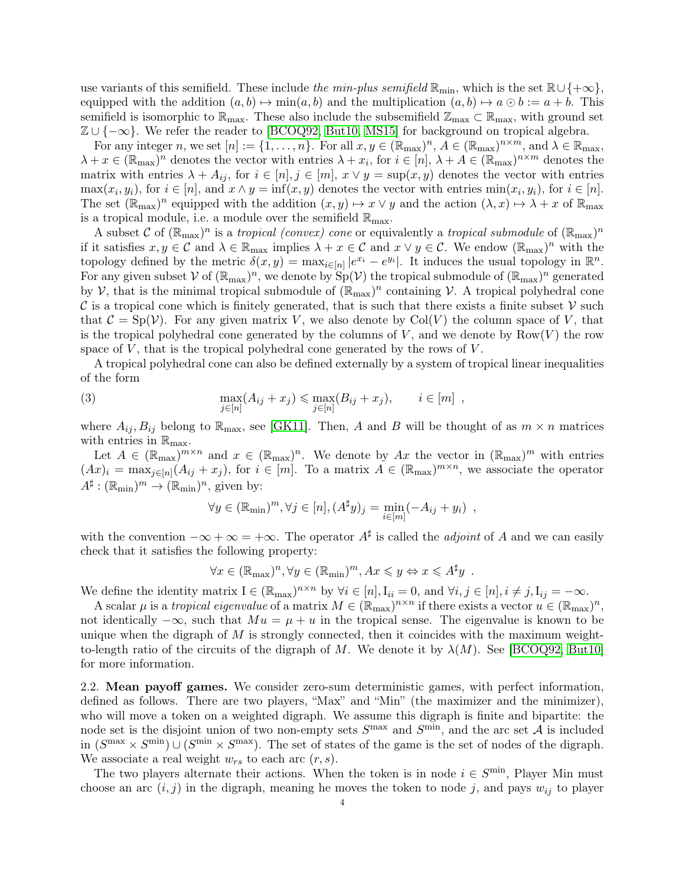use variants of this semifield. These include the min-plus semifield  $\mathbb{R}_{min}$ , which is the set  $\mathbb{R}\cup\{+\infty\}$ , equipped with the addition  $(a, b) \mapsto \min(a, b)$  and the multiplication  $(a, b) \mapsto a \odot b := a + b$ . This semifield is isomorphic to  $\mathbb{R}_{\text{max}}$ . These also include the subsemifield  $\mathbb{Z}_{\text{max}} \subset \mathbb{R}_{\text{max}}$ , with ground set  $\mathbb{Z} \cup \{-\infty\}$ . We refer the reader to [\[BCOQ92,](#page-38-20) [But10,](#page-38-14) [MS15\]](#page-39-16) for background on tropical algebra.

For any integer n, we set  $[n] := \{1, \ldots, n\}$ . For all  $x, y \in (\mathbb{R}_{max})^n$ ,  $A \in (\mathbb{R}_{max})^{n \times m}$ , and  $\lambda \in \mathbb{R}_{max}$ ,  $\lambda + x \in (\mathbb{R}_{\max})^n$  denotes the vector with entries  $\lambda + x_i$ , for  $i \in [n], \lambda + A \in (\mathbb{R}_{\max})^{n \times m}$  denotes the matrix with entries  $\lambda + A_{ij}$ , for  $i \in [n], j \in [m], x \vee y = \sup(x, y)$  denotes the vector with entries  $\max(x_i, y_i)$ , for  $i \in [n]$ , and  $x \wedge y = \inf(x, y)$  denotes the vector with entries  $\min(x_i, y_i)$ , for  $i \in [n]$ . The set  $(\mathbb{R}_{\max})^n$  equipped with the addition  $(x, y) \mapsto x \vee y$  and the action  $(\lambda, x) \mapsto \lambda + x$  of  $\mathbb{R}_{\max}$ is a tropical module, i.e. a module over the semifield  $\mathbb{R}_{\text{max}}$ .

A subset C of  $(\mathbb{R}_{max})^n$  is a *tropical (convex) cone* or equivalently a *tropical submodule* of  $(\mathbb{R}_{max})^n$ if it satisfies  $x, y \in \mathcal{C}$  and  $\lambda \in \mathbb{R}_{\max}$  implies  $\lambda + x \in \mathcal{C}$  and  $x \vee y \in \mathcal{C}$ . We endow  $(\mathbb{R}_{\max})^n$  with the topology defined by the metric  $\delta(x, y) = \max_{i \in [n]} |e^{x_i} - e^{y_i}|$ . It induces the usual topology in  $\mathbb{R}^n$ . For any given subset V of  $(\mathbb{R}_{max})^n$ , we denote by  $Sp(\mathcal{V})$  the tropical submodule of  $(\mathbb{R}_{max})^n$  generated by  $\mathcal V$ , that is the minimal tropical submodule of  $(\mathbb{R}_{\max})^n$  containing  $\mathcal V$ . A tropical polyhedral cone  $\mathcal C$  is a tropical cone which is finitely generated, that is such that there exists a finite subset  $\mathcal V$  such that  $C = Sp(V)$ . For any given matrix V, we also denote by  $Col(V)$  the column space of V, that is the tropical polyhedral cone generated by the columns of  $V$ , and we denote by  $Row(V)$  the row space of  $V$ , that is the tropical polyhedral cone generated by the rows of  $V$ .

A tropical polyhedral cone can also be defined externally by a system of tropical linear inequalities of the form

(3) 
$$
\max_{j \in [n]} (A_{ij} + x_j) \le \max_{j \in [n]} (B_{ij} + x_j), \qquad i \in [m],
$$

where  $A_{ij}, B_{ij}$  belong to  $\mathbb{R}_{\text{max}}$ , see [\[GK11\]](#page-39-17). Then, A and B will be thought of as  $m \times n$  matrices with entries in  $\mathbb{R}_{\text{max}}$ .

Let  $A \in (\mathbb{R}_{\max})^{m \times n}$  and  $x \in (\mathbb{R}_{\max})^n$ . We denote by  $Ax$  the vector in  $(\mathbb{R}_{\max})^m$  with entries  $(Ax)_i = \max_{j \in [n]} (A_{ij} + x_j)$ , for  $i \in [m]$ . To a matrix  $A \in (\mathbb{R}_{\text{max}})^{m \times n}$ , we associate the operator  $A^{\sharp}: (\mathbb{R}_{\min})^m \to (\mathbb{R}_{\min})^n$ , given by:

$$
\forall y \in (\mathbb{R}_{\min})^m, \forall j \in [n], (A^{\sharp}y)_j = \min_{i \in [m]} (-A_{ij} + y_i) ,
$$

with the convention  $-\infty + \infty = +\infty$ . The operator  $A^{\sharp}$  is called the *adjoint* of A and we can easily check that it satisfies the following property:

$$
\forall x \in (\mathbb{R}_{\max})^n, \forall y \in (\mathbb{R}_{\min})^m, Ax \leq y \Leftrightarrow x \leq A^{\sharp}y .
$$

We define the identity matrix  $I \in (\mathbb{R}_{max})^{n \times n}$  by  $\forall i \in [n], I_{ii} = 0$ , and  $\forall i, j \in [n], i \neq j, I_{ij} = -\infty$ .

A scalar  $\mu$  is a *tropical eigenvalue* of a matrix  $M \in (\mathbb{R}_{max})^{n \times n}$  if there exists a vector  $u \in (\mathbb{R}_{max})^n$ , not identically  $-\infty$ , such that  $Mu = \mu + u$  in the tropical sense. The eigenvalue is known to be unique when the digraph of  $M$  is strongly connected, then it coincides with the maximum weightto-length ratio of the circuits of the digraph of M. We denote it by  $\lambda(M)$ . See [\[BCOQ92,](#page-38-20) [But10\]](#page-38-14) for more information.

<span id="page-3-0"></span>2.2. Mean payoff games. We consider zero-sum deterministic games, with perfect information, defined as follows. There are two players, "Max" and "Min" (the maximizer and the minimizer), who will move a token on a weighted digraph. We assume this digraph is finite and bipartite: the node set is the disjoint union of two non-empty sets  $S<sup>max</sup>$  and  $S<sup>min</sup>$ , and the arc set A is included in  $(S^{\max} \times S^{\min}) \cup (S^{\min} \times S^{\max})$ . The set of states of the game is the set of nodes of the digraph. We associate a real weight  $w_{rs}$  to each arc  $(r, s)$ .

The two players alternate their actions. When the token is in node  $i \in S^{\text{min}}$ , Player Min must choose an arc  $(i, j)$  in the digraph, meaning he moves the token to node j, and pays  $w_{ij}$  to player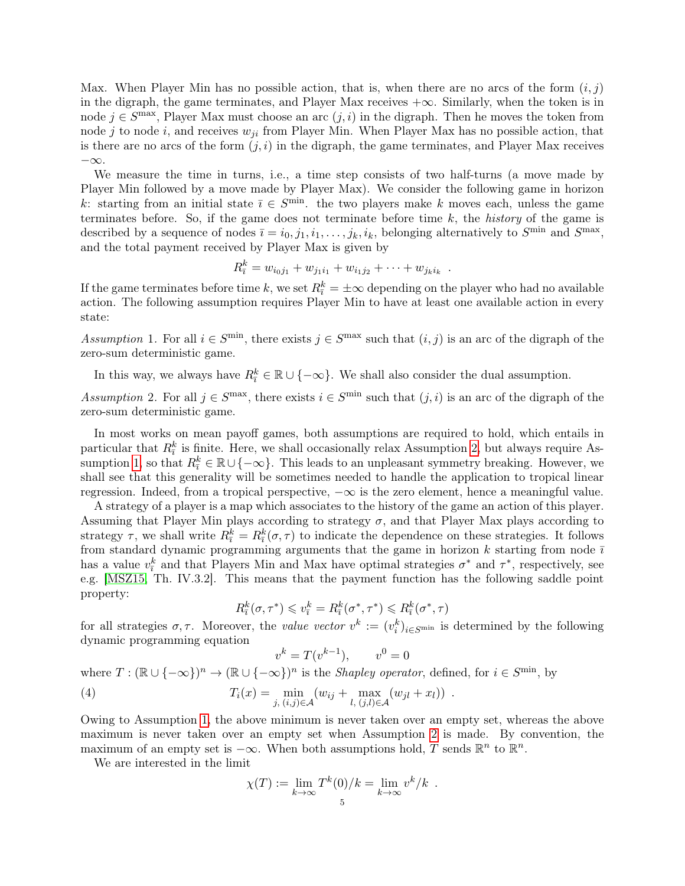Max. When Player Min has no possible action, that is, when there are no arcs of the form  $(i, j)$ in the digraph, the game terminates, and Player Max receives  $+\infty$ . Similarly, when the token is in node  $j \in S^{\text{max}}$ , Player Max must choose an arc  $(j, i)$  in the digraph. Then he moves the token from node j to node i, and receives  $w_{ji}$  from Player Min. When Player Max has no possible action, that is there are no arcs of the form  $(j, i)$  in the digraph, the game terminates, and Player Max receives −∞.

We measure the time in turns, i.e., a time step consists of two half-turns (a move made by Player Min followed by a move made by Player Max). We consider the following game in horizon k: starting from an initial state  $\overline{i} \in S^{\text{min}}$ . the two players make k moves each, unless the game terminates before. So, if the game does not terminate before time  $k$ , the *history* of the game is described by a sequence of nodes  $\overline{i} = i_0, j_1, i_1, \ldots, j_k, i_k$ , belonging alternatively to  $S^{\min}$  and  $S^{\max}$ , and the total payment received by Player Max is given by

$$
R_{\bar{i}}^k = w_{i_0j_1} + w_{j_1i_1} + w_{i_1j_2} + \cdots + w_{j_ki_k}.
$$

If the game terminates before time k, we set  $R_{\bar{i}}^k = \pm \infty$  depending on the player who had no available action. The following assumption requires Player Min to have at least one available action in every state:

<span id="page-4-1"></span>Assumption 1. For all  $i \in S^{\text{min}}$ , there exists  $j \in S^{\text{max}}$  such that  $(i, j)$  is an arc of the digraph of the zero-sum deterministic game.

In this way, we always have  $R_{\bar{i}}^k \in \mathbb{R} \cup \{-\infty\}$ . We shall also consider the dual assumption.

<span id="page-4-0"></span>Assumption 2. For all  $j \in S^{\text{max}}$ , there exists  $i \in S^{\text{min}}$  such that  $(j, i)$  is an arc of the digraph of the zero-sum deterministic game.

In most works on mean payoff games, both assumptions are required to hold, which entails in particular that  $R_i^k$  is finite. Here, we shall occasionally relax Assumption [2,](#page-4-0) but always require As-sumption [1,](#page-4-1) so that  $R_{\bar{i}}^k \in \mathbb{R} \cup \{-\infty\}$ . This leads to an unpleasant symmetry breaking. However, we shall see that this generality will be sometimes needed to handle the application to tropical linear regression. Indeed, from a tropical perspective,  $-\infty$  is the zero element, hence a meaningful value.

A strategy of a player is a map which associates to the history of the game an action of this player. Assuming that Player Min plays according to strategy  $\sigma$ , and that Player Max plays according to strategy  $\tau$ , we shall write  $R_{\bar{i}}^k = R_{\bar{i}}^k(\sigma, \tau)$  to indicate the dependence on these strategies. It follows from standard dynamic programming arguments that the game in horizon  $k$  starting from node  $\overline{i}$ has a value  $v_i^k$  and that Players Min and Max have optimal strategies  $\sigma^*$  and  $\tau^*$ , respectively, see e.g. [\[MSZ15,](#page-39-18) Th. IV.3.2]. This means that the payment function has the following saddle point property:

$$
R_{\bar{i}}^k(\sigma, \tau^*) \leqslant v_{\bar{i}}^k = R_{\bar{i}}^k(\sigma^*, \tau^*) \leqslant R_{\bar{i}}^k(\sigma^*, \tau)
$$

for all strategies  $\sigma, \tau$ . Moreover, the value vector  $v^k := (v_i^k)_{i \in S^{\text{min}}}$  is determined by the following dynamic programming equation

$$
k = T(v^{k-1}), \qquad v^0 = 0
$$

<span id="page-4-2"></span>where  $T : (\mathbb{R} \cup \{-\infty\})^n \to (\mathbb{R} \cup \{-\infty\})^n$  is the *Shapley operator*, defined, for  $i \in S^{\text{min}}$ , by (4)  $T_i(x) = \min_{j, (i,j) \in \mathcal{A}} (w_{ij} + \max_{l, (j,l) \in \mathcal{A}} (w_{jl} + x_l))$ .

 $\overline{v}$ 

Owing to Assumption [1,](#page-4-1) the above minimum is never taken over an empty set, whereas the above maximum is never taken over an empty set when Assumption [2](#page-4-0) is made. By convention, the maximum of an empty set is  $-\infty$ . When both assumptions hold, T sends  $\mathbb{R}^n$  to  $\mathbb{R}^n$ .

We are interested in the limit

$$
\chi(T) := \lim_{k \to \infty} T^k(0)/k = \lim_{k \to \infty} v^k/k .
$$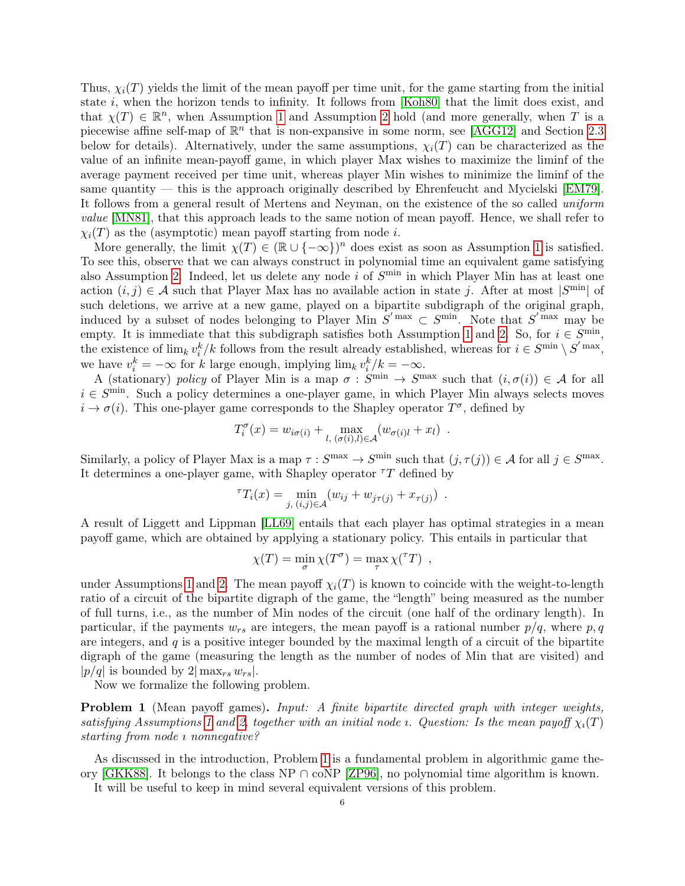Thus,  $\chi_i(T)$  yields the limit of the mean payoff per time unit, for the game starting from the initial state i, when the horizon tends to infinity. It follows from [\[Koh80\]](#page-39-19) that the limit does exist, and that  $\chi(T) \in \mathbb{R}^n$ , when Assumption [1](#page-4-1) and Assumption [2](#page-4-0) hold (and more generally, when T is a piecewise affine self-map of  $\mathbb{R}^n$  that is non-expansive in some norm, see [\[AGG12\]](#page-37-0) and Section [2.3](#page-6-0) below for details). Alternatively, under the same assumptions,  $\chi_i(T)$  can be characterized as the value of an infinite mean-payoff game, in which player Max wishes to maximize the liminf of the average payment received per time unit, whereas player Min wishes to minimize the liminf of the same quantity — this is the approach originally described by Ehrenfeucht and Mycielski [\[EM79\]](#page-38-5). It follows from a general result of Mertens and Neyman, on the existence of the so called uniform value [\[MN81\]](#page-39-20), that this approach leads to the same notion of mean payoff. Hence, we shall refer to  $\chi_i(T)$  as the (asymptotic) mean payoff starting from node *i*.

More generally, the limit  $\chi(T) \in (\mathbb{R} \cup \{-\infty\})^n$  does exist as soon as Assumption [1](#page-4-1) is satisfied. To see this, observe that we can always construct in polynomial time an equivalent game satisfying also Assumption [2.](#page-4-0) Indeed, let us delete any node i of  $S<sup>min</sup>$  in which Player Min has at least one action  $(i, j) \in \mathcal{A}$  such that Player Max has no available action in state j. After at most  $|S^{\min}|$  of such deletions, we arrive at a new game, played on a bipartite subdigraph of the original graph, induced by a subset of nodes belonging to Player Min  $S'$ <sup>max</sup>  $\subset S^{\min}$ . Note that  $S'$ <sup>max</sup> may be empty. It is immediate that this subdigraph satisfies both Assumption [1](#page-4-1) and [2.](#page-4-0) So, for  $i \in S^{\text{min}}$ , the existence of  $\lim_k v_i^k/k$  follows from the result already established, whereas for  $i \in S^{\min} \setminus S'^{\max}$ , we have  $v_i^k = -\infty$  for k large enough, implying  $\lim_k v_i^k / k = -\infty$ .

A (stationary) policy of Player Min is a map  $\sigma : S^{\text{min}} \to S^{\text{max}}$  such that  $(i, \sigma(i)) \in \mathcal{A}$  for all  $i \in S^{\text{min}}$ . Such a policy determines a one-player game, in which Player Min always selects moves  $i \to \sigma(i)$ . This one-player game corresponds to the Shapley operator  $T^{\sigma}$ , defined by

$$
T_i^{\sigma}(x) = w_{i\sigma(i)} + \max_{l, (\sigma(i), l) \in \mathcal{A}} (w_{\sigma(i)l} + x_l) .
$$

Similarly, a policy of Player Max is a map  $\tau : S^{\max} \to S^{\min}$  such that  $(j, \tau(j)) \in \mathcal{A}$  for all  $j \in S^{\max}$ . It determines a one-player game, with Shapley operator  $T$  defined by

$$
{}^{\tau}T_i(x) = \min_{j, (i,j)\in \mathcal{A}} (w_{ij} + w_{j\tau(j)} + x_{\tau(j)})
$$
.

A result of Liggett and Lippman [\[LL69\]](#page-39-21) entails that each player has optimal strategies in a mean payoff game, which are obtained by applying a stationary policy. This entails in particular that

$$
\chi(T) = \min_{\sigma} \chi(T^{\sigma}) = \max_{\tau} \chi({}^{\tau}T) ,
$$

under Assumptions [1](#page-4-1) and [2.](#page-4-0) The mean payoff  $\chi_i(T)$  is known to coincide with the weight-to-length ratio of a circuit of the bipartite digraph of the game, the "length" being measured as the number of full turns, i.e., as the number of Min nodes of the circuit (one half of the ordinary length). In particular, if the payments  $w_{rs}$  are integers, the mean payoff is a rational number  $p/q$ , where p, q are integers, and  $q$  is a positive integer bounded by the maximal length of a circuit of the bipartite digraph of the game (measuring the length as the number of nodes of Min that are visited) and  $|p/q|$  is bounded by  $2|\max_{rs} w_{rs}|$ .

Now we formalize the following problem.

<span id="page-5-0"></span>Problem 1 (Mean payoff games). Input: A finite bipartite directed graph with integer weights, satisfying Assumptions [1](#page-4-1) and [2,](#page-4-0) together with an initial node *i*. Question: Is the mean payoff  $\chi_i(T)$ starting from node *i* nonnegative?

As discussed in the introduction, Problem [1](#page-5-0) is a fundamental problem in algorithmic game theory [\[GKK88\]](#page-39-1). It belongs to the class NP ∩ coNP [\[ZP96\]](#page-40-0), no polynomial time algorithm is known. It will be useful to keep in mind several equivalent versions of this problem.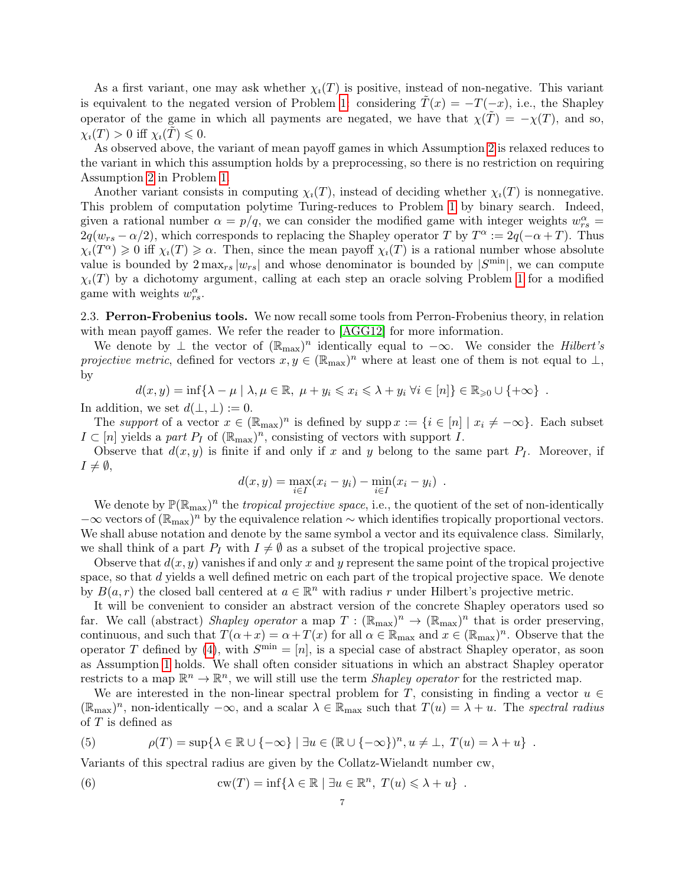As a first variant, one may ask whether  $\chi_i(T)$  is positive, instead of non-negative. This variant is equivalent to the negated version of Problem [1:](#page-5-0) considering  $\tilde{T}(x) = -T(-x)$ , i.e., the Shapley operator of the game in which all payments are negated, we have that  $\chi(\tilde{T}) = -\chi(T)$ , and so,  $\chi_i(T) > 0$  iff  $\chi_i(T) \leq 0$ .

As observed above, the variant of mean payoff games in which Assumption [2](#page-4-0) is relaxed reduces to the variant in which this assumption holds by a preprocessing, so there is no restriction on requiring Assumption [2](#page-4-0) in Problem [1.](#page-5-0)

Another variant consists in computing  $\chi_i(T)$ , instead of deciding whether  $\chi_i(T)$  is nonnegative. This problem of computation polytime Turing-reduces to Problem [1](#page-5-0) by binary search. Indeed, given a rational number  $\alpha = p/q$ , we can consider the modified game with integer weights  $w_{rs}^{\alpha} =$  $2q(w_{rs} - \alpha/2)$ , which corresponds to replacing the Shapley operator T by  $T^{\alpha} := 2q(-\alpha + T)$ . Thus  $\chi_i(T^{\alpha}) \geq 0$  iff  $\chi_i(T) \geq \alpha$ . Then, since the mean payoff  $\chi_i(T)$  is a rational number whose absolute value is bounded by  $2 \max_{rs} |w_{rs}|$  and whose denominator is bounded by  $|S^{\min}|$ , we can compute  $\chi_i(T)$  by a dichotomy argument, calling at each step an oracle solving Problem [1](#page-5-0) for a modified game with weights  $w_{rs}^{\alpha}$ .

<span id="page-6-0"></span>2.3. Perron-Frobenius tools. We now recall some tools from Perron-Frobenius theory, in relation with mean payoff games. We refer the reader to [\[AGG12\]](#page-37-0) for more information.

We denote by  $\perp$  the vector of  $(\mathbb{R}_{max})^n$  identically equal to  $-\infty$ . We consider the *Hilbert's* projective metric, defined for vectors  $x, y \in (\mathbb{R}_{max})^n$  where at least one of them is not equal to  $\perp$ , by

$$
d(x,y) = \inf \{ \lambda - \mu \mid \lambda, \mu \in \mathbb{R}, \mu + y_i \leq x_i \leq \lambda + y_i \ \forall i \in [n] \} \in \mathbb{R}_{\geq 0} \cup \{ +\infty \} .
$$

In addition, we set  $d(\perp,\perp):=0$ .

The support of a vector  $x \in (\mathbb{R}_{max})^n$  is defined by supp  $x := \{i \in [n] \mid x_i \neq -\infty\}$ . Each subset  $I \subset [n]$  yields a part  $P_I$  of  $(\mathbb{R}_{max})^n$ , consisting of vectors with support  $I$ .

Observe that  $d(x, y)$  is finite if and only if x and y belong to the same part  $P<sub>I</sub>$ . Moreover, if  $I \neq \emptyset$ ,

$$
d(x, y) = \max_{i \in I} (x_i - y_i) - \min_{i \in I} (x_i - y_i) .
$$

We denote by  $\mathbb{P}(\mathbb{R}_{max})^n$  the *tropical projective space*, i.e., the quotient of the set of non-identically  $-\infty$  vectors of  $(\mathbb{R}_{max})^n$  by the equivalence relation ~ which identifies tropically proportional vectors. We shall abuse notation and denote by the same symbol a vector and its equivalence class. Similarly, we shall think of a part  $P_I$  with  $I \neq \emptyset$  as a subset of the tropical projective space.

Observe that  $d(x, y)$  vanishes if and only x and y represent the same point of the tropical projective space, so that d yields a well defined metric on each part of the tropical projective space. We denote by  $B(a,r)$  the closed ball centered at  $a \in \mathbb{R}^n$  with radius r under Hilbert's projective metric.

It will be convenient to consider an abstract version of the concrete Shapley operators used so far. We call (abstract) Shapley operator a map  $T : (\mathbb{R}_{max})^n \to (\mathbb{R}_{max})^n$  that is order preserving, continuous, and such that  $T(\alpha + x) = \alpha + T(x)$  for all  $\alpha \in \mathbb{R}_{\text{max}}$  and  $x \in (\mathbb{R}_{\text{max}})^n$ . Observe that the operator T defined by [\(4\)](#page-4-2), with  $S^{\min} = [n]$ , is a special case of abstract Shapley operator, as soon as Assumption [1](#page-4-1) holds. We shall often consider situations in which an abstract Shapley operator restricts to a map  $\mathbb{R}^n \to \mathbb{R}^n$ , we will still use the term *Shapley operator* for the restricted map.

We are interested in the non-linear spectral problem for T, consisting in finding a vector  $u \in$  $(\mathbb{R}_{\max})^n$ , non-identically  $-\infty$ , and a scalar  $\lambda \in \mathbb{R}_{\max}$  such that  $T(u) = \lambda + u$ . The spectral radius of T is defined as

<span id="page-6-1"></span>(5) 
$$
\rho(T) = \sup \{ \lambda \in \mathbb{R} \cup \{ -\infty \} \mid \exists u \in (\mathbb{R} \cup \{ -\infty \})^n, u \neq \bot, T(u) = \lambda + u \} .
$$

Variants of this spectral radius are given by the Collatz-Wielandt number cw,

<span id="page-6-2"></span>(6) 
$$
\operatorname{cw}(T) = \inf \{ \lambda \in \mathbb{R} \mid \exists u \in \mathbb{R}^n, T(u) \leq \lambda + u \} .
$$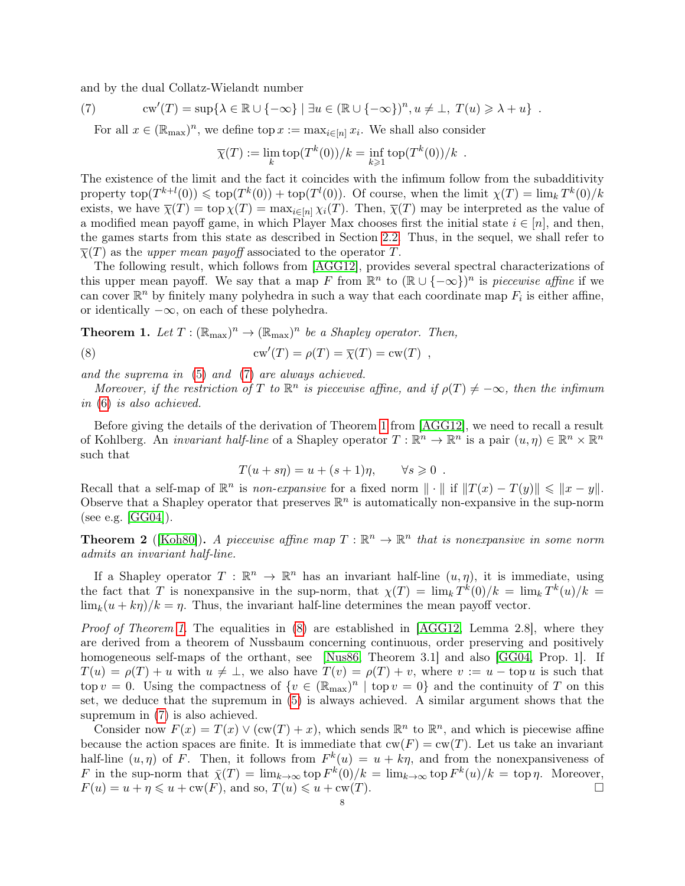and by the dual Collatz-Wielandt number

<span id="page-7-0"></span>(7) 
$$
\operatorname{cw}'(T) = \sup \{ \lambda \in \mathbb{R} \cup \{ -\infty \} \mid \exists u \in (\mathbb{R} \cup \{ -\infty \})^n, u \neq \bot, T(u) \geq \lambda + u \}.
$$

For all  $x \in (\mathbb{R}_{max})^n$ , we define top  $x := \max_{i \in [n]} x_i$ . We shall also consider

$$
\overline{\chi}(T) := \lim_k \text{top}(T^k(0))/k = \inf_{k \geq 1} \text{top}(T^k(0))/k .
$$

The existence of the limit and the fact it coincides with the infimum follow from the subadditivity property  $top(T^{k+l}(0)) \leqslant top(T^k(0)) + top(T^l(0)).$  Of course, when the limit  $\chi(T) = \lim_k T^k(0)/k$ exists, we have  $\overline{\chi}(T) = \text{top } \chi(T) = \max_{i \in [n]} \chi_i(T)$ . Then,  $\overline{\chi}(T)$  may be interpreted as the value of a modified mean payoff game, in which Player Max chooses first the initial state  $i \in [n]$ , and then, the games starts from this state as described in Section [2.2.](#page-3-0) Thus, in the sequel, we shall refer to  $\overline{\chi}(T)$  as the *upper mean payoff* associated to the operator T.

The following result, which follows from [\[AGG12\]](#page-37-0), provides several spectral characterizations of this upper mean payoff. We say that a map F from  $\mathbb{R}^n$  to  $(\mathbb{R} \cup \{-\infty\})^n$  is piecewise affine if we can cover  $\mathbb{R}^n$  by finitely many polyhedra in such a way that each coordinate map  $F_i$  is either affine, or identically  $-\infty$ , on each of these polyhedra.

<span id="page-7-2"></span><span id="page-7-1"></span>**Theorem 1.** Let 
$$
T : (\mathbb{R}_{\text{max}})^n \to (\mathbb{R}_{\text{max}})^n
$$
 be a Shapley operator. Then,  
(8)  $c w'(T) = \rho(T) = \overline{\chi}(T) = c w(T)$ ,

and the suprema in [\(5\)](#page-6-1) and [\(7\)](#page-7-0) are always achieved.

Moreover, if the restriction of T to  $\mathbb{R}^n$  is piecewise affine, and if  $\rho(T) \neq -\infty$ , then the infimum in [\(6\)](#page-6-2) is also achieved.

Before giving the details of the derivation of Theorem [1](#page-7-1) from [\[AGG12\]](#page-37-0), we need to recall a result of Kohlberg. An *invariant half-line* of a Shapley operator  $T : \mathbb{R}^n \to \mathbb{R}^n$  is a pair  $(u, \eta) \in \mathbb{R}^n \times \mathbb{R}^n$ such that

$$
T(u + s\eta) = u + (s+1)\eta, \qquad \forall s \geq 0.
$$

Recall that a self-map of  $\mathbb{R}^n$  is *non-expansive* for a fixed norm  $\|\cdot\|$  if  $||T(x) - T(y)|| \le ||x - y||$ . Observe that a Shapley operator that preserves  $\mathbb{R}^n$  is automatically non-expansive in the sup-norm (see e.g. [\[GG04\]](#page-39-22)).

<span id="page-7-3"></span>**Theorem 2** ([\[Koh80\]](#page-39-19)). A piecewise affine map  $T : \mathbb{R}^n \to \mathbb{R}^n$  that is nonexpansive in some norm admits an invariant half-line.

If a Shapley operator  $T : \mathbb{R}^n \to \mathbb{R}^n$  has an invariant half-line  $(u, \eta)$ , it is immediate, using the fact that T is nonexpansive in the sup-norm, that  $\chi(T) = \lim_k T^k(0)/k = \lim_k T^k(u)/k =$  $\lim_{k}(u + k\eta)/k = \eta$ . Thus, the invariant half-line determines the mean payoff vector.

Proof of Theorem [1.](#page-7-1) The equalities in [\(8\)](#page-7-2) are established in [\[AGG12,](#page-37-0) Lemma 2.8], where they are derived from a theorem of Nussbaum concerning continuous, order preserving and positively homogeneous self-maps of the orthant, see [\[Nus86,](#page-39-23) Theorem 3.1] and also [\[GG04,](#page-39-22) Prop. 1]. If  $T(u) = \rho(T) + u$  with  $u \neq \perp$ , we also have  $T(v) = \rho(T) + v$ , where  $v := u - \text{top } u$  is such that top  $v = 0$ . Using the compactness of  $\{v \in (\mathbb{R}_{max})^n \mid \text{top } v = 0\}$  and the continuity of T on this set, we deduce that the supremum in [\(5\)](#page-6-1) is always achieved. A similar argument shows that the supremum in [\(7\)](#page-7-0) is also achieved.

<span id="page-7-4"></span>Consider now  $F(x) = T(x) \vee (cw(T) + x)$ , which sends  $\mathbb{R}^n$  to  $\mathbb{R}^n$ , and which is piecewise affine because the action spaces are finite. It is immediate that  $cw(F) = cw(T)$ . Let us take an invariant half-line  $(u, \eta)$  of F. Then, it follows from  $F^k(u) = u + k\eta$ , and from the nonexpansiveness of F in the sup-norm that  $\bar{\chi}(T) = \lim_{k \to \infty} \text{top } F^k(0)/k = \lim_{k \to \infty} \text{top } F^k(u)/k = \text{top } \eta$ . Moreover,  $F(u) = u + \eta \leq u + \text{cw}(F)$ , and so,  $T(u) \leq u + \text{cw}(T)$ .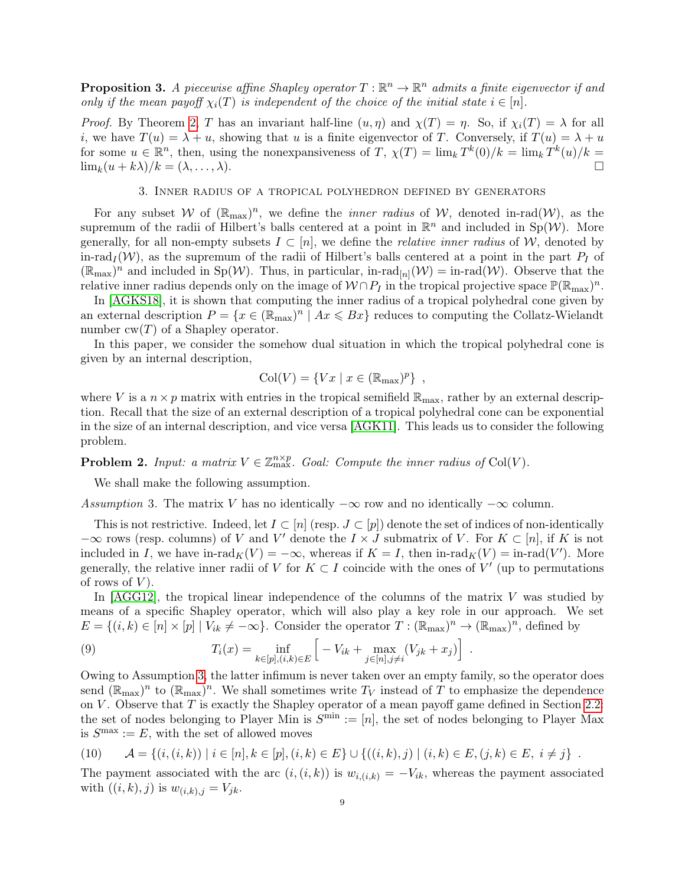**Proposition 3.** A piecewise affine Shapley operator  $T : \mathbb{R}^n \to \mathbb{R}^n$  admits a finite eigenvector if and only if the mean payoff  $\chi_i(T)$  is independent of the choice of the initial state  $i \in [n]$ .

*Proof.* By Theorem [2,](#page-7-3) T has an invariant half-line  $(u, \eta)$  and  $\chi(T) = \eta$ . So, if  $\chi_i(T) = \lambda$  for all i, we have  $T(u) = \lambda + u$ , showing that u is a finite eigenvector of T. Conversely, if  $T(u) = \lambda + u$ for some  $u \in \mathbb{R}^n$ , then, using the nonexpansiveness of T,  $\chi(T) = \lim_k T^k(0)/k = \lim_k T^k(u)/k =$  $\lim_k(u+k\lambda)/k = (\lambda,\ldots,\lambda).$ 

#### 3. Inner radius of a tropical polyhedron defined by generators

<span id="page-8-0"></span>For any subset W of  $(\mathbb{R}_{max})^n$ , we define the *inner radius* of W, denoted in-rad(W), as the supremum of the radii of Hilbert's balls centered at a point in  $\mathbb{R}^n$  and included in  $\text{Sp}(\mathcal{W})$ . More generally, for all non-empty subsets  $I \subset [n]$ , we define the *relative inner radius* of W, denoted by in-rad<sub>I</sub>(W), as the supremum of the radii of Hilbert's balls centered at a point in the part  $P_I$  of  $(\mathbb{R}_{\max})^n$  and included in Sp(W). Thus, in particular, in-rad<sub>[n]</sub>(W) = in-rad(W). Observe that the relative inner radius depends only on the image of  $W \cap P_I$  in the tropical projective space  $\mathbb{P}(\mathbb{R}_{max})^n$ .

In [\[AGKS18\]](#page-38-19), it is shown that computing the inner radius of a tropical polyhedral cone given by an external description  $P = \{x \in (\mathbb{R}_{max})^n \mid Ax \leq Bx\}$  reduces to computing the Collatz-Wielandt number  $cw(T)$  of a Shapley operator.

In this paper, we consider the somehow dual situation in which the tropical polyhedral cone is given by an internal description,

$$
Col(V) = \{ Vx \mid x \in (\mathbb{R}_{\text{max}})^p \},
$$

where V is a  $n \times p$  matrix with entries in the tropical semifield  $\mathbb{R}_{\text{max}}$ , rather by an external description. Recall that the size of an external description of a tropical polyhedral cone can be exponential in the size of an internal description, and vice versa [\[AGK11\]](#page-37-1). This leads us to consider the following problem.

<span id="page-8-3"></span>**Problem 2.** Input: a matrix  $V \in \mathbb{Z}_{\max}^{n \times p}$ . Goal: Compute the inner radius of Col(V).

We shall make the following assumption.

<span id="page-8-1"></span>Assumption 3. The matrix V has no identically  $-\infty$  row and no identically  $-\infty$  column.

This is not restrictive. Indeed, let  $I \subset [n]$  (resp.  $J \subset [p]$ ) denote the set of indices of non-identically  $-\infty$  rows (resp. columns) of V and V' denote the  $I \times J$  submatrix of V. For  $K \subset [n]$ , if K is not included in I, we have in-rad $_K(V) = -\infty$ , whereas if  $K = I$ , then in-rad $_K(V) = \text{in-rad}(V')$ . More generally, the relative inner radii of V for  $K \subset I$  coincide with the ones of V' (up to permutations of rows of  $V$ ).

In [\[AGG12\]](#page-37-0), the tropical linear independence of the columns of the matrix V was studied by means of a specific Shapley operator, which will also play a key role in our approach. We set  $E = \{(i, k) \in [n] \times [p] \mid V_{ik} \neq -\infty\}$ . Consider the operator  $T : (\mathbb{R}_{\text{max}})^n \to (\mathbb{R}_{\text{max}})^n$ , defined by

<span id="page-8-2"></span>(9) 
$$
T_i(x) = \inf_{k \in [p], (i,k) \in E} \left[ -V_{ik} + \max_{j \in [n], j \neq i} (V_{jk} + x_j) \right] .
$$

Owing to Assumption [3,](#page-8-1) the latter infimum is never taken over an empty family, so the operator does send  $(\mathbb{R}_{\max})^n$  to  $(\mathbb{R}_{\max})^n$ . We shall sometimes write  $T_V$  instead of T to emphasize the dependence on V. Observe that  $T$  is exactly the Shapley operator of a mean payoff game defined in Section [2.2:](#page-3-0) the set of nodes belonging to Player Min is  $S^{\min} := [n]$ , the set of nodes belonging to Player Max is  $S^{\text{max}} := E$ , with the set of allowed moves

<span id="page-8-4"></span>
$$
(10) \qquad \mathcal{A} = \{(i,(i,k)) \mid i \in [n], k \in [p], (i,k) \in E\} \cup \{((i,k),j) \mid (i,k) \in E, (j,k) \in E, i \neq j\} .
$$

<span id="page-8-5"></span>The payment associated with the arc  $(i,(i,k))$  is  $w_{i,(i,k)} = -V_{ik}$ , whereas the payment associated with  $((i, k), j)$  is  $w_{(i,k), j} = V_{jk}$ .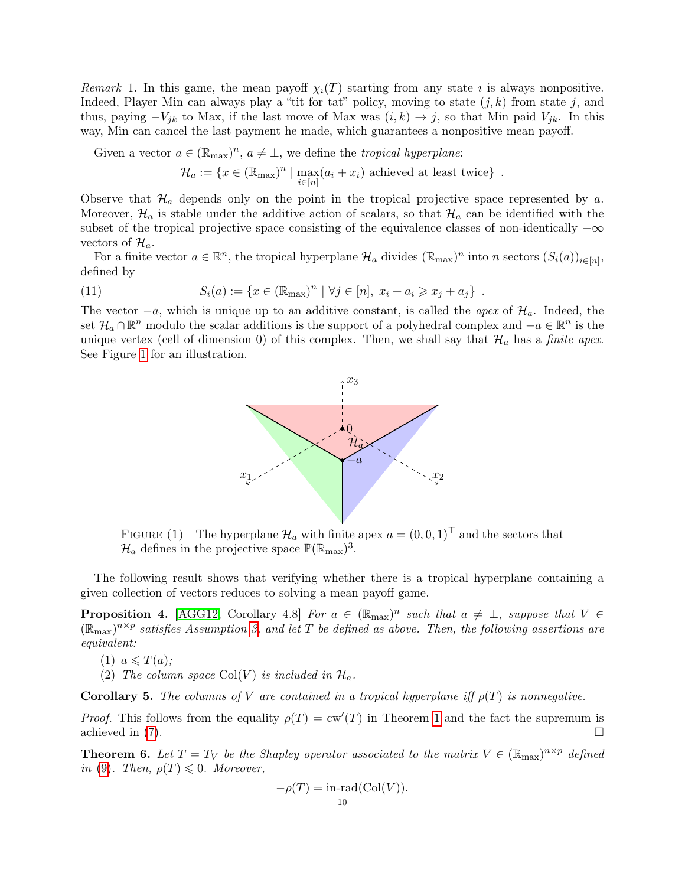Remark 1. In this game, the mean payoff  $\chi_i(T)$  starting from any state is always nonpositive. Indeed, Player Min can always play a "tit for tat" policy, moving to state  $(j, k)$  from state j, and thus, paying  $-V_{jk}$  to Max, if the last move of Max was  $(i, k) \rightarrow j$ , so that Min paid  $V_{jk}$ . In this way, Min can cancel the last payment he made, which guarantees a nonpositive mean payoff.

Given a vector  $a \in (\mathbb{R}_{max})^n$ ,  $a \neq \bot$ , we define the *tropical hyperplane*:

$$
\mathcal{H}_a := \{ x \in (\mathbb{R}_{\text{max}})^n \mid \max_{i \in [n]} (a_i + x_i) \text{ achieved at least twice} \} .
$$

Observe that  $\mathcal{H}_a$  depends only on the point in the tropical projective space represented by a. Moreover,  $\mathcal{H}_a$  is stable under the additive action of scalars, so that  $\mathcal{H}_a$  can be identified with the subset of the tropical projective space consisting of the equivalence classes of non-identically  $-\infty$ vectors of  $\mathcal{H}_a$ .

For a finite vector  $a \in \mathbb{R}^n$ , the tropical hyperplane  $\mathcal{H}_a$  divides  $(\mathbb{R}_{\max})^n$  into n sectors  $(S_i(a))_{i \in [n]},$ defined by

(11) 
$$
S_i(a) := \{x \in (\mathbb{R}_{\text{max}})^n \mid \forall j \in [n], x_i + a_i \geq x_j + a_j\}.
$$

<span id="page-9-0"></span>The vector  $-a$ , which is unique up to an additive constant, is called the *apex* of  $\mathcal{H}_a$ . Indeed, the set  $\mathcal{H}_a \cap \mathbb{R}^n$  modulo the scalar additions is the support of a polyhedral complex and  $-a \in \mathbb{R}^n$  is the unique vertex (cell of dimension 0) of this complex. Then, we shall say that  $\mathcal{H}_a$  has a finite apex. See Figure [1](#page-9-0) for an illustration.

<span id="page-9-3"></span>

FIGURE (1) The hyperplane  $\mathcal{H}_a$  with finite apex  $a = (0, 0, 1)^\top$  and the sectors that  $\mathcal{H}_a$  defines in the projective space  $\mathbb{P}(\mathbb{R}_{\max})^3$ .

The following result shows that verifying whether there is a tropical hyperplane containing a given collection of vectors reduces to solving a mean payoff game.

**Proposition 4.** [\[AGG12,](#page-37-0) Corollary 4.8] For  $a \in (\mathbb{R}_{max})^n$  such that  $a \neq \bot$ , suppose that  $V \in$  $(\mathbb{R}_{\max})^{n \times p}$  satisfies Assumption [3,](#page-8-1) and let T be defined as above. Then, the following assertions are equivalent:

- $(1)$   $a \leqslant T(a)$ ;
- (2) The column space Col(V) is included in  $\mathcal{H}_a$ .

<span id="page-9-2"></span>**Corollary 5.** The columns of V are contained in a tropical hyperplane iff  $\rho(T)$  is nonnegative.

*Proof.* This follows from the equality  $\rho(T) = \text{cw}'(T)$  in Theorem [1](#page-7-1) and the fact the supremum is achieved in [\(7\)](#page-7-0).  $\Box$ 

<span id="page-9-1"></span>**Theorem 6.** Let  $T = T_V$  be the Shapley operator associated to the matrix  $V \in (\mathbb{R}_{max})^{n \times p}$  defined in [\(9\)](#page-8-2). Then,  $\rho(T) \leq 0$ . Moreover,

$$
-\rho(T) = \text{in-rad}(\text{Col}(V)).
$$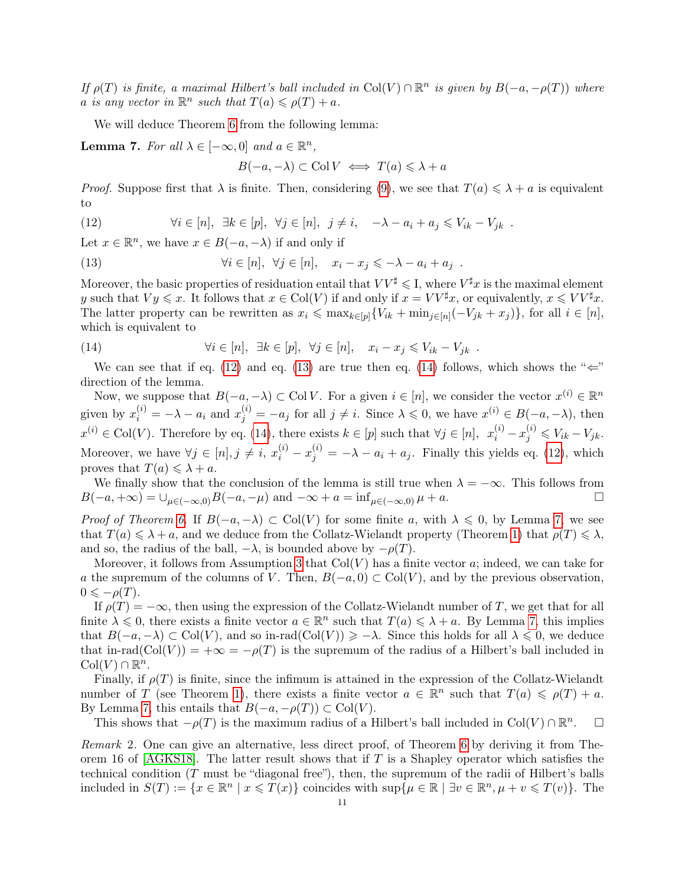If  $\rho(T)$  is finite, a maximal Hilbert's ball included in Col(V)  $\cap \mathbb{R}^n$  is given by  $B(-a, -\rho(T))$  where a is any vector in  $\mathbb{R}^n$  such that  $T(a) \leq \rho(T) + a$ .

We will deduce Theorem [6](#page-9-1) from the following lemma:

<span id="page-10-3"></span>**Lemma 7.** For all  $\lambda \in [-\infty, 0]$  and  $a \in \mathbb{R}^n$ ,

<span id="page-10-1"></span><span id="page-10-0"></span>
$$
B(-a, -\lambda) \subset \text{Col } V \iff T(a) \leq \lambda + a
$$

*Proof.* Suppose first that  $\lambda$  is finite. Then, considering [\(9\)](#page-8-2), we see that  $T(a) \leq \lambda + a$  is equivalent to

(12) 
$$
\forall i \in [n], \exists k \in [p], \forall j \in [n], j \neq i, -\lambda - a_i + a_j \leq V_{ik} - V_{jk} .
$$

Let  $x \in \mathbb{R}^n$ , we have  $x \in B(-a, -\lambda)$  if and only if

(13) 
$$
\forall i \in [n], \ \forall j \in [n], \ x_i - x_j \leqslant -\lambda - a_i + a_j .
$$

Moreover, the basic properties of residuation entail that  $VV^{\sharp} \leqslant I$ , where  $V^{\sharp}x$  is the maximal element y such that  $V y \leqslant x$ . It follows that  $x \in \mathrm{Col}(V)$  if and only if  $x = V V^{\sharp} x$ , or equivalently,  $x \leqslant V V^{\sharp} x$ . The latter property can be rewritten as  $x_i \leq \max_{k \in [p]} \{V_{ik} + \min_{j \in [n]} (-V_{jk} + x_j)\}\)$ , for all  $i \in [n]$ , which is equivalent to

<span id="page-10-2"></span>(14) 
$$
\forall i \in [n], \exists k \in [p], \forall j \in [n], \quad x_i - x_j \leqslant V_{ik} - V_{jk} .
$$

We can see that if eq. [\(12\)](#page-10-0) and eq. [\(13\)](#page-10-1) are true then eq. [\(14\)](#page-10-2) follows, which shows the " $\Leftarrow$ " direction of the lemma.

Now, we suppose that  $B(-a, -\lambda) \subset \text{Col } V$ . For a given  $i \in [n]$ , we consider the vector  $x^{(i)} \in \mathbb{R}^n$ given by  $x_i^{(i)} = -\lambda - a_i$  and  $x_j^{(i)} = -a_j$  for all  $j \neq i$ . Since  $\lambda \leqslant 0$ , we have  $x^{(i)} \in B(-a, -\lambda)$ , then  $x^{(i)} \in \text{Col}(V)$ . Therefore by eq. [\(14\)](#page-10-2), there exists  $k \in [p]$  such that  $\forall j \in [n]$ ,  $x_i^{(i)} - x_j^{(i)} \leqslant V_{ik} - V_{jk}$ . Moreover, we have  $\forall j \in [n], j \neq i$ ,  $x_i^{(i)} - x_j^{(i)} = -\lambda - a_i + a_j$ . Finally this yields eq. [\(12\)](#page-10-0), which proves that  $T(a) \leq \lambda + a$ .

We finally show that the conclusion of the lemma is still true when  $\lambda = -\infty$ . This follows from  $B(-a, +\infty) = \bigcup_{\mu \in (-\infty, 0)} B(-a, -\mu)$  and  $-\infty + a = \inf_{\mu \in (-\infty, 0)} \mu + a$ .

*Proof of Theorem [6.](#page-9-1)* If  $B(-a, -\lambda) \subset Col(V)$  for some finite a, with  $\lambda \leq 0$ , by Lemma [7,](#page-10-3) we see that  $T(a) \leq \lambda + a$ , and we deduce from the Collatz-Wielandt property (Theorem [1\)](#page-7-1) that  $\rho(T) \leq \lambda$ , and so, the radius of the ball,  $-\lambda$ , is bounded above by  $-\rho(T)$ .

Moreover, it follows from Assumption [3](#page-8-1) that  $Col(V)$  has a finite vector a; indeed, we can take for a the supremum of the columns of V. Then,  $B(-a, 0) \subset Col(V)$ , and by the previous observation,  $0 \leqslant -\rho(T)$ .

If  $\rho(T) = -\infty$ , then using the expression of the Collatz-Wielandt number of T, we get that for all finite  $\lambda \leq 0$ , there exists a finite vector  $a \in \mathbb{R}^n$  such that  $T(a) \leq \lambda + a$ . By Lemma [7,](#page-10-3) this implies that  $B(-a, -\lambda) \subset \text{Col}(V)$ , and so in-rad $(\text{Col}(V)) \geq -\lambda$ . Since this holds for all  $\lambda \leq 0$ , we deduce that in-rad( $\text{Col}(V)$ ) =  $+\infty = -\rho(T)$  is the supremum of the radius of a Hilbert's ball included in  $\text{Col}(V) \cap \mathbb{R}^n$ .

Finally, if  $\rho(T)$  is finite, since the infimum is attained in the expression of the Collatz-Wielandt number of T (see Theorem [1\)](#page-7-1), there exists a finite vector  $a \in \mathbb{R}^n$  such that  $T(a) \leqslant \rho(T) + a$ . By Lemma [7,](#page-10-3) this entails that  $B(-a, -\rho(T)) \subset \text{Col}(V)$ .

This shows that  $-\rho(T)$  is the maximum radius of a Hilbert's ball included in Col(V) ∩  $\mathbb{R}^n$  $\Box$ 

Remark 2. One can give an alternative, less direct proof, of Theorem [6](#page-9-1) by deriving it from Theorem 16 of  $AGRS18$ . The latter result shows that if T is a Shapley operator which satisfies the technical condition (T must be "diagonal free"), then, the supremum of the radii of Hilbert's balls included in  $S(T) := \{x \in \mathbb{R}^n \mid x \leq T(x)\}\$ coincides with  $\sup\{\mu \in \mathbb{R} \mid \exists v \in \mathbb{R}^n, \mu + v \leq T(v)\}\$ . The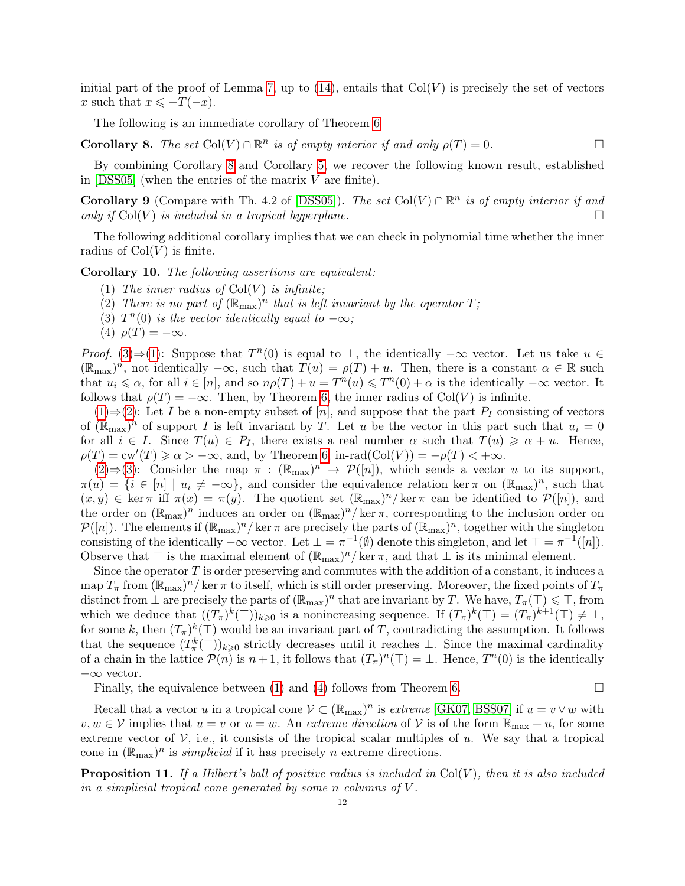initial part of the proof of Lemma [7,](#page-10-3) up to  $(14)$ , entails that  $Col(V)$  is precisely the set of vectors x such that  $x \leq -T(-x)$ .

The following is an immediate corollary of Theorem [6](#page-9-1)

<span id="page-11-0"></span>**Corollary 8.** The set  $Col(V) \cap \mathbb{R}^n$  is of empty interior if and only  $\rho(T) = 0$ .

By combining Corollary [8](#page-11-0) and Corollary [5,](#page-9-2) we recover the following known result, established in  $[DSS05]$  (when the entries of the matrix V are finite).

<span id="page-11-6"></span>**Corollary 9** (Compare with Th. 4.2 of [\[DSS05\]](#page-38-21)). The set Col(V)  $\cap \mathbb{R}^n$  is of empty interior if and only if  $\text{Col}(V)$  is included in a tropical hyperplane.

The following additional corollary implies that we can check in polynomial time whether the inner radius of  $Col(V)$  is finite.

<span id="page-11-2"></span>Corollary 10. The following assertions are equivalent:

- (1) The inner radius of  $Col(V)$  is infinite;
- <span id="page-11-3"></span>(2) There is no part of  $(\mathbb{R}_{max})^n$  that is left invariant by the operator T;
- <span id="page-11-1"></span>(3)  $T^n(0)$  is the vector identically equal to  $-\infty$ ;
- <span id="page-11-4"></span>(4)  $\rho(T) = -\infty$ .

*Proof.* [\(3\)](#page-11-1)⇒[\(1\)](#page-11-2): Suppose that  $T<sup>n</sup>(0)$  is equal to  $\perp$ , the identically  $-\infty$  vector. Let us take  $u \in$  $(\mathbb{R}_{\max})^n$ , not identically  $-\infty$ , such that  $T(u) = \rho(T) + u$ . Then, there is a constant  $\alpha \in \mathbb{R}$  such that  $u_i \leq \alpha$ , for all  $i \in [n]$ , and so  $n\rho(T) + u = T^n(u) \leq T^n(0) + \alpha$  is the identically  $-\infty$  vector. It follows that  $\rho(T) = -\infty$ . Then, by Theorem [6,](#page-9-1) the inner radius of Col(V) is infinite.

[\(1\)](#page-11-2)⇒[\(2\)](#page-11-3): Let I be a non-empty subset of [n], and suppose that the part  $P_I$  consisting of vectors of  $(\mathbb{R}_{max})^n$  of support I is left invariant by T. Let u be the vector in this part such that  $u_i = 0$ for all  $i \in I$ . Since  $T(u) \in P_I$ , there exists a real number  $\alpha$  such that  $T(u) \geq \alpha + u$ . Hence,  $\rho(T) = \text{cw}'(T) \geq \alpha > -\infty$ , and, by Theorem [6,](#page-9-1) in-rad(Col(V)) =  $-\rho(T) < +\infty$ .

 $(2) \Rightarrow (3)$  $(2) \Rightarrow (3)$  $(2) \Rightarrow (3)$ : Consider the map  $\pi : (\mathbb{R}_{max})^n \to \mathcal{P}([n])$ , which sends a vector u to its support,  $\pi(u) = \{i \in [n] \mid u_i \neq -\infty\}$ , and consider the equivalence relation ker  $\pi$  on  $(\mathbb{R}_{\text{max}})^n$ , such that  $(x, y) \in \ker \pi$  iff  $\pi(x) = \pi(y)$ . The quotient set  $(\mathbb{R}_{\max})^n / \ker \pi$  can be identified to  $\mathcal{P}([n])$ , and the order on  $(\mathbb{R}_{max})^n$  induces an order on  $(\mathbb{R}_{max})^n$ /ker  $\pi$ , corresponding to the inclusion order on  $\mathcal{P}([n])$ . The elements if  $(\mathbb{R}_{\max})^n$  ker  $\pi$  are precisely the parts of  $(\mathbb{R}_{\max})^n$ , together with the singleton consisting of the identically  $-\infty$  vector. Let  $\bot = \pi^{-1}(\emptyset)$  denote this singleton, and let  $\top = \pi^{-1}([n])$ . Observe that  $\top$  is the maximal element of  $(\mathbb{R}_{\text{max}})^n$ / ker  $\pi$ , and that  $\bot$  is its minimal element.

Since the operator  $T$  is order preserving and commutes with the addition of a constant, it induces a map  $T_{\pi}$  from  $(\mathbb{R}_{\max})^n$  ker  $\pi$  to itself, which is still order preserving. Moreover, the fixed points of  $T_{\pi}$ distinct from  $\perp$  are precisely the parts of  $(\mathbb{R}_{\text{max}})^n$  that are invariant by T. We have,  $T_{\pi}(\top) \leq \top$ , from which we deduce that  $((T_{\pi})^k(\top))_{k\geqslant 0}$  is a nonincreasing sequence. If  $(T_{\pi})^k(\top)=(T_{\pi})^{k+1}(\top)\neq \bot$ , for some k, then  $(T_{\pi})^k(\top)$  would be an invariant part of T, contradicting the assumption. It follows that the sequence  $(T^k_{\pi}(\top))_{k\geqslant0}$  strictly decreases until it reaches  $\bot$ . Since the maximal cardinality of a chain in the lattice  $\mathcal{P}(n)$  is  $n+1$ , it follows that  $(T<sub>\pi</sub>)<sup>n</sup>(T) = \bot$ . Hence,  $T<sup>n</sup>(0)$  is the identically −∞ vector.

Finally, the equivalence between [\(1\)](#page-11-2) and [\(4\)](#page-11-4) follows from Theorem [6.](#page-9-1)  $\Box$ 

Recall that a vector u in a tropical cone  $V \subset (\mathbb{R}_{max})^n$  is extreme [\[GK07,](#page-39-24) [BSS07\]](#page-38-22) if  $u = v \vee w$  with  $v, w \in V$  implies that  $u = v$  or  $u = w$ . An extreme direction of V is of the form  $\mathbb{R}_{\max} + u$ , for some extreme vector of  $V$ , i.e., it consists of the tropical scalar multiples of u. We say that a tropical cone in  $(\mathbb{R}_{\text{max}})^n$  is *simplicial* if it has precisely *n* extreme directions.

<span id="page-11-5"></span>**Proposition 11.** If a Hilbert's ball of positive radius is included in  $Col(V)$ , then it is also included in a simplicial tropical cone generated by some n columns of V .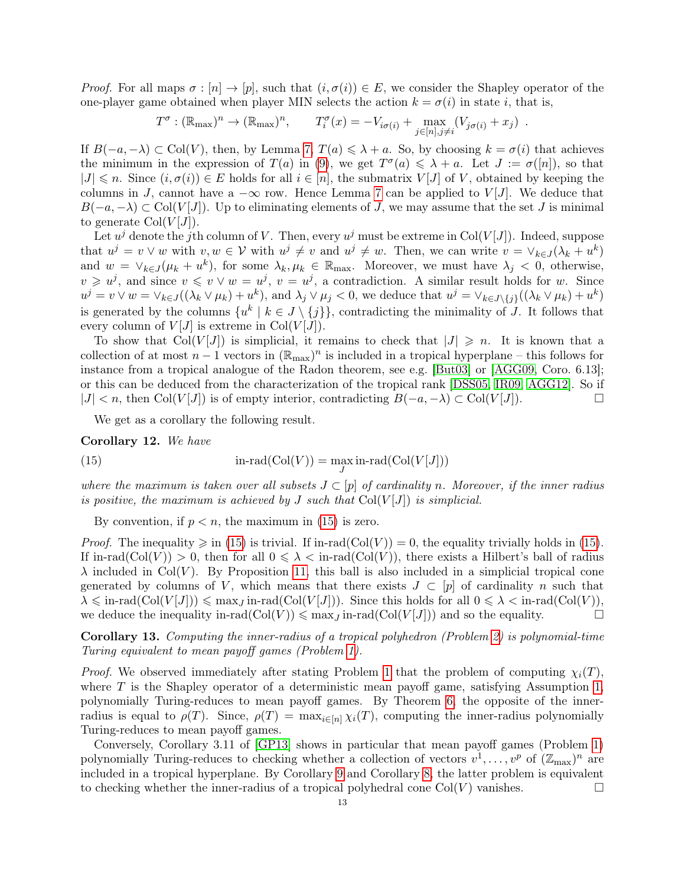*Proof.* For all maps  $\sigma : [n] \to [p]$ , such that  $(i, \sigma(i)) \in E$ , we consider the Shapley operator of the one-player game obtained when player MIN selects the action  $k = \sigma(i)$  in state i, that is,

$$
T^{\sigma}: (\mathbb{R}_{\max})^n \to (\mathbb{R}_{\max})^n, \qquad T_i^{\sigma}(x) = -V_{i\sigma(i)} + \max_{j \in [n], j \neq i} (V_{j\sigma(i)} + x_j) .
$$

If  $B(-a, -\lambda) \subset \text{Col}(V)$ , then, by Lemma [7,](#page-10-3)  $T(a) \leq \lambda + a$ . So, by choosing  $k = \sigma(i)$  that achieves the minimum in the expression of  $T(a)$  in [\(9\)](#page-8-2), we get  $T^{\sigma}(a) \leq \lambda + a$ . Let  $J := \sigma(|n|)$ , so that  $|J| \leq n$ . Since  $(i, \sigma(i)) \in E$  holds for all  $i \in [n]$ , the submatrix  $V[J]$  of V, obtained by keeping the columns in J, cannot have a  $-\infty$  row. Hence Lemma [7](#page-10-3) can be applied to  $V[J]$ . We deduce that  $B(-a,-\lambda) \subset \text{Col}(V[J])$ . Up to eliminating elements of J, we may assume that the set J is minimal to generate  $Col(V[J])$ .

Let  $u^j$  denote the jth column of V. Then, every  $u^j$  must be extreme in Col(V[J]). Indeed, suppose that  $u^j = v \vee w$  with  $v, w \in V$  with  $u^j \neq v$  and  $u^j \neq w$ . Then, we can write  $v = \vee_{k \in J} (\lambda_k + u^k)$ and  $w = \vee_{k \in J} (\mu_k + u^k)$ , for some  $\lambda_k, \mu_k \in \mathbb{R}_{\text{max}}$ . Moreover, we must have  $\lambda_j < 0$ , otherwise,  $v \geq v^j$ , and since  $v \leq v \vee w = u^j$ ,  $v = u^j$ , a contradiction. A similar result holds for w. Since  $u^j = v \vee w = \vee_{k \in J} ((\lambda_k \vee \mu_k) + u^k)$ , and  $\lambda_j \vee \mu_j < 0$ , we deduce that  $u^j = \vee_{k \in J \setminus \{j\}} ((\lambda_k \vee \mu_k) + u^k)$ is generated by the columns  $\{u^k \mid k \in J \setminus \{j\}\}\)$ , contradicting the minimality of J. It follows that every column of  $V[J]$  is extreme in Col $(V[J])$ .

To show that  $Col(V[J])$  is simplicial, it remains to check that  $|J| \geq n$ . It is known that a collection of at most  $n-1$  vectors in  $(\mathbb{R}_{max})^n$  is included in a tropical hyperplane – this follows for instance from a tropical analogue of the Radon theorem, see e.g. [\[But03\]](#page-38-23) or [\[AGG09,](#page-37-2) Coro. 6.13]; or this can be deduced from the characterization of the tropical rank [\[DSS05,](#page-38-21) [IR09,](#page-39-25) [AGG12\]](#page-37-0). So if  $|J| < n$ , then Col(V[J]) is of empty interior, contradicting  $B(-a, -\lambda) \subset \text{Col}(V[J])$ .

We get as a corollary the following result.

<span id="page-12-3"></span>Corollary 12. We have

<span id="page-12-0"></span>(15) 
$$
\text{in-rad}(\text{Col}(V)) = \max_{J} \text{in-rad}(\text{Col}(V[J]))
$$

where the maximum is taken over all subsets  $J\subset [p]$  of cardinality n. Moreover, if the inner radius is positive, the maximum is achieved by J such that  $Col(V|J)$  is simplicial.

By convention, if  $p < n$ , the maximum in [\(15\)](#page-12-0) is zero.

*Proof.* The inequality  $\geq$  in [\(15\)](#page-12-0) is trivial. If in-rad(Col(V)) = 0, the equality trivially holds in (15). If in-rad( $\text{Col}(V) > 0$ , then for all  $0 \leq \lambda < \text{in-rad}(\text{Col}(V))$ , there exists a Hilbert's ball of radius  $\lambda$  included in Col(V). By Proposition [11,](#page-11-5) this ball is also included in a simplicial tropical cone generated by columns of V, which means that there exists  $J \subset [p]$  of cardinality n such that  $\lambda \leq \text{in-rad}(Col(V[J])) \leq \max_J \text{in-rad}(Col(V[J]))$ . Since this holds for all  $0 \leq \lambda < \text{in-rad}(Col(V))$ , we deduce the inequality in-rad $(\text{Col}(V)) \leq \max_{J} \text{in-rad}((\text{Col}(V|J]))$  and so the equality.

<span id="page-12-1"></span>Corollary 13. Computing the inner-radius of a tropical polyhedron (Problem [2\)](#page-8-3) is polynomial-time Turing equivalent to mean payoff games (Problem [1\)](#page-5-0).

*Proof.* We observed immediately after stating Problem [1](#page-5-0) that the problem of computing  $\chi_i(T)$ , where  $T$  is the Shapley operator of a deterministic mean payoff game, satisfying Assumption [1,](#page-4-1) polynomially Turing-reduces to mean payoff games. By Theorem [6,](#page-9-1) the opposite of the innerradius is equal to  $\rho(T)$ . Since,  $\rho(T) = \max_{i \in [n]} \chi_i(T)$ , computing the inner-radius polynomially Turing-reduces to mean payoff games.

<span id="page-12-2"></span>Conversely, Corollary 3.11 of [\[GP13\]](#page-39-13) shows in particular that mean payoff games (Problem [1\)](#page-5-0) polynomially Turing-reduces to checking whether a collection of vectors  $v^1, \ldots, v^p$  of  $(\mathbb{Z}_{\text{max}})^n$  are included in a tropical hyperplane. By Corollary [9](#page-11-6) and Corollary [8,](#page-11-0) the latter problem is equivalent to checking whether the inner-radius of a tropical polyhedral cone  $Col(V)$  vanishes.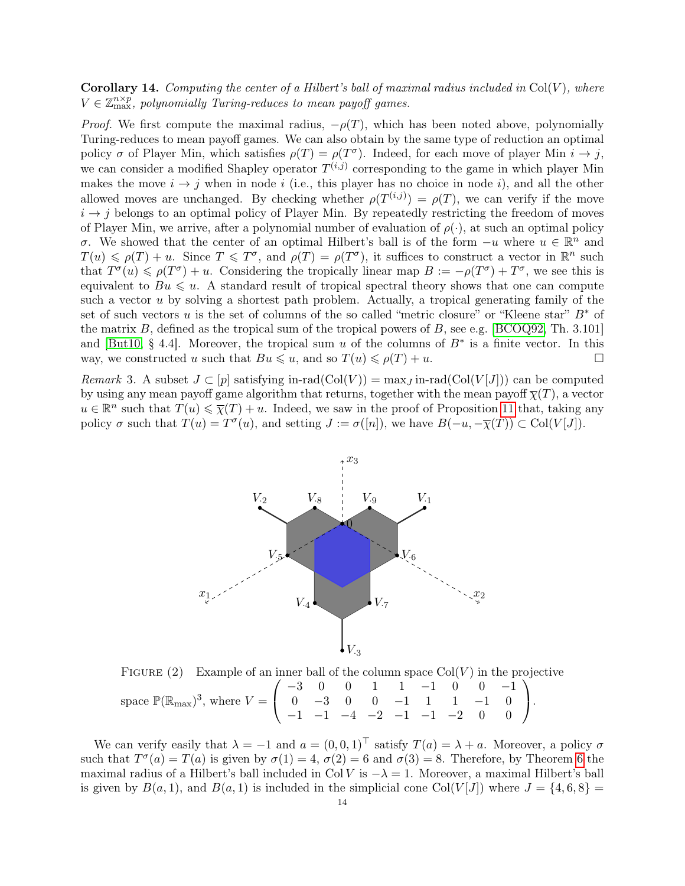# **Corollary 14.** Computing the center of a Hilbert's ball of maximal radius included in  $Col(V)$ , where  $V \in \mathbb{Z}_{\text{max}}^{n \times p}$ , polynomially Turing-reduces to mean payoff games.

*Proof.* We first compute the maximal radius,  $-\rho(T)$ , which has been noted above, polynomially Turing-reduces to mean payoff games. We can also obtain by the same type of reduction an optimal policy  $\sigma$  of Player Min, which satisfies  $\rho(T) = \rho(T^{\sigma})$ . Indeed, for each move of player Min  $i \to j$ , we can consider a modified Shapley operator  $T^{(i,j)}$  corresponding to the game in which player Min makes the move  $i \rightarrow j$  when in node i (i.e., this player has no choice in node i), and all the other allowed moves are unchanged. By checking whether  $\rho(T^{(i,j)}) = \rho(T)$ , we can verify if the move  $i \rightarrow j$  belongs to an optimal policy of Player Min. By repeatedly restricting the freedom of moves of Player Min, we arrive, after a polynomial number of evaluation of  $\rho(\cdot)$ , at such an optimal policy σ. We showed that the center of an optimal Hilbert's ball is of the form  $-u$  where  $u \in \mathbb{R}^n$  and  $T(u) \leq \rho(T) + u$ . Since  $T \leq T^{\sigma}$ , and  $\rho(T) = \rho(T^{\sigma})$ , it suffices to construct a vector in  $\mathbb{R}^n$  such that  $T^{\sigma}(u) \leq \rho(T^{\sigma}) + u$ . Considering the tropically linear map  $B := -\rho(T^{\sigma}) + T^{\sigma}$ , we see this is equivalent to  $Bu \leq u$ . A standard result of tropical spectral theory shows that one can compute such a vector u by solving a shortest path problem. Actually, a tropical generating family of the set of such vectors u is the set of columns of the so called "metric closure" or "Kleene star"  $B^*$  of the matrix B, defined as the tropical sum of the tropical powers of B, see e.g. [\[BCOQ92,](#page-38-20) Th. 3.101] and [\[But10,](#page-38-14) § 4.4]. Moreover, the tropical sum u of the columns of  $B^*$  is a finite vector. In this way, we constructed u such that  $Bu \leq u$ , and so  $T(u) \leq \rho(T) + u$ .

<span id="page-13-0"></span>*Remark* 3. A subset  $J \subset [p]$  satisfying in-rad(Col(V)) = max<sub>J</sub> in-rad(Col(V[J])) can be computed by using any mean payoff game algorithm that returns, together with the mean payoff  $\overline{\chi}(T)$ , a vector  $u \in \mathbb{R}^n$  such that  $T(u) \leq \overline{\chi}(T) + u$ . Indeed, we saw in the proof of Proposition [11](#page-11-5) that, taking any policy  $\sigma$  such that  $T(u) = T^{\sigma}(u)$ , and setting  $J := \sigma([n])$ , we have  $B(-u, -\overline{\chi}(T)) \subset \text{Col}(V[J])$ .



FIGURE (2) Example of an inner ball of the column space  $Col(V)$  in the projective space  $\mathbb{P}(\mathbb{R}_{max})^3$ , where  $V =$  $\sqrt{ }$  $\mathcal{L}$ −3 0 0 1 1 −1 0 0 −1 0 −3 0 0 −1 1 1 −1 0 −1 −1 −4 −2 −1 −1 −2 0 0  $\setminus$  $\cdot$ 

We can verify easily that  $\lambda = -1$  and  $a = (0, 0, 1)^\top$  satisfy  $T(a) = \lambda + a$ . Moreover, a policy  $\sigma$ such that  $T^{\sigma}(a) = T(a)$  is given by  $\sigma(1) = 4$ ,  $\sigma(2) = 6$  $\sigma(2) = 6$  and  $\sigma(3) = 8$ . Therefore, by Theorem 6 the maximal radius of a Hilbert's ball included in Col V is  $-\lambda = 1$ . Moreover, a maximal Hilbert's ball is given by  $B(a, 1)$ , and  $B(a, 1)$  is included in the simplicial cone Col(V[J]) where  $J = \{4, 6, 8\}$  =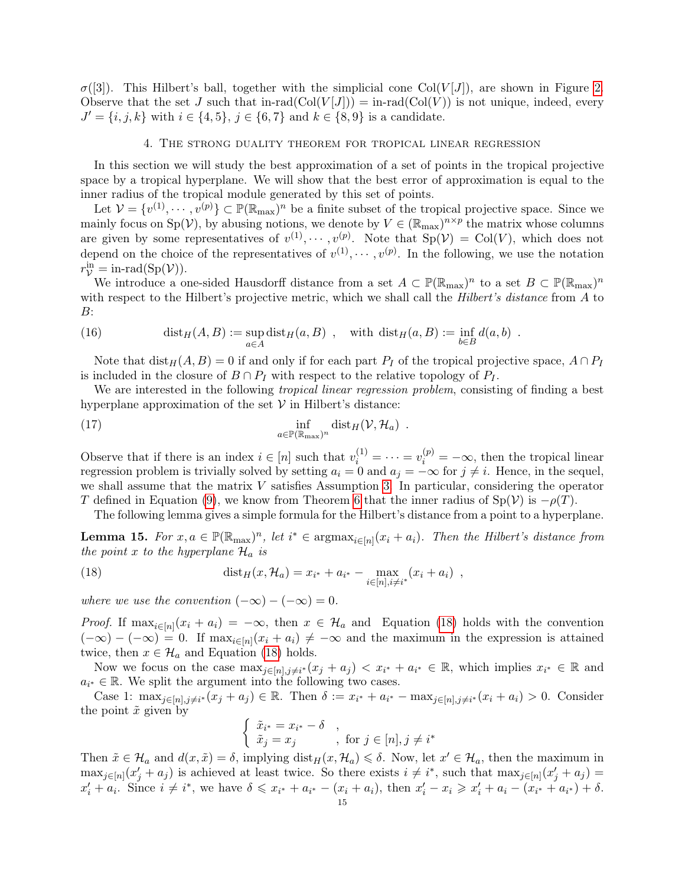$\sigma([3])$ . This Hilbert's ball, together with the simplicial cone Col(V[J]), are shown in Figure [2.](#page-13-0) Observe that the set J such that in-rad $(\text{Col}(V|J)) = \text{in-rad}(\text{Col}(V))$  is not unique, indeed, every  $J' = \{i, j, k\}$  with  $i \in \{4, 5\}, j \in \{6, 7\}$  and  $k \in \{8, 9\}$  is a candidate.

# 4. The strong duality theorem for tropical linear regression

<span id="page-14-0"></span>In this section we will study the best approximation of a set of points in the tropical projective space by a tropical hyperplane. We will show that the best error of approximation is equal to the inner radius of the tropical module generated by this set of points.

Let  $V = \{v^{(1)}, \dots, v^{(p)}\} \subset \mathbb{P}(\mathbb{R}_{\text{max}})^n$  be a finite subset of the tropical projective space. Since we mainly focus on  $Sp(V)$ , by abusing notions, we denote by  $V \in (\mathbb{R}_{max})^{n \times p}$  the matrix whose columns are given by some representatives of  $v^{(1)}, \dots, v^{(p)}$ . Note that  $Sp(\mathcal{V}) = Col(V)$ , which does not depend on the choice of the representatives of  $v^{(1)}, \dots, v^{(p)}$ . In the following, we use the notation  $r_{\mathcal{V}}^{\text{in}} = \text{in-rad}(\text{Sp}(\mathcal{V}))$ .

We introduce a one-sided Hausdorff distance from a set  $A \subset \mathbb{P}(\mathbb{R}_{max})^n$  to a set  $B \subset \mathbb{P}(\mathbb{R}_{max})^n$ with respect to the Hilbert's projective metric, which we shall call the *Hilbert's distance* from A to  $B$ :

<span id="page-14-4"></span>(16) 
$$
\text{dist}_H(A, B) := \sup_{a \in A} \text{dist}_H(a, B) , \quad \text{with } \text{dist}_H(a, B) := \inf_{b \in B} d(a, b) .
$$

Note that  $dist_H(A, B) = 0$  if and only if for each part  $P_I$  of the tropical projective space,  $A \cap P_I$ is included in the closure of  $B \cap P_I$  with respect to the relative topology of  $P_I$ .

We are interested in the following *tropical linear regression problem*, consisting of finding a best hyperplane approximation of the set  $V$  in Hilbert's distance:

<span id="page-14-3"></span>(17) 
$$
\inf_{a \in \mathbb{P}(\mathbb{R}_{\max})^n} \text{dist}_H(\mathcal{V}, \mathcal{H}_a) .
$$

Observe that if there is an index  $i \in [n]$  such that  $v_i^{(1)} = \cdots = v_i^{(p)} = -\infty$ , then the tropical linear regression problem is trivially solved by setting  $a_i = 0$  and  $a_j = -\infty$  for  $j \neq i$ . Hence, in the sequel, we shall assume that the matrix  $V$  satisfies Assumption [3.](#page-8-1) In particular, considering the operator T defined in Equation [\(9\)](#page-8-2), we know from Theorem [6](#page-9-1) that the inner radius of  $Sp(V)$  is  $-\rho(T)$ .

<span id="page-14-1"></span>The following lemma gives a simple formula for the Hilbert's distance from a point to a hyperplane.

<span id="page-14-2"></span>**Lemma 15.** For  $x, a \in \mathbb{P}(\mathbb{R}_{max})^n$ , let  $i^* \in \text{argmax}_{i \in [n]}(x_i + a_i)$ . Then the Hilbert's distance from the point x to the hyperplane  $\mathcal{H}_a$  is

(18) 
$$
\text{dist}_H(x, \mathcal{H}_a) = x_{i^*} + a_{i^*} - \max_{i \in [n], i \neq i^*} (x_i + a_i) ,
$$

where we use the convention  $(-\infty) - (-\infty) = 0$ .

*Proof.* If  $\max_{i \in [n]} (x_i + a_i) = -\infty$ , then  $x \in \mathcal{H}_a$  and Equation [\(18\)](#page-14-1) holds with the convention  $(-\infty) - (-\infty) = 0$ . If  $\max_{i \in [n]} (x_i + a_i) \neq -\infty$  and the maximum in the expression is attained twice, then  $x \in \mathcal{H}_a$  and Equation [\(18\)](#page-14-1) holds.

Now we focus on the case  $\max_{j\in[n],j\neq i^*}(x_j + a_j) < x_{i^*} + a_{i^*} \in \mathbb{R}$ , which implies  $x_{i^*} \in \mathbb{R}$  and  $a_{i^*} \in \mathbb{R}$ . We split the argument into the following two cases.

Case 1:  $\max_{j \in [n], j \neq i^*} (x_j + a_j) \in \mathbb{R}$ . Then  $\delta := x_{i^*} + a_{i^*} - \max_{j \in [n], j \neq i^*} (x_i + a_i) > 0$ . Consider the point  $\tilde{x}$  given by

$$
\begin{cases} \tilde{x}_{i^*} = x_{i^*} - \delta \\ \tilde{x}_j = x_j \end{cases}
$$
, for  $j \in [n], j \neq i^*$ 

Then  $\tilde{x} \in \mathcal{H}_a$  and  $d(x, \tilde{x}) = \delta$ , implying  $dist_H(x, \mathcal{H}_a) \leq \delta$ . Now, let  $x' \in \mathcal{H}_a$ , then the maximum in  $\max_{j\in[n]}(x'_j+a_j)$  is achieved at least twice. So there exists  $i\neq i^*$ , such that  $\max_{j\in[n]}(x'_j+a_j)=$  $x'_i + a_i$ . Since  $i \neq i^*$ , we have  $\delta \leq x_{i^*} + a_{i^*} - (x_i + a_i)$ , then  $x'_i - x_i \geq x'_i + a_i - (x_{i^*} + a_{i^*}) + \delta$ .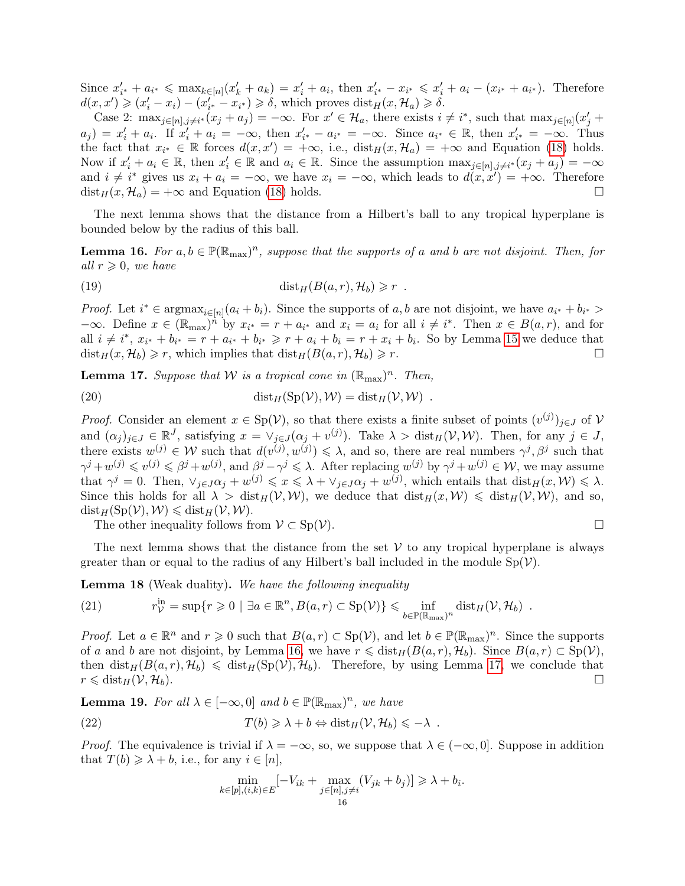Since  $x'_{i^*} + a_{i^*} \le \max_{k \in [n]} (x'_k + a_k) = x'_i + a_i$ , then  $x'_{i^*} - x_{i^*} \le x'_i + a_i - (x_{i^*} + a_{i^*})$ . Therefore  $d(x, x') \geqslant (x'_i - x_i) - (x'_i - x_i) \geqslant \delta$ , which proves  $dist_H(x, \mathcal{H}_a) \geqslant \delta$ .

Case 2:  $\max_{j\in[n],j\neq i^*}(x_j+a_j)=-\infty$ . For  $x'\in\mathcal{H}_a$ , there exists  $i\neq i^*$ , such that  $\max_{j\in[n]}(x'_j+a_j)$  $a_j$  =  $x'_i + a_i$ . If  $x'_i + a_i = -\infty$ , then  $x'_{i^*} - a_{i^*} = -\infty$ . Since  $a_{i^*} \in \mathbb{R}$ , then  $x'_{i^*} = -\infty$ . Thus the fact that  $x_{i^*} \in \mathbb{R}$  forces  $d(x, x') = +\infty$ , i.e.,  $dist_H(x, \mathcal{H}_a) = +\infty$  and Equation [\(18\)](#page-14-1) holds. Now if  $x'_i + a_i \in \mathbb{R}$ , then  $x'_i \in \mathbb{R}$  and  $a_i \in \mathbb{R}$ . Since the assumption  $\max_{j \in [n], j \neq i^*} (x_j + a_j) = -\infty$ and  $i \neq i^*$  gives us  $x_i + a_i = -\infty$ , we have  $x_i = -\infty$ , which leads to  $d(x, x') = +\infty$ . Therefore  $dist_H(x, \mathcal{H}_a) = +\infty$  and Equation [\(18\)](#page-14-1) holds.

The next lemma shows that the distance from a Hilbert's ball to any tropical hyperplane is bounded below by the radius of this ball.

<span id="page-15-0"></span>**Lemma 16.** For  $a, b \in \mathbb{P}(\mathbb{R}_{max})^n$ , suppose that the supports of a and b are not disjoint. Then, for all  $r \geqslant 0$ , we have

(19) 
$$
\text{dist}_H(B(a,r), \mathcal{H}_b) \geq r .
$$

*Proof.* Let  $i^* \in \text{argmax}_{i \in [n]} (a_i + b_i)$ . Since the supports of a, b are not disjoint, we have  $a_{i^*} + b_{i^*} >$  $-\infty$ . Define  $x \in (\mathbb{R}_{max})^n$  by  $x_{i^*} = r + a_{i^*}$  and  $x_i = a_i$  for all  $i \neq i^*$ . Then  $x \in B(a, r)$ , and for all  $i \neq i^*, x_{i^*} + b_{i^*} = r + a_{i^*} + b_{i^*} \geq r + a_i + b_i = r + x_i + b_i$ . So by Lemma [15](#page-14-2) we deduce that  $dist_H(x, \mathcal{H}_b) \geq r$ , which implies that  $dist_H(B(a, r), \mathcal{H}_b) \geq r$ .

<span id="page-15-1"></span>**Lemma 17.** Suppose that W is a tropical cone in  $(\mathbb{R}_{max})^n$ . Then,

(20) 
$$
\text{dist}_H(\text{Sp}(\mathcal{V}), \mathcal{W}) = \text{dist}_H(\mathcal{V}, \mathcal{W}) .
$$

*Proof.* Consider an element  $x \in Sp(V)$ , so that there exists a finite subset of points  $(v^{(j)})_{j\in J}$  of V and  $(\alpha_j)_{j\in J} \in \mathbb{R}^J$ , satisfying  $x = \vee_{j\in J}(\alpha_j + v^{(j)})$ . Take  $\lambda > \text{dist}_H(\mathcal{V}, \mathcal{W})$ . Then, for any  $j \in J$ , there exists  $w^{(j)} \in \mathcal{W}$  such that  $d(v^{(j)}, w^{(j)}) \leq \lambda$ , and so, there are real numbers  $\gamma^j, \beta^j$  such that  $\gamma^j + w^{(j)} \leq v^{(j)} \leq \beta^j + w^{(j)}$ , and  $\beta^j - \gamma^j \leq \lambda$ . After replacing  $w^{(j)}$  by  $\gamma^j + w^{(j)} \in \mathcal{W}$ , we may assume that  $\gamma^j = 0$ . Then,  $\forall_{j \in J} \alpha_j + w^{(j)} \leq x \leq \lambda + \forall_{j \in J} \alpha_j + w^{(j)}$ , which entails that  $dist_H(x, \mathcal{W}) \leq \lambda$ . Since this holds for all  $\lambda > \text{dist}_H(\mathcal{V}, \mathcal{W})$ , we deduce that  $\text{dist}_H(x, \mathcal{W}) \leq \text{dist}_H(\mathcal{V}, \mathcal{W})$ , and so,  $dist_H(Sp(\mathcal{V}), \mathcal{W}) \leq \text{dist}_H(\mathcal{V}, \mathcal{W}).$ 

The other inequality follows from  $\mathcal{V} \subset Sp(\mathcal{V})$ .

$$
\Box
$$

The next lemma shows that the distance from the set  $V$  to any tropical hyperplane is always greater than or equal to the radius of any Hilbert's ball included in the module  $Sp(\mathcal{V})$ .

Lemma 18 (Weak duality). We have the following inequality

<span id="page-15-3"></span>(21) 
$$
r_{\mathcal{V}}^{\text{in}} = \sup\{r \geq 0 \mid \exists a \in \mathbb{R}^n, B(a,r) \subset \text{Sp}(\mathcal{V})\} \leq \inf_{b \in \mathbb{P}(\mathbb{R}_{\text{max}})^n} \text{dist}_H(\mathcal{V}, \mathcal{H}_b) .
$$

*Proof.* Let  $a \in \mathbb{R}^n$  and  $r \geq 0$  such that  $B(a, r) \subset \text{Sp}(\mathcal{V})$ , and let  $b \in \mathbb{P}(\mathbb{R}_{max})^n$ . Since the supports of a and b are not disjoint, by Lemma [16,](#page-15-0) we have  $r \leq \text{dist}_{H}(B(a, r), \mathcal{H}_{b})$ . Since  $B(a, r) \subset \text{Sp}(\mathcal{V})$ , then  $dist_H(B(a, r), \mathcal{H}_b) \leq \text{dist}_H(\text{Sp}(\mathcal{V}), \mathcal{H}_b)$ . Therefore, by using Lemma [17,](#page-15-1) we conclude that  $r \leqslant \text{dist}_H(\mathcal{V}, \mathcal{H}_b).$ 

<span id="page-15-2"></span>**Lemma 19.** For all  $\lambda \in [-\infty, 0]$  and  $b \in \mathbb{P}(\mathbb{R}_{max})^n$ , we have

(22) 
$$
T(b) \geq \lambda + b \Leftrightarrow \text{dist}_H(\mathcal{V}, \mathcal{H}_b) \leq -\lambda.
$$

*Proof.* The equivalence is trivial if  $\lambda = -\infty$ , so, we suppose that  $\lambda \in (-\infty, 0]$ . Suppose in addition that  $T(b) \geq \lambda + b$ , i.e., for any  $i \in [n]$ ,

$$
\min_{k \in [p], (i,k) \in E} [-V_{ik} + \max_{j \in [n], j \neq i} (V_{jk} + b_j)] \ge \lambda + b_i.
$$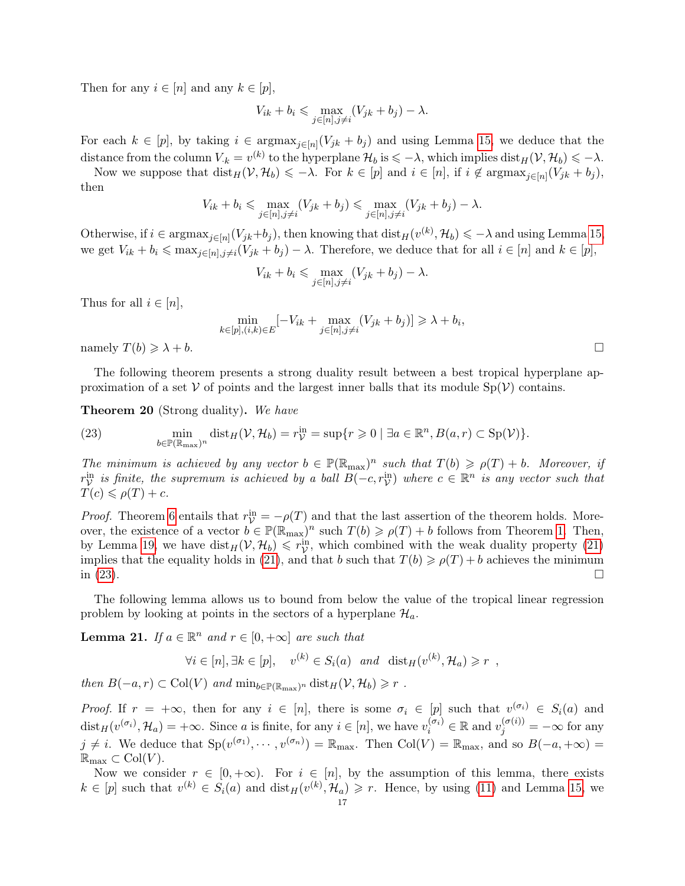Then for any  $i \in [n]$  and any  $k \in [p]$ ,

$$
V_{ik} + b_i \leq \max_{j \in [n], j \neq i} (V_{jk} + b_j) - \lambda.
$$

For each  $k \in [p]$ , by taking  $i \in \text{argmax}_{j \in [n]} (V_{jk} + b_j)$  and using Lemma [15,](#page-14-2) we deduce that the distance from the column  $V_{k} = v^{(k)}$  to the hyperplane  $\mathcal{H}_{b}$  is  $\leqslant -\lambda$ , which implies  $dist_{H}(V, \mathcal{H}_{b}) \leqslant -\lambda$ .

Now we suppose that  $dist_H(\mathcal{V}, \mathcal{H}_b) \leq -\lambda$ . For  $k \in [p]$  and  $i \in [n]$ , if  $i \notin \text{argmax}_{j \in [n]}(V_{jk} + b_j)$ , then

$$
V_{ik} + b_i \leqslant \max_{j \in [n], j \neq i} (V_{jk} + b_j) \leqslant \max_{j \in [n], j \neq i} (V_{jk} + b_j) - \lambda.
$$

Otherwise, if  $i \in \text{argmax}_{j \in [n]} (V_{jk} + b_j)$ , then knowing that  $\text{dist}_H(v^{(k)}, \mathcal{H}_b) \leq -\lambda$  and using Lemma [15,](#page-14-2) we get  $V_{ik} + b_i \leq \max_{j \in [n], j \neq i} (V_{jk} + b_j) - \lambda$ . Therefore, we deduce that for all  $i \in [n]$  and  $k \in [p]$ ,

$$
V_{ik} + b_i \leq \max_{j \in [n], j \neq i} (V_{jk} + b_j) - \lambda.
$$

Thus for all  $i \in [n]$ ,

$$
\min_{k \in [p], (i,k) \in E} [-V_{ik} + \max_{j \in [n], j \neq i} (V_{jk} + b_j)] \geq \lambda + b_i,
$$

namely  $T(b) \geq \lambda + b$ .

The following theorem presents a strong duality result between a best tropical hyperplane approximation of a set  $V$  of points and the largest inner balls that its module  $Sp(V)$  contains.

<span id="page-16-0"></span>Theorem 20 (Strong duality). We have

<span id="page-16-1"></span>(23) 
$$
\min_{b \in \mathbb{P}(\mathbb{R}_{\max})^n} \text{dist}_H(\mathcal{V}, \mathcal{H}_b) = r_{\mathcal{V}}^{\text{in}} = \sup\{r \geq 0 \mid \exists a \in \mathbb{R}^n, B(a, r) \subset \text{Sp}(\mathcal{V})\}.
$$

The minimum is achieved by any vector  $b \in \mathbb{P}(\mathbb{R}_{max})^n$  such that  $T(b) \geq \rho(T) + b$ . Moreover, if  $r_V^{\text{in}}$  is finite, the supremum is achieved by a ball  $B(-c, r_V^{\text{in}})$  where  $c \in \mathbb{R}^n$  is any vector such that  $T(c) \leqslant \rho(T) + c.$ 

*Proof.* Theorem [6](#page-9-1) entails that  $r_{\mathcal{V}}^{\text{in}} = -\rho(T)$  and that the last assertion of the theorem holds. Moreover, the existence of a vector  $b \in \mathbb{P}(\mathbb{R}_{max})^n$  such  $T(b) \geq \rho(T) + b$  follows from Theorem [1.](#page-7-1) Then, by Lemma [19,](#page-15-2) we have  $dist_H(V, H_b) \leq r_V^{\text{in}}$ , which combined with the weak duality property [\(21\)](#page-15-3) implies that the equality holds in [\(21\)](#page-15-3), and that b such that  $T(b) \geq \rho(T) + b$  achieves the minimum in  $(23)$ .

The following lemma allows us to bound from below the value of the tropical linear regression problem by looking at points in the sectors of a hyperplane  $\mathcal{H}_a$ .

<span id="page-16-2"></span>**Lemma 21.** If  $a \in \mathbb{R}^n$  and  $r \in [0, +\infty]$  are such that

$$
\forall i \in [n], \exists k \in [p], \quad v^{(k)} \in S_i(a) \quad \text{and} \quad \text{dist}_H(v^{(k)}, \mathcal{H}_a) \geq r \enspace ,
$$

then  $B(-a,r) \subset \text{Col}(V)$  and  $\min_{b \in \mathbb{P}(\mathbb{R}_{max})^n} \text{dist}_H(V, \mathcal{H}_b) \geq r$ .

*Proof.* If  $r = +\infty$ , then for any  $i \in [n]$ , there is some  $\sigma_i \in [p]$  such that  $v^{(\sigma_i)} \in S_i(a)$  and  $dist_H(v^{(\sigma_i)}, \mathcal{H}_a) = +\infty$ . Since a is finite, for any  $i \in [n]$ , we have  $v_i^{(\sigma_i)} \in \mathbb{R}$  and  $v_j^{(\sigma(i))} = -\infty$  for any  $j \neq i$ . We deduce that  $Sp(v^{(\sigma_1)}, \dots, v^{(\sigma_n)}) = \mathbb{R}_{\text{max}}$ . Then  $Col(V) = \mathbb{R}_{\text{max}}$ , and so  $B(-a, +\infty) =$  $\mathbb{R}_{\max} \subset \text{Col}(V)$ .

Now we consider  $r \in [0, +\infty)$ . For  $i \in [n]$ , by the assumption of this lemma, there exists  $k \in [p]$  such that  $v^{(k)} \in S_i(a)$  and  $dist_H(v^{(k)}, \mathcal{H}_a) \geq r$ . Hence, by using [\(11\)](#page-9-3) and Lemma [15,](#page-14-2) we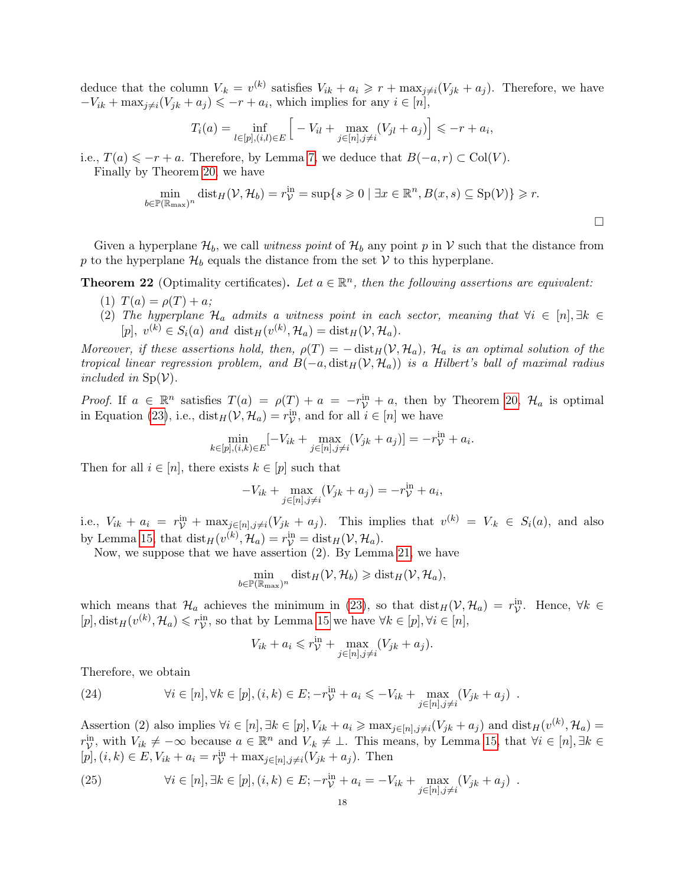deduce that the column  $V_{k} = v^{(k)}$  satisfies  $V_{ik} + a_i \geq r + \max_{j \neq i} (V_{jk} + a_j)$ . Therefore, we have  $-V_{ik} + \max_{j \neq i} (V_{jk} + a_j) \leq -r + a_i$ , which implies for any  $i \in [n]$ ,

$$
T_i(a) = \inf_{l \in [p], (i,l) \in E} \left[ -V_{il} + \max_{j \in [n], j \neq i} (V_{jl} + a_j) \right] \leq -r + a_i,
$$

i.e.,  $T(a) \leqslant -r + a$ . Therefore, by Lemma [7,](#page-10-3) we deduce that  $B(-a, r) \subset Col(V)$ .

Finally by Theorem [20,](#page-16-0) we have

$$
\min_{b \in \mathbb{P}(\mathbb{R}_{\max})^n} \text{dist}_H(\mathcal{V}, \mathcal{H}_b) = r_{\mathcal{V}}^{\text{in}} = \sup\{s \geq 0 \mid \exists x \in \mathbb{R}^n, B(x, s) \subseteq \text{Sp}(\mathcal{V})\} \geq r.
$$

 $\Box$ 

Given a hyperplane  $\mathcal{H}_b$ , we call witness point of  $\mathcal{H}_b$  any point p in V such that the distance from p to the hyperplane  $\mathcal{H}_b$  equals the distance from the set V to this hyperplane.

<span id="page-17-2"></span>**Theorem 22** (Optimality certificates). Let  $a \in \mathbb{R}^n$ , then the following assertions are equivalent:

- (1)  $T(a) = \rho(T) + a;$
- (2) The hyperplane  $\mathcal{H}_a$  admits a witness point in each sector, meaning that  $\forall i \in [n], \exists k \in$  $[p], v^{(k)} \in S_i(a)$  and  $\text{dist}_H(v^{(k)}, \mathcal{H}_a) = \text{dist}_H(\mathcal{V}, \mathcal{H}_a)$ .

Moreover, if these assertions hold, then,  $\rho(T) = -\text{dist}_H(V, \mathcal{H}_a)$ ,  $\mathcal{H}_a$  is an optimal solution of the tropical linear regression problem, and  $B(-a, dist_H(V, H_a))$  is a Hilbert's ball of maximal radius included in  $\text{Sp}(\mathcal{V})$ .

*Proof.* If  $a \in \mathbb{R}^n$  satisfies  $T(a) = \rho(T) + a = -r^{\text{in}}_{\mathcal{V}} + a$ , then by Theorem [20,](#page-16-0)  $\mathcal{H}_a$  is optimal in Equation [\(23\)](#page-16-1), i.e.,  $dist_H(V, \mathcal{H}_a) = r_V^{\text{in}}$ , and for all  $i \in [n]$  we have

$$
\min_{k \in [p], (i,k) \in E} [-V_{ik} + \max_{j \in [n], j \neq i} (V_{jk} + a_j)] = -r_{\mathcal{V}}^{\text{in}} + a_i.
$$

Then for all  $i \in [n]$ , there exists  $k \in [p]$  such that

$$
-V_{ik} + \max_{j \in [n], j \neq i} (V_{jk} + a_j) = -r_{\mathcal{V}}^{\text{in}} + a_i,
$$

i.e.,  $V_{ik} + a_i = r_{\mathcal{V}}^{\text{in}} + \max_{j \in [n], j \neq i} (V_{jk} + a_j)$ . This implies that  $v^{(k)} = V_{ik} \in S_i(a)$ , and also by Lemma [15,](#page-14-2) that  $dist_H(v^{(k)}, \mathcal{H}_a) = r_{\mathcal{V}}^{\text{in}} = dist_H(\mathcal{V}, \mathcal{H}_a)$ .

Now, we suppose that we have assertion (2). By Lemma [21,](#page-16-2) we have

$$
\min_{b \in \mathbb{P}(\mathbb{R}_{\max})^n} \text{dist}_H(\mathcal{V}, \mathcal{H}_b) \geqslant \text{dist}_H(\mathcal{V}, \mathcal{H}_a),
$$

which means that  $\mathcal{H}_a$  achieves the minimum in [\(23\)](#page-16-1), so that  $dist_H(\mathcal{V}, \mathcal{H}_a) = r_{\mathcal{V}}^{\text{in}}$ . Hence,  $\forall k \in$  $[p], \text{dist}_H(v^{(k)}, \mathcal{H}_a) \leqslant r_{\mathcal{V}}^{\text{in}},$  so that by Lemma [15](#page-14-2) we have  $\forall k \in [p], \forall i \in [n]$ ,

$$
V_{ik} + a_i \leqslant r^{\text{in}}_{\mathcal{V}} + \max_{j \in [n], j \neq i} (V_{jk} + a_j).
$$

Therefore, we obtain

<span id="page-17-0"></span>(24) 
$$
\forall i \in [n], \forall k \in [p], (i,k) \in E; -r_{\mathcal{V}}^{\text{in}} + a_i \leqslant -V_{ik} + \max_{j \in [n], j \neq i} (V_{jk} + a_j) .
$$

Assertion (2) also implies  $\forall i \in [n], \exists k \in [p], V_{ik} + a_i \ge \max_{j \in [n], j \neq i} (V_{jk} + a_j)$  and  $\text{dist}_H(v^{(k)}, \mathcal{H}_a) =$  $r_{\mathcal{V}}^{\text{in}}$ , with  $V_{ik} \neq -\infty$  because  $a \in \mathbb{R}^n$  and  $V_{ik} \neq \bot$ . This means, by Lemma [15,](#page-14-2) that  $\forall i \in [n], \exists k \in$  $[p], (i, k) \in E, V_{ik} + a_i = r_{\mathcal{V}}^{\text{in}} + \max_{j \in [n], j \neq i} (V_{jk} + a_j)$ . Then

<span id="page-17-1"></span>(25) 
$$
\forall i \in [n], \exists k \in [p], (i,k) \in E; -r_{\mathcal{V}}^{\text{in}} + a_i = -V_{ik} + \max_{j \in [n], j \neq i} (V_{jk} + a_j) .
$$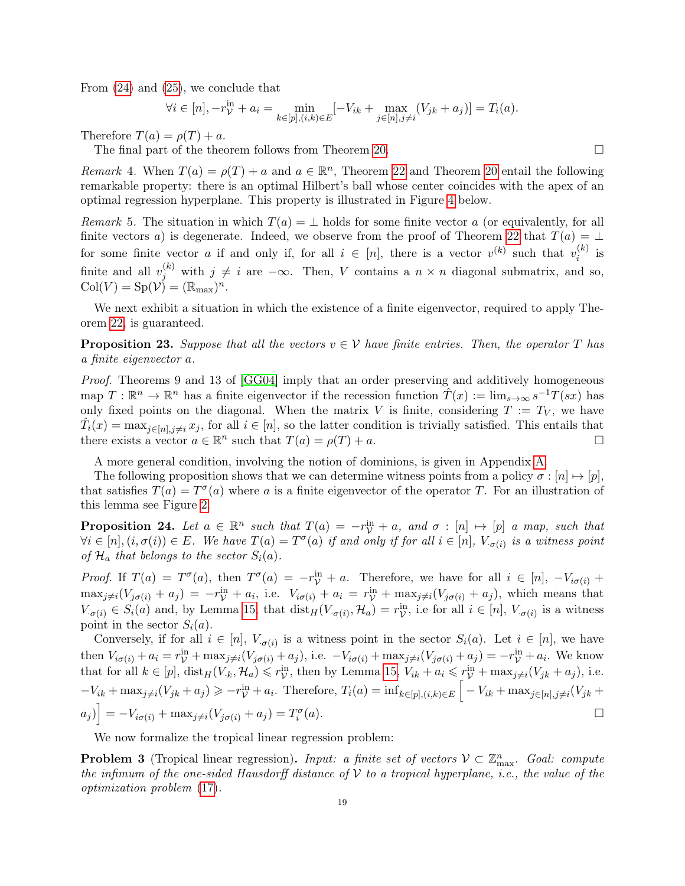From [\(24\)](#page-17-0) and [\(25\)](#page-17-1), we conclude that

$$
\forall i \in [n], -r_{\mathcal{V}}^{\text{in}} + a_i = \min_{k \in [p], (i,k) \in E} [-V_{ik} + \max_{j \in [n], j \neq i} (V_{jk} + a_j)] = T_i(a).
$$

Therefore  $T(a) = \rho(T) + a$ .

The final part of the theorem follows from Theorem [20.](#page-16-0)

<span id="page-18-1"></span>Remark 4. When  $T(a) = \rho(T) + a$  and  $a \in \mathbb{R}^n$ , Theorem [22](#page-17-2) and Theorem [20](#page-16-0) entail the following remarkable property: there is an optimal Hilbert's ball whose center coincides with the apex of an optimal regression hyperplane. This property is illustrated in Figure [4](#page-20-1) below.

Remark 5. The situation in which  $T(a) = \perp$  holds for some finite vector a (or equivalently, for all finite vectors a) is degenerate. Indeed, we observe from the proof of Theorem [22](#page-17-2) that  $T(a) = \perp$ for some finite vector a if and only if, for all  $i \in [n]$ , there is a vector  $v^{(k)}$  such that  $v_i^{(k)}$  $i^{(\kappa)}$  is finite and all  $v_j^{(k)}$  with  $j \neq i$  are  $-\infty$ . Then, V contains a  $n \times n$  diagonal submatrix, and so,  $Col(V) = Sp(V) = (\mathbb{R}_{\text{max}})^n$ .

We next exhibit a situation in which the existence of a finite eigenvector, required to apply Theorem [22,](#page-17-2) is guaranteed.

<span id="page-18-2"></span>**Proposition 23.** Suppose that all the vectors  $v \in V$  have finite entries. Then, the operator T has a finite eigenvector a.

Proof. Theorems 9 and 13 of [\[GG04\]](#page-39-22) imply that an order preserving and additively homogeneous map  $T: \mathbb{R}^n \to \mathbb{R}^n$  has a finite eigenvector if the recession function  $\hat{T}(x) := \lim_{s \to \infty} s^{-1}T(sx)$  has only fixed points on the diagonal. When the matrix V is finite, considering  $T := T_V$ , we have  $\hat{T}_i(x) = \max_{j \in [n], j \neq i} x_j$ , for all  $i \in [n]$ , so the latter condition is trivially satisfied. This entails that there exists a vector  $a \in \mathbb{R}^n$  such that  $T(a) = \rho(T) + a$ .

A more general condition, involving the notion of dominions, is given in Appendix [A.](#page-34-0)

The following proposition shows that we can determine witness points from a policy  $\sigma : [n] \mapsto [p],$ that satisfies  $T(a) = T^{\sigma}(a)$  where a is a finite eigenvector of the operator T. For an illustration of this lemma see Figure [2.](#page-13-0)

**Proposition 24.** Let  $a \in \mathbb{R}^n$  such that  $T(a) = -r_{\mathcal{V}}^{\text{in}} + a$ , and  $\sigma : [n] \mapsto [p]$  a map, such that  $\forall i \in [n], (i, \sigma(i)) \in E$ . We have  $T(a) = T^{\sigma}(a)$  if and only if for all  $i \in [n]$ ,  $V_{\sigma(i)}$  is a witness point of  $\mathcal{H}_a$  that belongs to the sector  $S_i(a)$ .

Proof. If  $T(a) = T^{\sigma}(a)$ , then  $T^{\sigma}(a) = -r^{\text{in}}_{\mathcal{V}} + a$ . Therefore, we have for all  $i \in [n]$ ,  $-V_{i\sigma(i)} +$  $\max_{j\neq i}(V_{j\sigma(i)} + a_j) = -r_{\mathcal{V}}^{\text{in}} + a_i$ , i.e.  $V_{i\sigma(i)} + a_i = r_{\mathcal{V}}^{\text{in}} + \max_{j\neq i}(V_{j\sigma(i)} + a_j)$ , which means that  $V_{\sigma(i)} \in S_i(a)$  and, by Lemma [15,](#page-14-2) that  $dist_H(V_{\sigma(i)}, \mathcal{H}_a) = r_{\mathcal{V}}^{\text{in}}$ , i.e for all  $i \in [n]$ ,  $V_{\sigma(i)}$  is a witness point in the sector  $S_i(a)$ .

Conversely, if for all  $i \in [n]$ ,  $V_{\sigma(i)}$  is a witness point in the sector  $S_i(a)$ . Let  $i \in [n]$ , we have then  $V_{i\sigma(i)} + a_i = r_V^{\text{in}} + \max_{j \neq i} (V_{j\sigma(i)} + a_j)$ , i.e.  $-V_{i\sigma(i)} + \max_{j \neq i} (V_{j\sigma(i)} + a_j) = -r_V^{\text{in}} + a_i$ . We know that for all  $k \in [p]$ ,  $dist_H(V_k, \mathcal{H}_a) \leqslant r_V^{\text{in}}$ , then by Lemma [15,](#page-14-2)  $V_{ik} + a_i \leqslant r_V^{\text{in}} + \max_{j \neq i} (V_{jk} + a_j)$ , i.e.  $-V_{ik} + \max_{j \neq i} (V_{jk} + a_j) \geqslant -r_{\mathcal{V}}^{\text{in}} + a_i$ . Therefore,  $T_i(a) = \inf_{k \in [p], (i,k) \in E} \left[ -V_{ik} + \max_{j \in [n], j \neq i} (V_{jk} + a_j) \right]$  $[a_j]$  =  $-V_{i\sigma(i)}$  + max<sub>j≠i</sub>( $V_{j\sigma(i)}$  +  $a_j$ ) =  $T_i^{\sigma(j)}$  $(a)$ .

We now formalize the tropical linear regression problem:

<span id="page-18-0"></span>**Problem 3** (Tropical linear regression). Input: a finite set of vectors  $V \subset \mathbb{Z}_{\max}^n$ . Goal: compute the infimum of the one-sided Hausdorff distance of  $V$  to a tropical hyperplane, i.e., the value of the optimization problem [\(17\)](#page-14-3).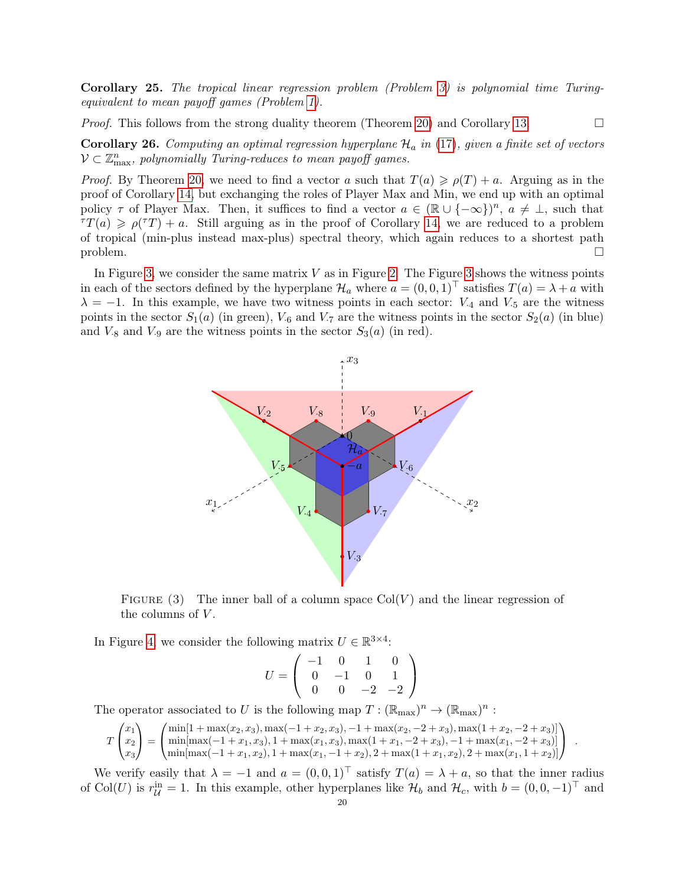Corollary 25. The tropical linear regression problem (Problem [3\)](#page-18-0) is polynomial time Turingequivalent to mean payoff games (Problem [1\)](#page-5-0).

*Proof.* This follows from the strong duality theorem (Theorem [20\)](#page-16-0) and Corollary [13.](#page-12-1)

<span id="page-19-1"></span>**Corollary 26.** Computing an optimal regression hyperplane  $\mathcal{H}_a$  in [\(17\)](#page-14-3), given a finite set of vectors  $V \subset \mathbb{Z}_{\max}^n$ , polynomially Turing-reduces to mean payoff games.

*Proof.* By Theorem [20,](#page-16-0) we need to find a vector a such that  $T(a) \geqslant \rho(T) + a$ . Arguing as in the proof of Corollary [14,](#page-12-2) but exchanging the roles of Player Max and Min, we end up with an optimal policy  $\tau$  of Player Max. Then, it suffices to find a vector  $a \in (\mathbb{R} \cup \{-\infty\})^n$ ,  $a \neq \bot$ , such that  $\tau(T(a) \geq \rho(T) + a$ . Still arguing as in the proof of Corollary [14,](#page-12-2) we are reduced to a problem of tropical (min-plus instead max-plus) spectral theory, which again reduces to a shortest path  $\Box$ 

<span id="page-19-0"></span>In Figure [3,](#page-19-0) we consider the same matrix  $V$  as in Figure [2.](#page-13-0) The Figure [3](#page-19-0) shows the witness points in each of the sectors defined by the hyperplane  $\mathcal{H}_a$  where  $a = (0, 0, 1)^\top$  satisfies  $T(a) = \lambda + a$  with  $\lambda = -1$ . In this example, we have two witness points in each sector:  $V_{4}$  and  $V_{5}$  are the witness points in the sector  $S_1(a)$  (in green),  $V_6$  and  $V_7$  are the witness points in the sector  $S_2(a)$  (in blue) and  $V_{.8}$  and  $V_{.9}$  are the witness points in the sector  $S_3(a)$  (in red).



FIGURE (3) The inner ball of a column space  $Col(V)$  and the linear regression of the columns of  $V$ .

In Figure [4,](#page-20-1) we consider the following matrix  $U \in \mathbb{R}^{3 \times 4}$ :

$$
U = \left(\begin{array}{rrr} -1 & 0 & 1 & 0 \\ 0 & -1 & 0 & 1 \\ 0 & 0 & -2 & -2 \end{array}\right)
$$

The operator associated to U is the following map  $T : (\mathbb{R}_{max})^n \to (\mathbb{R}_{max})^n$ :

$$
T\begin{pmatrix} x_1 \\ x_2 \\ x_3 \end{pmatrix} = \begin{pmatrix} \min[1 + \max(x_2, x_3), \max(-1 + x_2, x_3), -1 + \max(x_2, -2 + x_3), \max(1 + x_2, -2 + x_3)] \\ \min[\max(-1 + x_1, x_3), 1 + \max(x_1, x_3), \max(1 + x_1, -2 + x_3), -1 + \max(x_1, -2 + x_3)] \\ \min[\max(-1 + x_1, x_2), 1 + \max(x_1, -1 + x_2), 2 + \max(1 + x_1, x_2), 2 + \max(x_1, 1 + x_2)] \end{pmatrix}.
$$

We verify easily that  $\lambda = -1$  and  $a = (0, 0, 1)^\top$  satisfy  $T(a) = \lambda + a$ , so that the inner radius of Col(U) is  $r_{\mathcal{U}}^{\text{in}} = 1$ . In this example, other hyperplanes like  $\mathcal{H}_b$  and  $\mathcal{H}_c$ , with  $b = (0, 0, -1)^\top$  and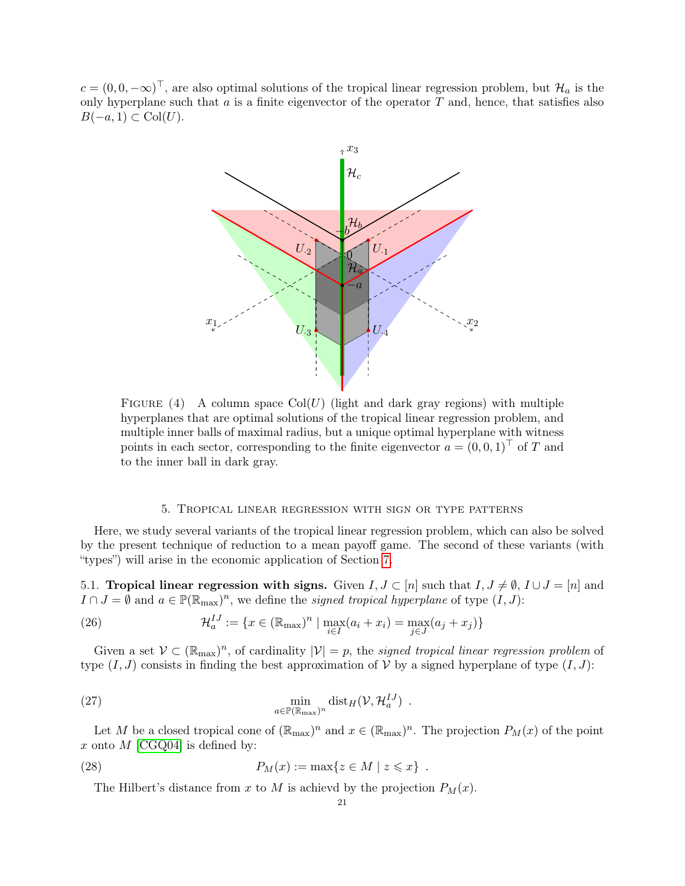<span id="page-20-1"></span> $c = (0, 0, -\infty)^\top$ , are also optimal solutions of the tropical linear regression problem, but  $\mathcal{H}_a$  is the only hyperplane such that  $a$  is a finite eigenvector of the operator  $T$  and, hence, that satisfies also  $B(-a, 1) \subset \text{Col}(U)$ .



FIGURE (4) A column space  $Col(U)$  (light and dark gray regions) with multiple hyperplanes that are optimal solutions of the tropical linear regression problem, and multiple inner balls of maximal radius, but a unique optimal hyperplane with witness points in each sector, corresponding to the finite eigenvector  $a = (0, 0, 1)^\top$  of T and to the inner ball in dark gray.

### <span id="page-20-3"></span>5. Tropical linear regression with sign or type patterns

<span id="page-20-0"></span>Here, we study several variants of the tropical linear regression problem, which can also be solved by the present technique of reduction to a mean payoff game. The second of these variants (with "types") will arise in the economic application of Section [7.](#page-30-0)

5.1. Tropical linear regression with signs. Given  $I, J \subset [n]$  such that  $I, J \neq \emptyset, I \cup J = [n]$  and  $I \cap J = \emptyset$  and  $a \in \mathbb{P}(\mathbb{R}_{max})^n$ , we define the *signed tropical hyperplane* of type  $(I, J)$ :

(26) 
$$
\mathcal{H}_a^{IJ} := \{ x \in (\mathbb{R}_{\text{max}})^n \mid \max_{i \in I} (a_i + x_i) = \max_{j \in J} (a_j + x_j) \}
$$

Given a set  $V \subset (\mathbb{R}_{max})^n$ , of cardinality  $|V| = p$ , the *signed tropical linear regression problem* of type  $(I, J)$  consists in finding the best approximation of V by a signed hyperplane of type  $(I, J)$ :

(27) 
$$
\min_{a \in \mathbb{P}(\mathbb{R}_{\max})^n} \text{dist}_H(\mathcal{V}, \mathcal{H}_a^{IJ}) .
$$

Let M be a closed tropical cone of  $(\mathbb{R}_{max})^n$  and  $x \in (\mathbb{R}_{max})^n$ . The projection  $P_M(x)$  of the point x onto  $M$  [\[CGQ04\]](#page-38-2) is defined by:

(28) 
$$
P_M(x) := \max\{z \in M \mid z \leqslant x\}.
$$

<span id="page-20-4"></span><span id="page-20-2"></span>The Hilbert's distance from x to M is achievd by the projection  $P_M(x)$ .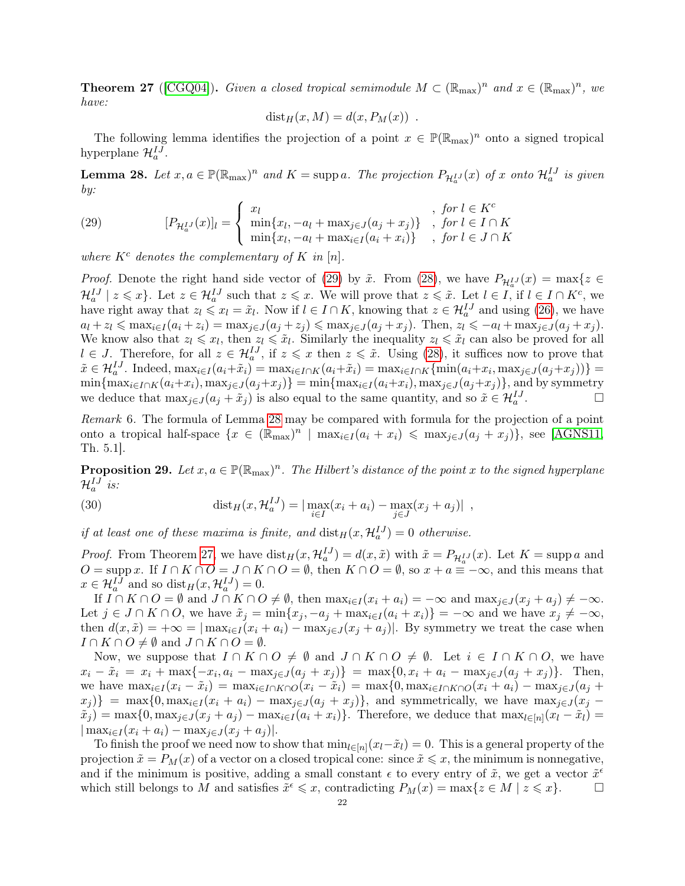**Theorem 27** ([\[CGQ04\]](#page-38-2)). Given a closed tropical semimodule  $M \subset (\mathbb{R}_{max})^n$  and  $x \in (\mathbb{R}_{max})^n$ , we have:

$$
dist_H(x, M) = d(x, P_M(x)) .
$$

The following lemma identifies the projection of a point  $x \in \mathbb{P}(\mathbb{R}_{max})^n$  onto a signed tropical hyperplane  $\mathcal{H}_a^{IJ}$ .

<span id="page-21-1"></span>**Lemma 28.** Let  $x, a \in \mathbb{P}(\mathbb{R}_{max})^n$  and  $K = \text{supp } a$ . The projection  $P_{\mathcal{H}_a^{\{I\}}}(x)$  of x onto  $\mathcal{H}_a^{\{I\}}$  is given by:

<span id="page-21-0"></span>(29) 
$$
[P_{\mathcal{H}_a^{IJ}}(x)]_l = \begin{cases} x_l & , \text{ for } l \in K^c \\ \min\{x_l, -a_l + \max_{j \in J}(a_j + x_j)\} & , \text{ for } l \in I \cap K \\ \min\{x_l, -a_l + \max_{i \in I}(a_i + x_i)\} & , \text{ for } l \in J \cap K \end{cases}
$$

where  $K^c$  denotes the complementary of K in [n].

*Proof.* Denote the right hand side vector of [\(29\)](#page-21-0) by  $\tilde{x}$ . From [\(28\)](#page-20-2), we have  $P_{\mathcal{H}_a^{IJ}}(x) = \max\{z \in \mathbb{R}^d\}$  $\mathcal{H}_a^{IJ} \mid z \leqslant x$ . Let  $z \in \mathcal{H}_a^{IJ}$  such that  $z \leqslant x$ . We will prove that  $z \leqslant \tilde{x}$ . Let  $l \in I$ , if  $l \in I \cap K^c$ , we have right away that  $z_l \leq x_l = \tilde{x}_l$ . Now if  $l \in I \cap K$ , knowing that  $z \in \mathcal{H}_a^{IJ}$  and using [\(26\)](#page-20-3), we have  $a_l + z_l \leqslant \max_{i \in I} (a_i + z_i) = \max_{j \in J} (a_j + z_j) \leqslant \max_{j \in J} (a_j + x_j)$ . Then,  $z_l \leqslant -a_l + \max_{j \in J} (a_j + x_j)$ . We know also that  $z_l \leqslant x_l$ , then  $z_l \leqslant \tilde{x}_l$ . Similarly the inequality  $z_l \leqslant \tilde{x}_l$  can also be proved for all  $l \in J$ . Therefore, for all  $z \in \mathcal{H}_a^{IJ}$ , if  $z \leqslant x$  then  $z \leqslant \tilde{x}$ . Using [\(28\)](#page-20-2), it suffices now to prove that  $\tilde{x} \in \mathcal{H}_a^{IJ}$ . Indeed,  $\max_{i \in I} (a_i + \tilde{x}_i) = \max_{i \in I \cap K} (a_i + \tilde{x}_i) = \max_{i \in I \cap K} \{\min(a_i + x_i, \max_{j \in J} (a_j + x_j))\}$  $\min\{\max_{i\in I\cap K}(a_i+x_i),\max_{j\in J}(a_j+x_j)\}=\min\{\max_{i\in I}(a_i+x_i),\max_{j\in J}(a_j+x_j)\}\$ , and by symmetry we deduce that  $\max_{j\in J}(a_j + \tilde{x}_j)$  is also equal to the same quantity, and so  $\tilde{x} \in \mathcal{H}_a^{IJ}$ . — П

Remark 6. The formula of Lemma [28](#page-21-1) may be compared with formula for the projection of a point onto a tropical half-space  $\{x \in (\mathbb{R}_{max})^n \mid \max_{i \in I} (a_i + x_i) \leq \max_{j \in J} (a_j + x_j) \}$ , see [\[AGNS11,](#page-38-10) Th. 5.1].

<span id="page-21-2"></span>**Proposition 29.** Let  $x, a \in \mathbb{P}(\mathbb{R}_{max})^n$ . The Hilbert's distance of the point x to the signed hyperplane  $\mathcal{H}_a^{IJ}$  is:

(30) 
$$
\text{dist}_H(x, \mathcal{H}_a^{IJ}) = |\max_{i \in I} (x_i + a_i) - \max_{j \in J} (x_j + a_j)|,
$$

if at least one of these maxima is finite, and  $dist_H(x, H_a^{IJ}) = 0$  otherwise.

*Proof.* From Theorem [27,](#page-20-4) we have  $dist_H(x, \mathcal{H}_a^{IJ}) = d(x, \tilde{x})$  with  $\tilde{x} = P_{\mathcal{H}_a^{IJ}}(x)$ . Let  $K = \text{supp } a$  and  $O = \text{supp } x$ . If  $I \cap K \cap O = J \cap K \cap O = \emptyset$ , then  $K \cap O = \emptyset$ , so  $x + a = -\infty$ , and this means that  $x \in \mathcal{H}_a^{IJ}$  and so  $dist_H(x, \mathcal{H}_a^{IJ}) = 0$ .

If  $I \cap K \cap O = \emptyset$  and  $J \cap K \cap O \neq \emptyset$ , then  $\max_{i \in I} (x_i + a_i) = -\infty$  and  $\max_{j \in J} (x_j + a_j) \neq -\infty$ . Let  $j \in J \cap K \cap O$ , we have  $\tilde{x}_j = \min\{x_j, -a_j + \max_{i \in I} (a_i + x_i)\} = -\infty$  and we have  $x_j \neq -\infty$ , then  $d(x, \tilde{x}) = +\infty = |\max_{i \in I} (x_i + a_i) - \max_{i \in J} (x_i + a_i)|$ . By symmetry we treat the case when  $I \cap K \cap O \neq \emptyset$  and  $J \cap K \cap O = \emptyset$ .

Now, we suppose that  $I \cap K \cap O \neq \emptyset$  and  $J \cap K \cap O \neq \emptyset$ . Let  $i \in I \cap K \cap O$ , we have  $x_i - \tilde{x}_i = x_i + \max\{-x_i, a_i - \max_{j \in J}(a_j + x_j)\} = \max\{0, x_i + a_i - \max_{j \in J}(a_j + x_j)\}.$  Then, we have  $\max_{i\in I} (x_i - \tilde{x}_i) = \max_{i\in I\cap K\cap O} (x_i - \tilde{x}_i) = \max\{0, \max_{i\in I\cap K\cap O} (x_i + a_i) - \max_{i\in J} (a_i + a_i)\}$  $x_j$ } = max{0, max<sub>i</sub>∈I(x<sub>i</sub> + a<sub>i</sub>) – max<sub>j∈J</sub>(a<sub>j</sub> + x<sub>j</sub>)}, and symmetrically, we have max<sub>j∈J</sub>(x<sub>j</sub> –  $\tilde{x}_j$ ) = max $\{0, \max_{j \in J} (x_j + a_j) - \max_{i \in I} (a_i + x_i)\}\$ . Therefore, we deduce that  $\max_{l \in [n]} (x_l - \tilde{x}_l)$  =  $|\max_{i \in I} (x_i + a_i) - \max_{j \in J} (x_j + a_j)|.$ 

To finish the proof we need now to show that  $\min_{l\in[n]}(x_l-\tilde{x}_l)=0$ . This is a general property of the projection  $\tilde{x} = P_M(x)$  of a vector on a closed tropical cone: since  $\tilde{x} \leq x$ , the minimum is nonnegative, and if the minimum is positive, adding a small constant  $\epsilon$  to every entry of  $\tilde{x}$ , we get a vector  $\tilde{x}^{\epsilon}$ which still belongs to M and satisfies  $\tilde{x}^{\epsilon} \leqslant x$ , contradicting  $P_M(x) = \max\{z \in M \mid z \leqslant x\}.$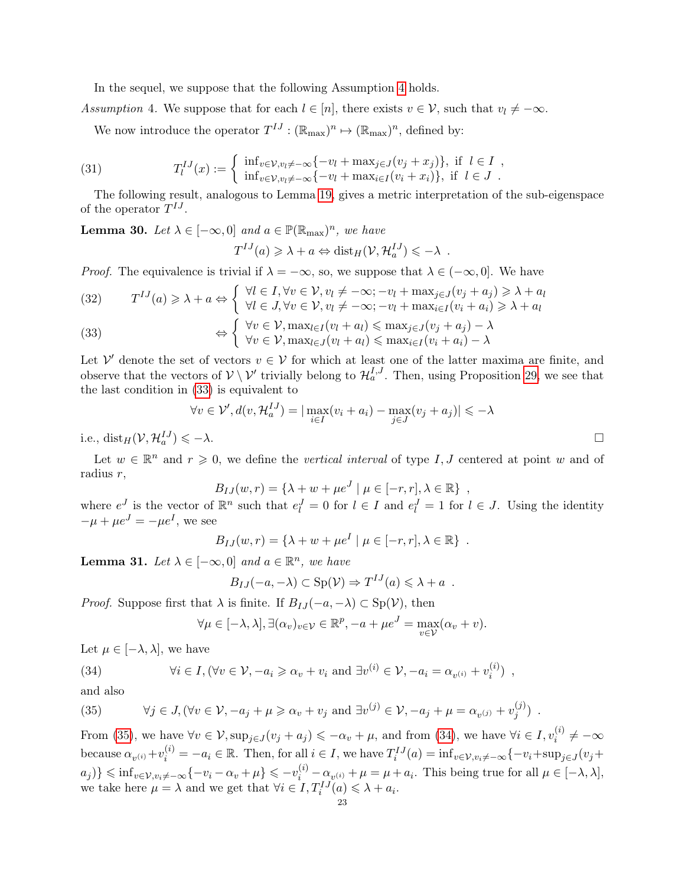In the sequel, we suppose that the following Assumption [4](#page-22-0) holds.

<span id="page-22-0"></span>Assumption 4. We suppose that for each  $l \in [n]$ , there exists  $v \in V$ , such that  $v_l \neq -\infty$ .

<span id="page-22-4"></span>We now introduce the operator  $T^{IJ}: (\mathbb{R}_{\text{max}})^n \mapsto (\mathbb{R}_{\text{max}})^n$ , defined by:

(31) 
$$
T_l^{IJ}(x) := \begin{cases} \inf_{v \in \mathcal{V}, v_l \neq -\infty} \{-v_l + \max_{j \in J} (v_j + x_j)\}, & \text{if } l \in I, \\ \inf_{v \in \mathcal{V}, v_l \neq -\infty} \{-v_l + \max_{i \in I} (v_i + x_i)\}, & \text{if } l \in J. \end{cases}
$$

The following result, analogous to Lemma [19,](#page-15-2) gives a metric interpretation of the sub-eigenspace of the operator  $T^{IJ}$ .

<span id="page-22-6"></span>**Lemma 30.** Let  $\lambda \in [-\infty, 0]$  and  $a \in \mathbb{P}(\mathbb{R}_{max})^n$ , we have

$$
T^{IJ}(a) \geq \lambda + a \Leftrightarrow \text{dist}_H(\mathcal{V}, \mathcal{H}_a^{IJ}) \leq -\lambda \enspace .
$$

*Proof.* The equivalence is trivial if  $\lambda = -\infty$ , so, we suppose that  $\lambda \in (-\infty, 0]$ . We have

(32) 
$$
T^{IJ}(a) \ge \lambda + a \Leftrightarrow \begin{cases} \forall l \in I, \forall v \in \mathcal{V}, v_l \ne -\infty; -v_l + \max_{j \in J} (v_j + a_j) \ge \lambda + a_l \\ \forall l \in J, \forall v \in \mathcal{V}, v_l \ne -\infty; -v_l + \max_{i \in I} (v_i + a_i) \ge \lambda + a_l \end{cases}
$$

<span id="page-22-1"></span>(33) 
$$
\Leftrightarrow \begin{cases} \forall v \in \mathcal{V}, \max_{l \in I} (v_l + a_l) \leq \max_{j \in J} (v_j + a_j) - \lambda \\ \forall v \in \mathcal{V}, \max_{l \in J} (v_l + a_l) \leq \max_{i \in I} (v_i + a_i) - \lambda \end{cases}
$$

Let V' denote the set of vectors  $v \in V$  for which at least one of the latter maxima are finite, and observe that the vectors of  $V \setminus V'$  trivially belong to  $\mathcal{H}_a^{I,J}$ . Then, using Proposition [29,](#page-21-2) we see that the last condition in [\(33\)](#page-22-1) is equivalent to

$$
\forall v \in \mathcal{V}', d(v, \mathcal{H}_a^{IJ}) = |\max_{i \in I} (v_i + a_i) - \max_{j \in J} (v_j + a_j)| \leq -\lambda
$$
  

$$
\Box
$$

i.e.,  $dist_H(V, \mathcal{H}_a^{IJ})$ 

Let  $w \in \mathbb{R}^n$  and  $r \geq 0$ , we define the vertical interval of type I, J centered at point w and of radius r,

$$
B_{IJ}(w,r) = \{\lambda + w + \mu e^J \mid \mu \in [-r,r], \lambda \in \mathbb{R}\},
$$

where  $e^J$  is the vector of  $\mathbb{R}^n$  such that  $e_l^J = 0$  for  $l \in I$  and  $e_l^J = 1$  for  $l \in J$ . Using the identity  $-\mu + \mu e^J = -\mu e^I$ , we see

$$
B_{IJ}(w,r) = \{ \lambda + w + \mu e^I \mid \mu \in [-r,r], \lambda \in \mathbb{R} \} .
$$

<span id="page-22-5"></span>**Lemma 31.** Let  $\lambda \in [-\infty, 0]$  and  $a \in \mathbb{R}^n$ , we have

$$
B_{IJ}(-a,-\lambda) \subset \mathrm{Sp}(\mathcal{V}) \Rightarrow T^{IJ}(a) \leq \lambda + a .
$$

*Proof.* Suppose first that  $\lambda$  is finite. If  $B_{IJ}(-a, -\lambda) \subset \text{Sp}(\mathcal{V})$ , then

<span id="page-22-3"></span>
$$
\forall \mu \in [-\lambda, \lambda], \exists (\alpha_v)_{v \in \mathcal{V}} \in \mathbb{R}^p, -a + \mu e^J = \max_{v \in \mathcal{V}} (\alpha_v + v).
$$

Let  $\mu \in [-\lambda, \lambda]$ , we have

(34) 
$$
\forall i \in I, (\forall v \in \mathcal{V}, -a_i \geq \alpha_v + v_i \text{ and } \exists v^{(i)} \in \mathcal{V}, -a_i = \alpha_{v^{(i)}} + v_i^{(i)}),
$$

and also

<span id="page-22-2"></span>(35) 
$$
\forall j \in J, (\forall v \in \mathcal{V}, -a_j + \mu \geq \alpha_v + v_j \text{ and } \exists v^{(j)} \in \mathcal{V}, -a_j + \mu = \alpha_{v^{(j)}} + v_j^{(j)}).
$$

From [\(35\)](#page-22-2), we have  $\forall v \in \mathcal{V}$ ,  $\sup_{j \in J} (v_j + a_j) \leqslant -\alpha_v + \mu$ , and from [\(34\)](#page-22-3), we have  $\forall i \in I, v_i^{(i)} \neq -\infty$ because  $\alpha_{v^{(i)}} + v_i^{(i)} = -a_i \in \mathbb{R}$ . Then, for all  $i \in I$ , we have  $T_i^{IJ}(a) = \inf_{v \in \mathcal{V}, v_i \neq -\infty} \{-v_i + \sup_{j \in J} (v_j + v_j^{(i)})\}$  $a_j$ )}  $\leqslant$  inf<sub>v∈V,v<sub>i</sub> $\neq -\infty$ { $-v_i - \alpha_v + \mu$ }  $\leqslant -v_i^{(i)} - \alpha_{v^{(i)}} + \mu = \mu + a_i$ . This being true for all  $\mu \in [-\lambda, \lambda]$ ,</sub> we take here  $\mu = \lambda$  and we get that  $\forall i \in I, T_i^{IJ}(a) \leq \lambda + a_i$ .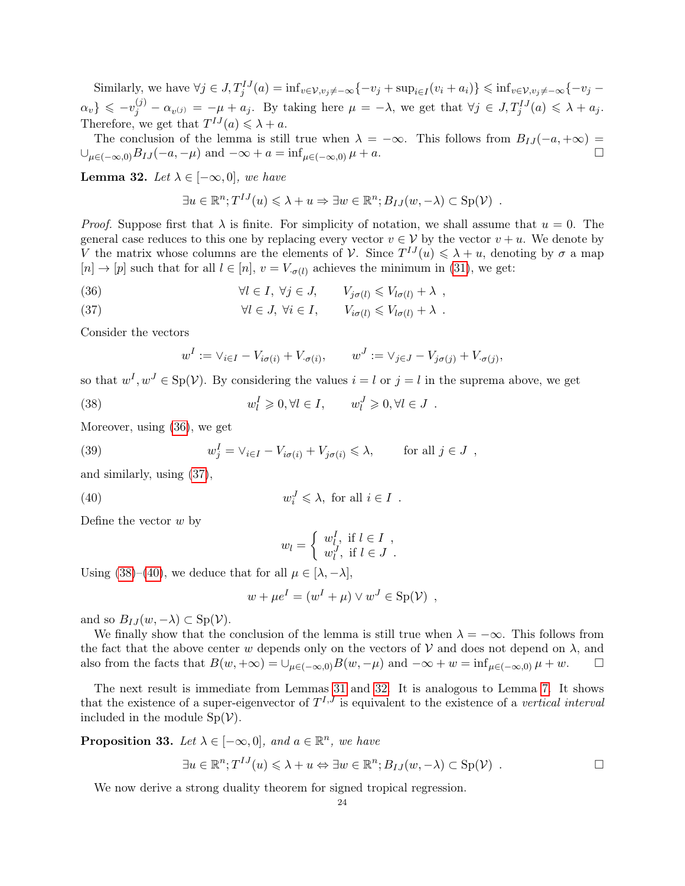Similarly, we have  $\forall j \in J$ ,  $T_j^{IJ}(a) = \inf_{v \in V, v_j \neq -\infty} \{-v_j + \sup_{i \in I} (v_i + a_i)\} \leq \inf_{v \in V, v_j \neq -\infty} \{-v_j - a_i\}$  $\{\alpha_v\} \leqslant -v_j^{(j)} - \alpha_{v^{(j)}} = -\mu + a_j$ . By taking here  $\mu = -\lambda$ , we get that  $\forall j \in J$ ,  $T_j^{IJ}(a) \leqslant \lambda + a_j$ . Therefore, we get that  $T^{IJ}(a) \leq \lambda + a$ .

The conclusion of the lemma is still true when  $\lambda = -\infty$ . This follows from  $B_{IJ}(-a, +\infty)$  $\bigcup_{\mu \in (-\infty,0)} B_{IJ}(-a,-\mu)$  and  $-\infty + a = \inf_{\mu \in (-\infty,0)} \mu + a$ .

<span id="page-23-4"></span>**Lemma 32.** Let  $\lambda \in [-\infty, 0]$ , we have

$$
\exists u \in \mathbb{R}^n; T^{IJ}(u) \leq \lambda + u \Rightarrow \exists w \in \mathbb{R}^n; B_{IJ}(w, -\lambda) \subset \text{Sp}(\mathcal{V}) \ .
$$

*Proof.* Suppose first that  $\lambda$  is finite. For simplicity of notation, we shall assume that  $u = 0$ . The general case reduces to this one by replacing every vector  $v \in V$  by the vector  $v + u$ . We denote by V the matrix whose columns are the elements of V. Since  $T^{IJ}(u) \leq \lambda + u$ , denoting by  $\sigma$  a map  $[n] \to [p]$  such that for all  $l \in [n]$ ,  $v = V_{\sigma(l)}$  achieves the minimum in [\(31\)](#page-22-4), we get:

<span id="page-23-0"></span>(36) 
$$
\forall l \in I, \ \forall j \in J, \qquad V_{j\sigma(l)} \leq V_{l\sigma(l)} + \lambda ,
$$

<span id="page-23-1"></span>(37) 
$$
\forall l \in J, \ \forall i \in I, \qquad V_{i\sigma(l)} \leq V_{l\sigma(l)} + \lambda .
$$

Consider the vectors

$$
w^I := \vee_{i \in I} - V_{i\sigma(i)} + V_{\sigma(i)}, \qquad w^J := \vee_{j \in J} - V_{j\sigma(j)} + V_{\sigma(j)},
$$

so that  $w^I, w^J \in Sp(V)$ . By considering the values  $i = l$  or  $j = l$  in the suprema above, we get

<span id="page-23-2"></span>(38) 
$$
w_l^I \geqslant 0, \forall l \in I, \qquad w_l^J \geqslant 0, \forall l \in J.
$$

Moreover, using [\(36\)](#page-23-0), we get

(39) 
$$
w_j^I = \vee_{i \in I} - V_{i\sigma(i)} + V_{j\sigma(i)} \leq \lambda, \quad \text{for all } j \in J ,
$$

and similarly, using [\(37\)](#page-23-1),

<span id="page-23-3"></span>(40) 
$$
w_i^J \leq \lambda, \text{ for all } i \in I .
$$

Define the vector  $w$  by

$$
w_l = \begin{cases} w_l^I, \text{ if } l \in I, \\ w_l^J, \text{ if } l \in J. \end{cases}
$$

Using [\(38\)](#page-23-2)–[\(40\)](#page-23-3), we deduce that for all  $\mu \in [\lambda, -\lambda]$ ,

$$
w + \mu e^{I} = (w^{I} + \mu) \vee w^{J} \in \text{Sp}(\mathcal{V}) ,
$$

and so  $B_{IJ}(w, -\lambda) \subset \text{Sp}(\mathcal{V})$ .

We finally show that the conclusion of the lemma is still true when  $\lambda = -\infty$ . This follows from the fact that the above center w depends only on the vectors of  $V$  and does not depend on  $\lambda$ , and also from the facts that  $B(w, +\infty) = \bigcup_{\mu \in (-\infty, 0)} B(w, -\mu)$  and  $-\infty + w = \inf_{\mu \in (-\infty, 0)} \mu + w$ .

The next result is immediate from Lemmas [31](#page-22-5) and [32.](#page-23-4) It is analogous to Lemma [7.](#page-10-3) It shows that the existence of a super-eigenvector of  $T^{I,J}$  is equivalent to the existence of a vertical interval included in the module  $Sp(V)$ .

<span id="page-23-5"></span>**Proposition 33.** Let  $\lambda \in [-\infty, 0]$ , and  $a \in \mathbb{R}^n$ , we have

$$
\exists u \in \mathbb{R}^n; T^{IJ}(u) \leq \lambda + u \Leftrightarrow \exists w \in \mathbb{R}^n; B_{IJ}(w, -\lambda) \subset \text{Sp}(\mathcal{V}) \ .
$$

<span id="page-23-6"></span>We now derive a strong duality theorem for signed tropical regression.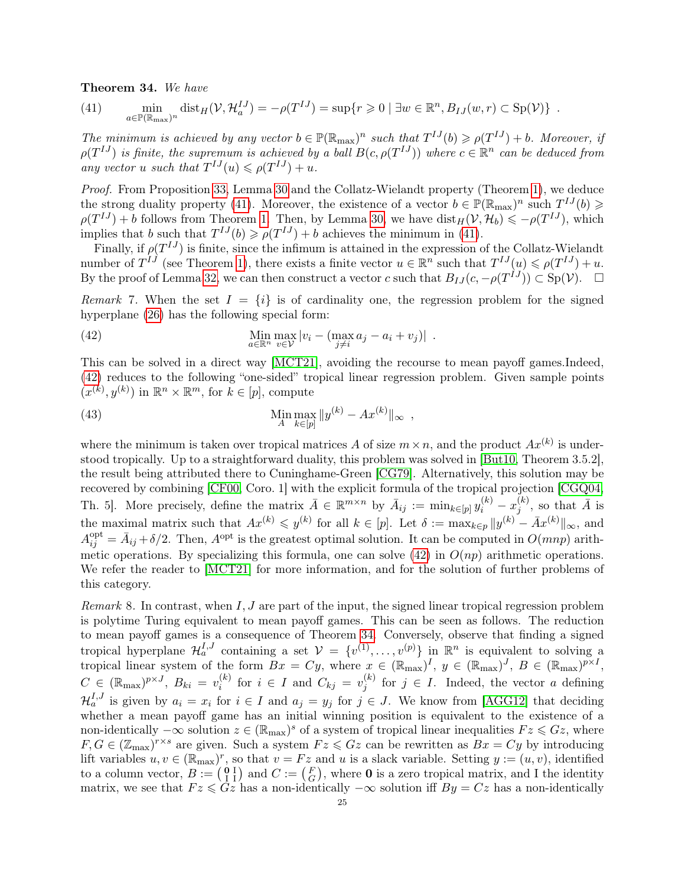# Theorem 34. We have

<span id="page-24-0"></span>(41) 
$$
\min_{a \in \mathbb{P}(\mathbb{R}_{\max})^n} \text{dist}_H(\mathcal{V}, \mathcal{H}_a^{IJ}) = -\rho(T^{IJ}) = \sup\{r \geq 0 \mid \exists w \in \mathbb{R}^n, B_{IJ}(w, r) \subset \text{Sp}(\mathcal{V})\}.
$$

The minimum is achieved by any vector  $b \in \mathbb{P}(\mathbb{R}_{max})^n$  such that  $T^{IJ}(b) \geq \rho(T^{IJ}) + b$ . Moreover, if  $\rho(T^{IJ})$  is finite, the supremum is achieved by a ball  $B(c, \rho(T^{IJ}))$  where  $c \in \mathbb{R}^n$  can be deduced from any vector u such that  $T^{IJ}(u) \leq \rho(T^{IJ}) + u$ .

Proof. From Proposition [33,](#page-23-5) Lemma [30](#page-22-6) and the Collatz-Wielandt property (Theorem [1\)](#page-7-1), we deduce the strong duality property [\(41\)](#page-24-0). Moreover, the existence of a vector  $b \in \mathbb{P}(\mathbb{R}_{max})^n$  such  $T^{IJ}(b) \geq$  $\rho(T^{IJ}) + b$  follows from Theorem [1.](#page-7-1) Then, by Lemma [30,](#page-22-6) we have  $dist_H(V, \mathcal{H}_b) \leq -\rho(T^{IJ})$ , which implies that b such that  $T^{IJ}(b) \geq \rho(T^{IJ}) + b$  achieves the minimum in [\(41\)](#page-24-0).

Finally, if  $\rho(T^{IJ})$  is finite, since the infimum is attained in the expression of the Collatz-Wielandt number of  $T^{IJ}$  (see Theorem [1\)](#page-7-1), there exists a finite vector  $u \in \mathbb{R}^n$  such that  $T^{IJ}(u) \leq \rho(T^{IJ}) + u$ . By the proof of Lemma [32,](#page-23-4) we can then construct a vector c such that  $B_{IJ}(c, -\rho(T^{IJ})) \subset \text{Sp}(\mathcal{V})$ .  $\square$ 

Remark 7. When the set  $I = \{i\}$  is of cardinality one, the regression problem for the signed hyperplane [\(26\)](#page-20-3) has the following special form:

<span id="page-24-1"></span>(42) 
$$
\lim_{a \in \mathbb{R}^n} \max_{v \in \mathcal{V}} |v_i - (\max_{j \neq i} a_j - a_i + v_j)|.
$$

This can be solved in a direct way [\[MCT21\]](#page-39-7), avoiding the recourse to mean payoff games.Indeed, [\(42\)](#page-24-1) reduces to the following "one-sided" tropical linear regression problem. Given sample points  $(x^{(k)}, y^{(k)})$  in  $\mathbb{R}^n \times \mathbb{R}^m$ , for  $k \in [p]$ , compute

(43) 
$$
\lim_{A} \max_{k \in [p]} \|y^{(k)} - Ax^{(k)}\|_{\infty} ,
$$

where the minimum is taken over tropical matrices A of size  $m \times n$ , and the product  $Ax^{(k)}$  is understood tropically. Up to a straightforward duality, this problem was solved in [\[But10,](#page-38-14) Theorem 3.5.2], the result being attributed there to Cuninghame-Green [\[CG79\]](#page-38-24). Alternatively, this solution may be recovered by combining [\[CF00,](#page-38-11) Coro. 1] with the explicit formula of the tropical projection [\[CGQ04,](#page-38-2) Th. 5]. More precisely, define the matrix  $\bar{A} \in \mathbb{R}^{m \times n}$  by  $\bar{A}_{ij} := \min_{k \in [p]} y_i^{(k)} - x_j^{(k)}$  $j^{(k)}$ , so that  $\bar{A}$  is the maximal matrix such that  $Ax^{(k)} \leqslant y^{(k)}$  for all  $k \in [p]$ . Let  $\delta := \max_{k \in p} ||y^{(k)} - \bar{A}x^{(k)}||_{\infty}$ , and  $A_{ij}^{\text{opt}} = \bar{A}_{ij} + \delta/2$ . Then,  $A^{\text{opt}}$  is the greatest optimal solution. It can be computed in  $O(mnp)$  arith-metic operations. By specializing this formula, one can solve [\(42\)](#page-24-1) in  $O(np)$  arithmetic operations. We refer the reader to [\[MCT21\]](#page-39-7) for more information, and for the solution of further problems of this category.

*Remark* 8. In contrast, when  $I, J$  are part of the input, the signed linear tropical regression problem is polytime Turing equivalent to mean payoff games. This can be seen as follows. The reduction to mean payoff games is a consequence of Theorem [34.](#page-23-6) Conversely, observe that finding a signed tropical hyperplane  $\mathcal{H}_a^{I,J}$  containing a set  $\mathcal{V} = \{v^{(1)}, \ldots, v^{(p)}\}$  in  $\mathbb{R}^n$  is equivalent to solving a tropical linear system of the form  $Bx = Cy$ , where  $x \in (\mathbb{R}_{max})^I$ ,  $y \in (\mathbb{R}_{max})^J$ ,  $B \in (\mathbb{R}_{max})^{p \times I}$ ,  $C \in (\mathbb{R}_{\max})^{p \times J}, B_{ki} = v_i^{(k)}$  $i \n\in I$  and  $C_{kj} = v_j^{(k)}$  $j^{(k)}$  for  $j \in I$ . Indeed, the vector a defining  $\mathcal{H}_a^{I,J}$  is given by  $a_i = x_i$  for  $i \in I$  and  $a_j = y_j$  for  $j \in J$ . We know from [\[AGG12\]](#page-37-0) that deciding whether a mean payoff game has an initial winning position is equivalent to the existence of a non-identically  $-\infty$  solution  $z \in (\mathbb{R}_{\text{max}})^s$  of a system of tropical linear inequalities  $Fz \leqslant Gz$ , where  $F, G \in (\mathbb{Z}_{max})^{r \times s}$  are given. Such a system  $Fz \leq Gz$  can be rewritten as  $Bx = Cy$  by introducing lift variables  $u, v \in (\mathbb{R}_{max})^r$ , so that  $v = Fz$  and u is a slack variable. Setting  $y := (u, v)$ , identified to a column vector,  $B := \begin{pmatrix} 0 & I \\ I & I \end{pmatrix}$  and  $C := \begin{pmatrix} F \\ G \end{pmatrix}$ , where **0** is a zero tropical matrix, and I the identity matrix, we see that  $Fz \leq Gz$  has a non-identically  $-\infty$  solution iff  $By = Cz$  has a non-identically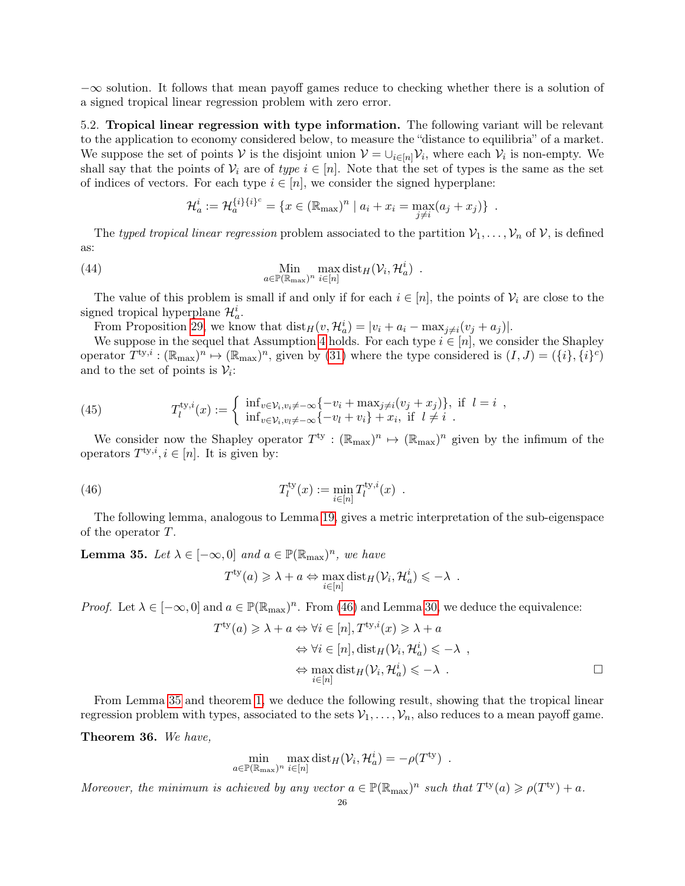$-\infty$  solution. It follows that mean payoff games reduce to checking whether there is a solution of a signed tropical linear regression problem with zero error.

<span id="page-25-6"></span>5.2. Tropical linear regression with type information. The following variant will be relevant to the application to economy considered below, to measure the "distance to equilibria" of a market. We suppose the set of points V is the disjoint union  $V = \bigcup_{i \in [n]} V_i$ , where each  $V_i$  is non-empty. We shall say that the points of  $V_i$  are of type  $i \in [n]$ . Note that the set of types is the same as the set of indices of vectors. For each type  $i \in [n]$ , we consider the signed hyperplane:

<span id="page-25-3"></span>
$$
\mathcal{H}_a^i := \mathcal{H}_a^{\{i\}\{i\}^c} = \{ x \in (\mathbb{R}_{\text{max}})^n \mid a_i + x_i = \max_{j \neq i} (a_j + x_j) \} .
$$

The typed tropical linear regression problem associated to the partition  $\mathcal{V}_1, \ldots, \mathcal{V}_n$  of  $\mathcal{V}$ , is defined as:

(44) 
$$
\lim_{a \in \mathbb{P}(\mathbb{R}_{\max})^n} \max_{i \in [n]} \text{dist}_H(\mathcal{V}_i, \mathcal{H}_a^i) .
$$

The value of this problem is small if and only if for each  $i \in [n]$ , the points of  $\mathcal{V}_i$  are close to the signed tropical hyperplane  $\mathcal{H}_a^i$ .

From Proposition [29,](#page-21-2) we know that  $dist_H(v, \mathcal{H}_a^i) = |v_i + a_i - \max_{j \neq i}(v_j + a_j)|$ .

We suppose in the sequel that Assumption [4](#page-22-0) holds. For each type  $i \in [n]$ , we consider the Shapley operator  $T^{ty,i}: (\mathbb{R}_{\text{max}})^n \mapsto (\mathbb{R}_{\text{max}})^n$ , given by [\(31\)](#page-22-4) where the type considered is  $(I, J) = (\{i\}, \{i\}^c)$ and to the set of points is  $\mathcal{V}_i$ :

<span id="page-25-4"></span>(45) 
$$
T_l^{\text{ty},i}(x) := \begin{cases} \inf_{v \in \mathcal{V}_i, v_i \neq -\infty} \{-v_i + \max_{j \neq i} (v_j + x_j)\}, & \text{if } l = i, \\ \inf_{v \in \mathcal{V}_i, v_i \neq -\infty} \{-v_l + v_i\} + x_i, & \text{if } l \neq i. \end{cases}
$$

We consider now the Shapley operator  $T^{\text{ty}} : (\mathbb{R}_{\text{max}})^n \mapsto (\mathbb{R}_{\text{max}})^n$  given by the infimum of the operators  $T^{ty,i}, i \in [n]$ . It is given by:

(46) 
$$
T_l^{\text{ty}}(x) := \min_{i \in [n]} T_l^{\text{ty},i}(x) .
$$

The following lemma, analogous to Lemma [19,](#page-15-2) gives a metric interpretation of the sub-eigenspace of the operator T.

<span id="page-25-2"></span>**Lemma 35.** Let  $\lambda \in [-\infty, 0]$  and  $a \in \mathbb{P}(\mathbb{R}_{max})^n$ , we have

<span id="page-25-1"></span>
$$
T^{\text{ty}}(a) \geq \lambda + a \Leftrightarrow \max_{i \in [n]} \text{dist}_H(\mathcal{V}_i, \mathcal{H}_a^i) \leq -\lambda \enspace .
$$

*Proof.* Let  $\lambda \in [-\infty, 0]$  and  $a \in \mathbb{P}(\mathbb{R}_{max})^n$ . From [\(46\)](#page-25-1) and Lemma [30,](#page-22-6) we deduce the equivalence:

$$
T^{\text{ty}}(a) \geq \lambda + a \Leftrightarrow \forall i \in [n], T^{\text{ty},i}(x) \geq \lambda + a
$$
  

$$
\Leftrightarrow \forall i \in [n], \text{dist}_H(\mathcal{V}_i, \mathcal{H}_a^i) \leq -\lambda ,
$$
  

$$
\Leftrightarrow \max_{i \in [n]} \text{dist}_H(\mathcal{V}_i, \mathcal{H}_a^i) \leq -\lambda .
$$

From Lemma [35](#page-25-2) and theorem [1,](#page-7-1) we deduce the following result, showing that the tropical linear regression problem with types, associated to the sets  $V_1, \ldots, V_n$ , also reduces to a mean payoff game.

<span id="page-25-5"></span>Theorem 36. We have,

$$
\min_{a \in \mathbb{P}(\mathbb{R}_{\max})^n} \max_{i \in [n]} \text{dist}_H(\mathcal{V}_i, \mathcal{H}_a^i) = -\rho(T^{\text{ty}}) .
$$

<span id="page-25-0"></span>Moreover, the minimum is achieved by any vector  $a \in \mathbb{P}(\mathbb{R}_{max})^n$  such that  $T^{ty}(a) \geq \rho(T^{ty}) + a$ .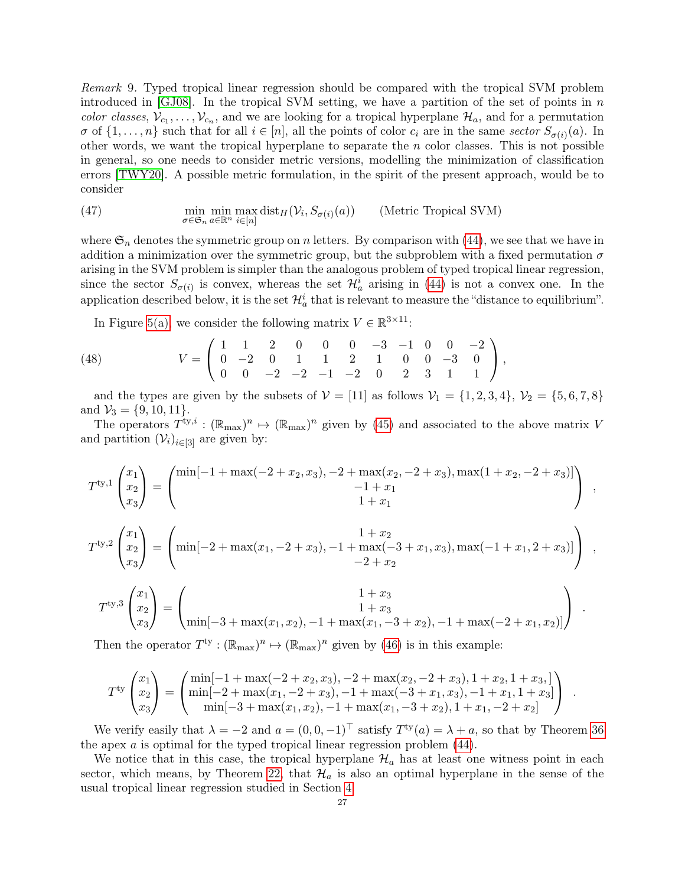Remark 9. Typed tropical linear regression should be compared with the tropical SVM problem introduced in  $|GJO8|$ . In the tropical SVM setting, we have a partition of the set of points in n color classes,  $V_{c_1}, \ldots, V_{c_n}$ , and we are looking for a tropical hyperplane  $\mathcal{H}_a$ , and for a permutation  $\sigma$  of  $\{1,\ldots,n\}$  such that for all  $i\in[n]$ , all the points of color  $c_i$  are in the same sector  $S_{\sigma(i)}(a)$ . In other words, we want the tropical hyperplane to separate the  $n$  color classes. This is not possible in general, so one needs to consider metric versions, modelling the minimization of classification errors [\[TWY20\]](#page-39-6). A possible metric formulation, in the spirit of the present approach, would be to consider

(47) 
$$
\min_{\sigma \in \mathfrak{S}_n} \min_{a \in \mathbb{R}^n} \max_{i \in [n]} \text{dist}_H(\mathcal{V}_i, S_{\sigma(i)}(a)) \qquad \text{(Metric Tropical SVM)}
$$

where  $\mathfrak{S}_n$  denotes the symmetric group on n letters. By comparison with [\(44\)](#page-25-3), we see that we have in addition a minimization over the symmetric group, but the subproblem with a fixed permutation  $\sigma$ arising in the SVM problem is simpler than the analogous problem of typed tropical linear regression, since the sector  $S_{\sigma(i)}$  is convex, whereas the set  $\mathcal{H}_a^i$  arising in [\(44\)](#page-25-3) is not a convex one. In the application described below, it is the set  $\mathcal{H}_a^i$  that is relevant to measure the "distance to equilibrium".

<span id="page-26-0"></span>In Figure [5\(a\),](#page-27-1) we consider the following matrix  $V \in \mathbb{R}^{3 \times 11}$ :

(48) 
$$
V = \begin{pmatrix} 1 & 1 & 2 & 0 & 0 & 0 & -3 & -1 & 0 & 0 & -2 \\ 0 & -2 & 0 & 1 & 1 & 2 & 1 & 0 & 0 & -3 & 0 \\ 0 & 0 & -2 & -2 & -1 & -2 & 0 & 2 & 3 & 1 & 1 \end{pmatrix},
$$

and the types are given by the subsets of  $V = [11]$  as follows  $V_1 = \{1, 2, 3, 4\}, V_2 = \{5, 6, 7, 8\}$ and  $\mathcal{V}_3 = \{9, 10, 11\}.$ 

The operators  $T^{ty,i}: (\mathbb{R}_{max})^n \mapsto (\mathbb{R}_{max})^n$  given by [\(45\)](#page-25-4) and associated to the above matrix V and partition  $(\mathcal{V}_i)_{i\in[3]}$  are given by:

$$
T^{ty,1}\begin{pmatrix} x_1 \\ x_2 \\ x_3 \end{pmatrix} = \begin{pmatrix} \min[-1 + \max(-2 + x_2, x_3), -2 + \max(x_2, -2 + x_3), \max(1 + x_2, -2 + x_3)] \\ -1 + x_1 \\ 1 + x_1 \end{pmatrix} ,
$$
  
\n
$$
T^{ty,2}\begin{pmatrix} x_1 \\ x_2 \\ x_3 \end{pmatrix} = \begin{pmatrix} 1 + x_2 \\ \min[-2 + \max(x_1, -2 + x_3), -1 + \max(-3 + x_1, x_3), \max(-1 + x_1, 2 + x_3)] \\ -2 + x_2 \end{pmatrix} ,
$$
  
\n
$$
T^{ty,3}\begin{pmatrix} x_1 \\ x_2 \\ x_3 \end{pmatrix} = \begin{pmatrix} 1 + x_3 \\ 1 + x_3 \\ 1 + x_3 \\ 1 + x_3 \end{pmatrix} .
$$

$$
T^{ty,3} \begin{pmatrix} x_2 \\ x_3 \end{pmatrix} = \begin{pmatrix} 1+x_3 \\ \min[-3 + \max(x_1, x_2), -1 + \max(x_1, -3 + x_2), -1 + \max(-2 + x_1, x_2)] \end{pmatrix}
$$

Then the operator  $T^{ty}: (\mathbb{R}_{\text{max}})^n \mapsto (\mathbb{R}_{\text{max}})^n$  given by [\(46\)](#page-25-1) is in this example:

$$
T^{\text{ty}}\begin{pmatrix} x_1 \\ x_2 \\ x_3 \end{pmatrix} = \begin{pmatrix} \min[-1 + \max(-2 + x_2, x_3), -2 + \max(x_2, -2 + x_3), 1 + x_2, 1 + x_3, ] \\ \min[-2 + \max(x_1, -2 + x_3), -1 + \max(-3 + x_1, x_3), -1 + x_1, 1 + x_3] \\ \min[-3 + \max(x_1, x_2), -1 + \max(x_1, -3 + x_2), 1 + x_1, -2 + x_2] \end{pmatrix}.
$$

We verify easily that  $\lambda = -2$  and  $a = (0, 0, -1)^\top$  satisfy  $T^{ty}(a) = \lambda + a$ , so that by Theorem [36](#page-25-5) the apex  $a$  is optimal for the typed tropical linear regression problem  $(44)$ .

We notice that in this case, the tropical hyperplane  $\mathcal{H}_a$  has at least one witness point in each sector, which means, by Theorem [22,](#page-17-2) that  $\mathcal{H}_a$  is also an optimal hyperplane in the sense of the usual tropical linear regression studied in Section [4.](#page-14-0)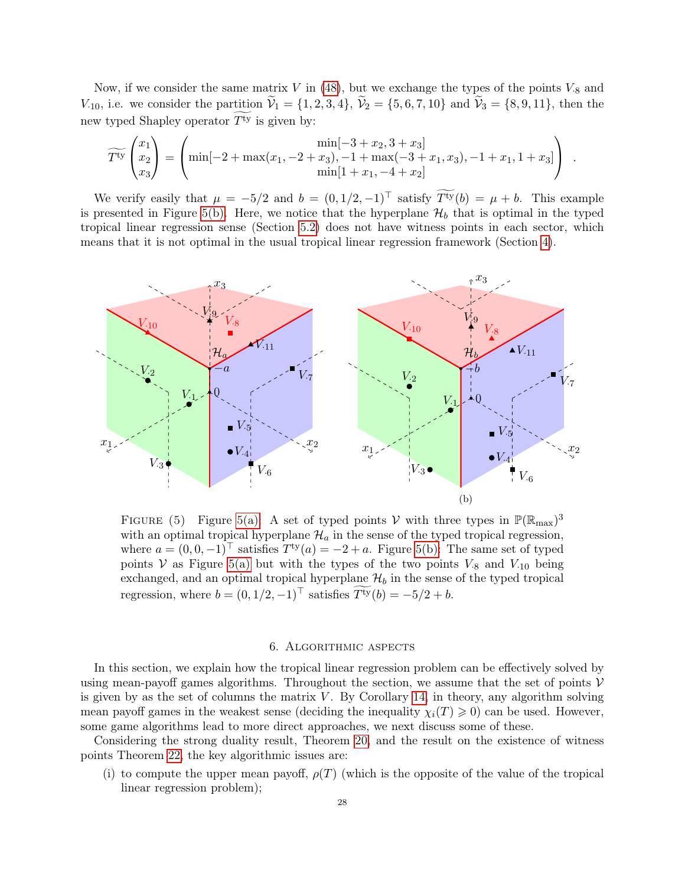Now, if we consider the same matrix  $V$  in [\(48\)](#page-26-0), but we exchange the types of the points  $V_{.8}$  and  $V_{10}$ , i.e. we consider the partition  $\tilde{V}_1 = \{1, 2, 3, 4\}, \ \tilde{V}_2 = \{5, 6, 7, 10\}$  and  $\tilde{V}_3 = \{8, 9, 11\},$  then the new typed Shapley operator  $\widetilde{T^{ty}}$  is given by:

$$
\widetilde{T^{ty}}\begin{pmatrix} x_1 \\ x_2 \\ x_3 \end{pmatrix} = \begin{pmatrix} \min[-2 + \max(x_1, -2 + x_3), -1 + \max(-3 + x_1, x_3), -1 + x_1, 1 + x_3] \\ \min[1 + x_1, -4 + x_2] \end{pmatrix}.
$$

We verify easily that  $\mu = -5/2$  and  $b = (0, 1/2, -1)^\top$  satisfy  $\widetilde{T^{ty}}(b) = \mu + b$ . This example is presented in Figure [5\(b\).](#page-27-2) Here, we notice that the hyperplane  $\mathcal{H}_b$  that is optimal in the typed tropical linear regression sense (Section [5.2\)](#page-25-6) does not have witness points in each sector, which means that it is not optimal in the usual tropical linear regression framework (Section [4\)](#page-14-0).

<span id="page-27-1"></span>

FIGURE (5) Figure [5\(a\):](#page-27-1) A set of typed points V with three types in  $\mathbb{P}(\mathbb{R}_{max})^3$ with an optimal tropical hyperplane  $\mathcal{H}_a$  in the sense of the typed tropical regression, where  $a = (0, 0, -1)^\top$  satisfies  $T^{ty}(a) = -2 + a$ . Figure [5\(b\):](#page-27-2) The same set of typed points V as Figure [5\(a\)](#page-27-1) but with the types of the two points  $V_{.8}$  and  $V_{.10}$  being exchanged, and an optimal tropical hyperplane  $\mathcal{H}_b$  in the sense of the typed tropical regression, where  $b = (0, 1/2, -1)^\top$  satisfies  $\widetilde{T^{ty}}(b) = -5/2 + b$ .

# <span id="page-27-2"></span>6. Algorithmic aspects

<span id="page-27-0"></span>In this section, we explain how the tropical linear regression problem can be effectively solved by using mean-payoff games algorithms. Throughout the section, we assume that the set of points  $V$ is given by as the set of columns the matrix  $V$ . By Corollary [14,](#page-12-2) in theory, any algorithm solving mean payoff games in the weakest sense (deciding the inequality  $\chi_i(T) \geqslant 0$ ) can be used. However, some game algorithms lead to more direct approaches, we next discuss some of these.

Considering the strong duality result, Theorem [20,](#page-16-0) and the result on the existence of witness points Theorem [22,](#page-17-2) the key algorithmic issues are:

(i) to compute the upper mean payoff,  $\rho(T)$  (which is the opposite of the value of the tropical linear regression problem);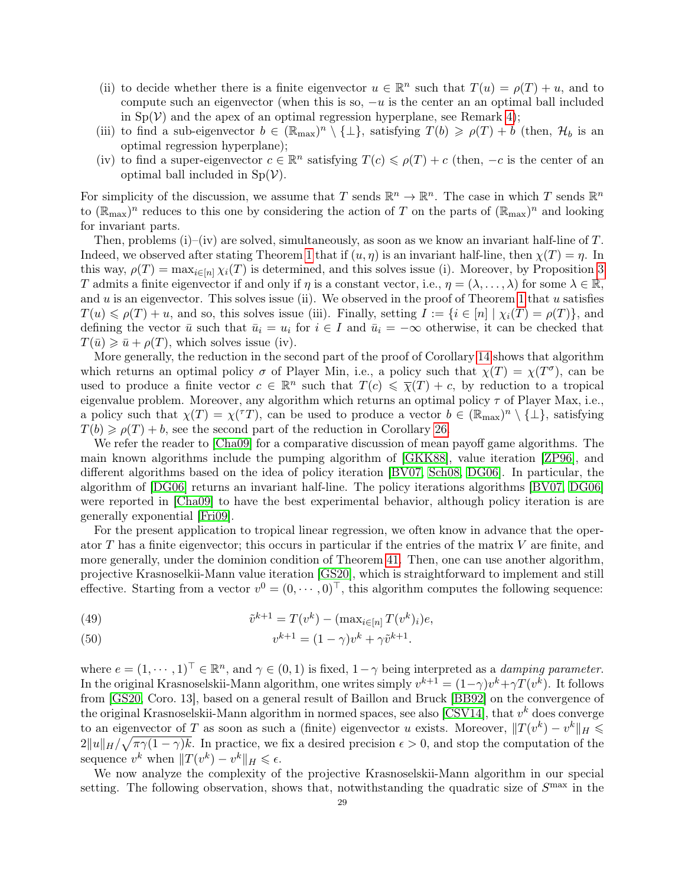- (ii) to decide whether there is a finite eigenvector  $u \in \mathbb{R}^n$  such that  $T(u) = \rho(T) + u$ , and to compute such an eigenvector (when this is so,  $-u$  is the center an an optimal ball included in  $Sp(V)$  and the apex of an optimal regression hyperplane, see Remark [4\)](#page-18-1);
- (iii) to find a sub-eigenvector  $b \in (\mathbb{R}_{max})^n \setminus \{\perp\}$ , satisfying  $T(b) \geq \rho(T) + b$  (then,  $\mathcal{H}_b$  is an optimal regression hyperplane);
- (iv) to find a super-eigenvector  $c \in \mathbb{R}^n$  satisfying  $T(c) \leq \rho(T) + c$  (then,  $-c$  is the center of an optimal ball included in  $Sp(V)$ .

For simplicity of the discussion, we assume that T sends  $\mathbb{R}^n \to \mathbb{R}^n$ . The case in which T sends  $\mathbb{R}^n$ to  $(\mathbb{R}_{max})^n$  reduces to this one by considering the action of T on the parts of  $(\mathbb{R}_{max})^n$  and looking for invariant parts.

Then, problems (i)–(iv) are solved, simultaneously, as soon as we know an invariant half-line of  $T$ . Indeed, we observed after stating Theorem [1](#page-7-1) that if  $(u, \eta)$  is an invariant half-line, then  $\chi(T) = \eta$ . In this way,  $\rho(T) = \max_{i \in [n]} \chi_i(T)$  is determined, and this solves issue (i). Moreover, by Proposition [3](#page-7-4) T admits a finite eigenvector if and only if  $\eta$  is a constant vector, i.e.,  $\eta = (\lambda, \dots, \lambda)$  for some  $\lambda \in \mathbb{R}$ , and  $u$  is an eigenvector. This solves issue (ii). We observed in the proof of Theorem [1](#page-7-1) that  $u$  satisfies  $T(u) \leq \rho(T) + u$ , and so, this solves issue (iii). Finally, setting  $I := \{i \in [n] \mid \chi_i(T) = \rho(T)\}\$ , and defining the vector  $\bar{u}$  such that  $\bar{u}_i = u_i$  for  $i \in I$  and  $\bar{u}_i = -\infty$  otherwise, it can be checked that  $T(\bar{u}) \geq \bar{u} + \rho(T)$ , which solves issue (iv).

More generally, the reduction in the second part of the proof of Corollary [14](#page-12-2) shows that algorithm which returns an optimal policy  $\sigma$  of Player Min, i.e., a policy such that  $\chi(T) = \chi(T^{\sigma})$ , can be used to produce a finite vector  $c \in \mathbb{R}^n$  such that  $T(c) \leq \overline{\chi}(T) + c$ , by reduction to a tropical eigenvalue problem. Moreover, any algorithm which returns an optimal policy  $\tau$  of Player Max, i.e., a policy such that  $\chi(T) = \chi(T)$ , can be used to produce a vector  $b \in (\mathbb{R}_{max})^n \setminus \{\perp\}$ , satisfying  $T(b) \geq \rho(T) + b$ , see the second part of the reduction in Corollary [26.](#page-19-1)

We refer the reader to [\[Cha09\]](#page-38-8) for a comparative discussion of mean payoff game algorithms. The main known algorithms include the pumping algorithm of [\[GKK88\]](#page-39-1), value iteration [\[ZP96\]](#page-40-0), and different algorithms based on the idea of policy iteration [\[BV07,](#page-38-6) [Sch08,](#page-39-26) [DG06\]](#page-38-7). In particular, the algorithm of [\[DG06\]](#page-38-7) returns an invariant half-line. The policy iterations algorithms [\[BV07,](#page-38-6) [DG06\]](#page-38-7) were reported in [\[Cha09\]](#page-38-8) to have the best experimental behavior, although policy iteration is are generally exponential [\[Fri09\]](#page-38-9).

For the present application to tropical linear regression, we often know in advance that the operator  $T$  has a finite eigenvector; this occurs in particular if the entries of the matrix  $V$  are finite, and more generally, under the dominion condition of Theorem [41.](#page-34-1) Then, one can use another algorithm, projective Krasnoselkii-Mann value iteration [\[GS20\]](#page-39-27), which is straightforward to implement and still effective. Starting from a vector  $v^0 = (0, \dots, 0)^\top$ , this algorithm computes the following sequence:

(49) 
$$
\tilde{v}^{k+1} = T(v^k) - (\max_{i \in [n]} T(v^k)_i)e,
$$

(50) 
$$
v^{k+1} = (1 - \gamma)v^k + \gamma \tilde{v}^{k+1}.
$$

where  $e = (1, \dots, 1)^\top \in \mathbb{R}^n$ , and  $\gamma \in (0, 1)$  is fixed,  $1 - \gamma$  being interpreted as a *damping parameter*. In the original Krasnoselskii-Mann algorithm, one writes simply  $v^{k+1} = (1 - \gamma)v^k + \gamma T(v^k)$ . It follows from [\[GS20,](#page-39-27) Coro. 13], based on a general result of Baillon and Bruck [\[BB92\]](#page-38-25) on the convergence of the original Krasnoselskii-Mann algorithm in normed spaces, see also [\[CSV14\]](#page-38-26), that  $v^k$  does converge to an eigenvector of T as soon as such a (finite) eigenvector u exists. Moreover,  $||T(v^k) - v^k||_H \le$  $2||u||_H/\sqrt{\pi\gamma(1-\gamma)k}$ . In practice, we fix a desired precision  $\epsilon > 0$ , and stop the computation of the sequence  $v^k$  when  $||T(v^k) - v^k||_H \leq \epsilon$ .

We now analyze the complexity of the projective Krasnoselskii-Mann algorithm in our special setting. The following observation, shows that, notwithstanding the quadratic size of  $S<sup>max</sup>$  in the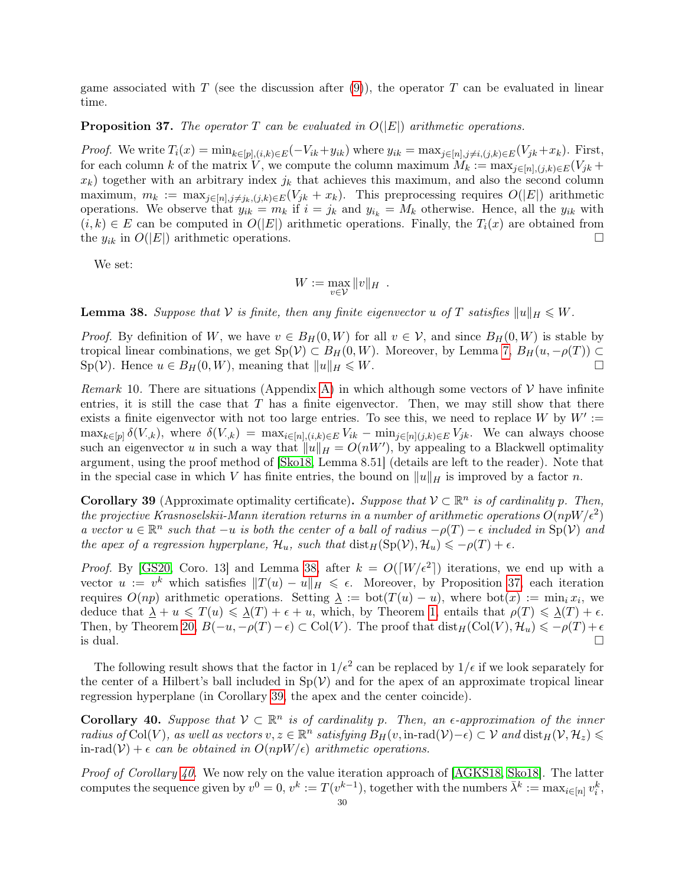game associated with T (see the discussion after [\(9\)](#page-8-2)), the operator T can be evaluated in linear time.

# <span id="page-29-1"></span>**Proposition 37.** The operator T can be evaluated in  $O(|E|)$  arithmetic operations.

*Proof.* We write  $T_i(x) = \min_{k \in [p], (i,k) \in E} (-V_{ik} + y_{ik})$  where  $y_{ik} = \max_{j \in [n], j \neq i, (j,k) \in E} (V_{jk} + x_k)$ . First, for each column k of the matrix V, we compute the column maximum  $M_k := \max_{j \in [n], (j,k) \in E} (V_{jk} +$  $x_k$ ) together with an arbitrary index  $j_k$  that achieves this maximum, and also the second column maximum,  $m_k := \max_{j \in [n], j \neq j_k, (j,k) \in E(V_{jk} + x_k)$ . This preprocessing requires  $O(|E|)$  arithmetic operations. We observe that  $y_{ik} = m_k$  if  $i = j_k$  and  $y_{i_k} = M_k$  otherwise. Hence, all the  $y_{ik}$  with  $(i, k) \in E$  can be computed in  $O(|E|)$  arithmetic operations. Finally, the  $T_i(x)$  are obtained from the  $y_{ik}$  in  $O(|E|)$  arithmetic operations.

We set:

$$
W := \max_{v \in \mathcal{V}} \|v\|_H.
$$

<span id="page-29-0"></span>**Lemma 38.** Suppose that V is finite, then any finite eigenvector u of T satisfies  $||u||_H \leq W$ .

*Proof.* By definition of W, we have  $v \in B_H(0, W)$  for all  $v \in V$ , and since  $B_H(0, W)$  is stable by tropical linear combinations, we get  $Sp(V) \subset B_H(0, W)$ . Moreover, by Lemma [7,](#page-10-3)  $B_H(u, -\rho(T)) \subset$  $\text{Sp}(\mathcal{V})$ . Hence  $u \in B_H(0, W)$ , meaning that  $||u||_H \leq W$ .

<span id="page-29-4"></span>Remark 10. There are situations (Appendix [A\)](#page-34-0) in which although some vectors of  $\mathcal V$  have infinite entries, it is still the case that  $T$  has a finite eigenvector. Then, we may still show that there exists a finite eigenvector with not too large entries. To see this, we need to replace W by  $W' :=$  $\max_{k\in[p]}\delta(V_{\cdot,k}),$  where  $\delta(V_{\cdot,k}) = \max_{i\in[n],(i,k)\in E}V_{ik} - \min_{j\in[n](j,k)\in E}V_{jk}.$  We can always choose such an eigenvector u in such a way that  $||u||_H = O(nW')$ , by appealing to a Blackwell optimality argument, using the proof method of [\[Sko18,](#page-39-14) Lemma 8.51] (details are left to the reader). Note that in the special case in which V has finite entries, the bound on  $||u||_H$  is improved by a factor n.

<span id="page-29-2"></span>**Corollary 39** (Approximate optimality certificate). Suppose that  $V \subset \mathbb{R}^n$  is of cardinality p. Then, the projective Krasnoselskii-Mann iteration returns in a number of arithmetic operations  $O(npW/\epsilon^2)$ a vector  $u \in \mathbb{R}^n$  such that  $-u$  is both the center of a ball of radius  $-\rho(T) - \epsilon$  included in  $\text{Sp}(\mathcal{V})$  and the apex of a regression hyperplane,  $\mathcal{H}_u$ , such that  $dist_H(Sp(\mathcal{V}), \mathcal{H}_u) \leq -\rho(T) + \epsilon$ .

*Proof.* By [\[GS20,](#page-39-27) Coro. 13] and Lemma [38,](#page-29-0) after  $k = O([W/\epsilon^2])$  iterations, we end up with a vector  $u := v^k$  which satisfies  $||T(u) - u||_H \le \epsilon$ . Moreover, by Proposition [37,](#page-29-1) each iteration requires  $O(np)$  arithmetic operations. Setting  $\lambda := \text{bot}(T(u) - u)$ , where  $\text{bot}(x) := \min_i x_i$ , we deduce that  $\Delta + u \leq T(u) \leq \Delta(T) + \epsilon + u$ , which, by Theorem [1,](#page-7-1) entails that  $\rho(T) \leq \Delta(T) + \epsilon$ . Then, by Theorem [20,](#page-16-0)  $B(-u, -\rho(T)-\epsilon) \subset \text{Col}(V)$ . The proof that  $\text{dist}_H(\text{Col}(V), \mathcal{H}_u) \leq -\rho(T) + \epsilon$ is dual.

The following result shows that the factor in  $1/\epsilon^2$  can be replaced by  $1/\epsilon$  if we look separately for the center of a Hilbert's ball included in  $Sp(V)$  and for the apex of an approximate tropical linear regression hyperplane (in Corollary [39,](#page-29-2) the apex and the center coincide).

<span id="page-29-3"></span>**Corollary 40.** Suppose that  $V \subset \mathbb{R}^n$  is of cardinality p. Then, an  $\epsilon$ -approximation of the inner  $radius\ of\ Col(V),\ as\ well\ as\ vectors\ v, z\in\mathbb{R}^n\ satisfying\ B_H(v,\textrm{in-rad}(V)-\epsilon)\subset\mathcal{V}\ and\ \textrm{dist}_H(\mathcal{V},\mathcal{H}_z)\leqslant 0$ in-rad( $V$ ) +  $\epsilon$  can be obtained in  $O(npW/\epsilon)$  arithmetic operations.

*Proof of Corollary [40.](#page-29-3)* We now rely on the value iteration approach of [\[AGKS18,](#page-38-19) [Sko18\]](#page-39-14). The latter computes the sequence given by  $v^0 = 0$ ,  $v^k := T(v^{k-1})$ , together with the numbers  $\bar{\lambda}^k := \max_{i \in [n]} v_i^k$ ,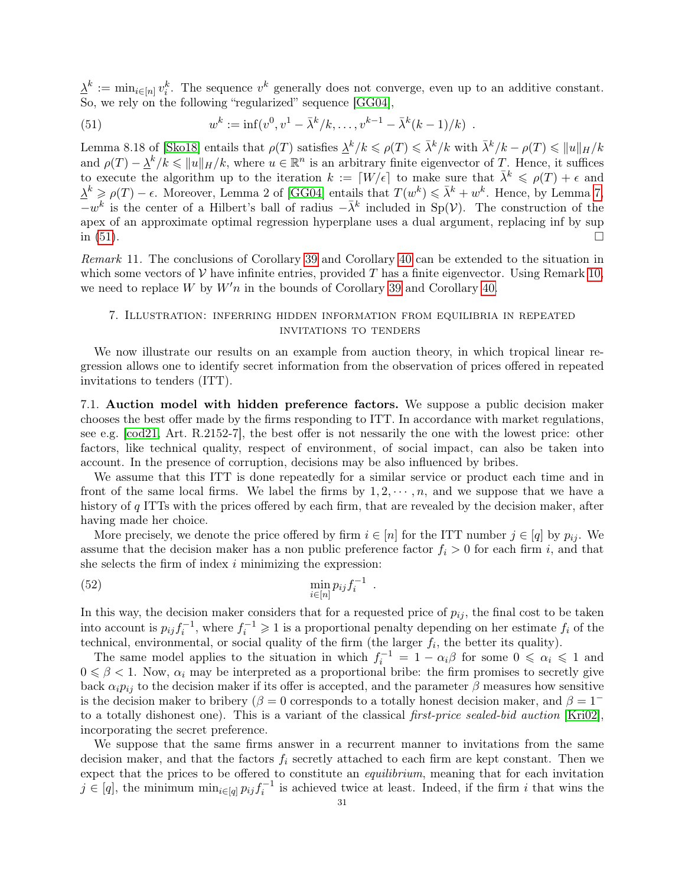$\underline{\lambda}^k := \min_{i \in [n]} v_i^k$ . The sequence  $v^k$  generally does not converge, even up to an additive constant. So, we rely on the following "regularized" sequence [\[GG04\]](#page-39-22),

<span id="page-30-1"></span>(51) 
$$
w^{k} := \inf(v^{0}, v^{1} - \bar{\lambda}^{k}/k, \dots, v^{k-1} - \bar{\lambda}^{k}(k-1)/k) .
$$

Lemma 8.18 of [\[Sko18\]](#page-39-14) entails that  $\rho(T)$  satisfies  $\frac{\lambda^k}{k} \leqslant \rho(T) \leqslant \bar{\lambda}^k/k$  with  $\bar{\lambda}^k/k - \rho(T) \leqslant ||u||_H/k$ and  $\rho(T) - \frac{\lambda^k}{k} \leq \|u\|_H/k$ , where  $u \in \mathbb{R}^n$  is an arbitrary finite eigenvector of T. Hence, it suffices to execute the algorithm up to the iteration  $k := [W/\epsilon]$  to make sure that  $\bar{\lambda}^k \leq \rho(T) + \epsilon$  and  $\Delta^k \geq \rho(T) - \epsilon$ . Moreover, Lemma 2 of [\[GG04\]](#page-39-22) entails that  $T(w^k) \leq \bar{\lambda}^k + w^k$ . Hence, by Lemma [7,](#page-10-3)  $-w^k$  is the center of a Hilbert's ball of radius  $-\bar{\lambda}^k$  included in Sp(V). The construction of the apex of an approximate optimal regression hyperplane uses a dual argument, replacing inf by sup in  $(51)$ .

Remark 11. The conclusions of Corollary [39](#page-29-2) and Corollary [40](#page-29-3) can be extended to the situation in which some vectors of V have infinite entries, provided T has a finite eigenvector. Using Remark [10,](#page-29-4) we need to replace W by  $W'n$  in the bounds of Corollary [39](#page-29-2) and Corollary [40.](#page-29-3)

# <span id="page-30-0"></span>7. Illustration: inferring hidden information from equilibria in repeated invitations to tenders

We now illustrate our results on an example from auction theory, in which tropical linear regression allows one to identify secret information from the observation of prices offered in repeated invitations to tenders (ITT).

7.1. Auction model with hidden preference factors. We suppose a public decision maker chooses the best offer made by the firms responding to ITT. In accordance with market regulations, see e.g. [\[cod21,](#page-38-27) Art. R.2152-7], the best offer is not nessarily the one with the lowest price: other factors, like technical quality, respect of environment, of social impact, can also be taken into account. In the presence of corruption, decisions may be also influenced by bribes.

We assume that this ITT is done repeatedly for a similar service or product each time and in front of the same local firms. We label the firms by  $1, 2, \dots, n$ , and we suppose that we have a history of q ITTs with the prices offered by each firm, that are revealed by the decision maker, after having made her choice.

More precisely, we denote the price offered by firm  $i \in [n]$  for the ITT number  $j \in [q]$  by  $p_{ij}$ . We assume that the decision maker has a non public preference factor  $f_i > 0$  for each firm i, and that she selects the firm of index  $i$  minimizing the expression:

<span id="page-30-2"></span>(52) 
$$
\min_{i \in [n]} p_{ij} f_i^{-1} .
$$

In this way, the decision maker considers that for a requested price of  $p_{ij}$ , the final cost to be taken into account is  $p_{ij} f_i^{-1}$ , where  $f_i^{-1} \geq 1$  is a proportional penalty depending on her estimate  $f_i$  of the technical, environmental, or social quality of the firm (the larger  $f_i$ , the better its quality).

The same model applies to the situation in which  $f_i^{-1} = 1 - \alpha_i \beta$  for some  $0 \le \alpha_i \le 1$  and  $0 \le \beta < 1$ . Now,  $\alpha_i$  may be interpreted as a proportional bribe: the firm promises to secretly give back  $\alpha_i p_{ij}$  to the decision maker if its offer is accepted, and the parameter  $\beta$  measures how sensitive is the decision maker to bribery ( $\beta = 0$  corresponds to a totally honest decision maker, and  $\beta = 1^$ to a totally dishonest one). This is a variant of the classical first-price sealed-bid auction [\[Kri02\]](#page-39-2), incorporating the secret preference.

We suppose that the same firms answer in a recurrent manner to invitations from the same decision maker, and that the factors  $f_i$  secretly attached to each firm are kept constant. Then we expect that the prices to be offered to constitute an *equilibrium*, meaning that for each invitation  $j \in [q]$ , the minimum  $\min_{i \in [q]} p_{ij} f_i^{-1}$  is achieved twice at least. Indeed, if the firm i that wins the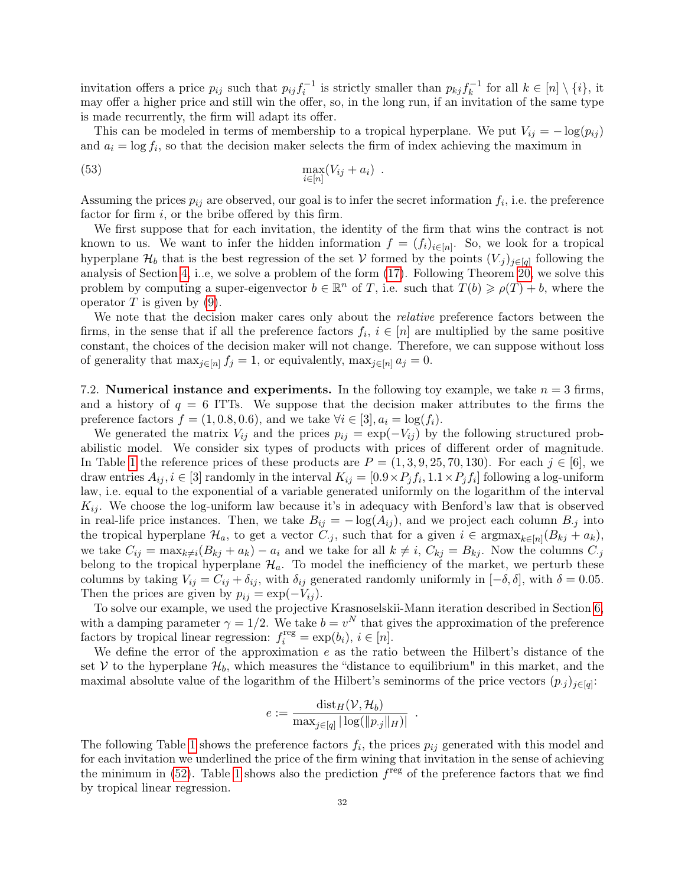invitation offers a price  $p_{ij}$  such that  $p_{ij} f_i^{-1}$  is strictly smaller than  $p_{kj} f_k^{-1}$  $\bar{k}^{-1}$  for all  $k \in [n] \setminus \{i\},\$ it may offer a higher price and still win the offer, so, in the long run, if an invitation of the same type is made recurrently, the firm will adapt its offer.

This can be modeled in terms of membership to a tropical hyperplane. We put  $V_{ij} = -\log(p_{ij})$ and  $a_i = \log f_i$ , so that the decision maker selects the firm of index achieving the maximum in

$$
\max_{i \in [n]} (V_{ij} + a_i) .
$$

Assuming the prices  $p_{ij}$  are observed, our goal is to infer the secret information  $f_i$ , i.e. the preference factor for firm  $i$ , or the bribe offered by this firm.

We first suppose that for each invitation, the identity of the firm that wins the contract is not known to us. We want to infer the hidden information  $f = (f_i)_{i \in [n]}$ . So, we look for a tropical hyperplane  $\mathcal{H}_b$  that is the best regression of the set V formed by the points  $(V_j)_{j\in[q]}$  following the analysis of Section [4,](#page-14-0) i..e, we solve a problem of the form [\(17\)](#page-14-3). Following Theorem [20,](#page-16-0) we solve this problem by computing a super-eigenvector  $b \in \mathbb{R}^n$  of T, i.e. such that  $T(b) \geq \rho(T) + b$ , where the operator  $T$  is given by [\(9\)](#page-8-2).

We note that the decision maker cares only about the *relative* preference factors between the firms, in the sense that if all the preference factors  $f_i, i \in [n]$  are multiplied by the same positive constant, the choices of the decision maker will not change. Therefore, we can suppose without loss of generality that  $\max_{j\in[n]} f_j = 1$ , or equivalently,  $\max_{j\in[n]} a_j = 0$ .

7.2. Numerical instance and experiments. In the following toy example, we take  $n = 3$  firms, and a history of  $q = 6$  ITTs. We suppose that the decision maker attributes to the firms the preference factors  $f = (1, 0.8, 0.6)$ , and we take  $\forall i \in [3], a_i = \log(f_i)$ .

We generated the matrix  $V_{ij}$  and the prices  $p_{ij} = \exp(-V_{ij})$  by the following structured probabilistic model. We consider six types of products with prices of different order of magnitude. In Table [1](#page-32-0) the reference prices of these products are  $P = (1, 3, 9, 25, 70, 130)$ . For each  $j \in [6]$ , we draw entries  $A_{ij}$ ,  $i \in [3]$  randomly in the interval  $K_{ij} = [0.9 \times P_j f_i, 1.1 \times P_j f_i]$  following a log-uniform law, i.e. equal to the exponential of a variable generated uniformly on the logarithm of the interval  $K_{ij}$ . We choose the log-uniform law because it's in adequacy with Benford's law that is observed in real-life price instances. Then, we take  $B_{ij} = -\log(A_{ij})$ , and we project each column  $B_{ij}$  into the tropical hyperplane  $\mathcal{H}_a$ , to get a vector  $C_{\cdot j}$ , such that for a given  $i \in \text{argmax}_{k \in [n]} (B_{kj} + a_k)$ , we take  $C_{ij} = \max_{k \neq i} (B_{kj} + a_k) - a_i$  and we take for all  $k \neq i$ ,  $C_{kj} = B_{kj}$ . Now the columns  $C_{ij}$ belong to the tropical hyperplane  $\mathcal{H}_a$ . To model the inefficiency of the market, we perturb these columns by taking  $V_{ij} = C_{ij} + \delta_{ij}$ , with  $\delta_{ij}$  generated randomly uniformly in  $[-\delta, \delta]$ , with  $\delta = 0.05$ . Then the prices are given by  $p_{ij} = \exp(-V_{ij})$ .

To solve our example, we used the projective Krasnoselskii-Mann iteration described in Section [6,](#page-27-0) with a damping parameter  $\gamma = 1/2$ . We take  $b = v^N$  that gives the approximation of the preference factors by tropical linear regression:  $f_i^{\text{reg}} = \exp(b_i), i \in [n]$ .

We define the error of the approximation e as the ratio between the Hilbert's distance of the set V to the hyperplane  $\mathcal{H}_b$ , which measures the "distance to equilibrium" in this market, and the maximal absolute value of the logarithm of the Hilbert's seminorms of the price vectors  $(p_j)_{j\in[q]}$ :

$$
e:=\frac{\operatorname{dist}_H(\mathcal{V},\mathcal{H}_b)}{\max_{j\in[q]}\vert \log(\Vert p_{\cdot j}\Vert_H)\vert}
$$

.

The following Table [1](#page-32-0) shows the preference factors  $f_i$ , the prices  $p_{ij}$  generated with this model and for each invitation we underlined the price of the firm wining that invitation in the sense of achieving the minimum in  $(52)$ . Table [1](#page-32-0) shows also the prediction  $f^{\text{reg}}$  of the preference factors that we find by tropical linear regression.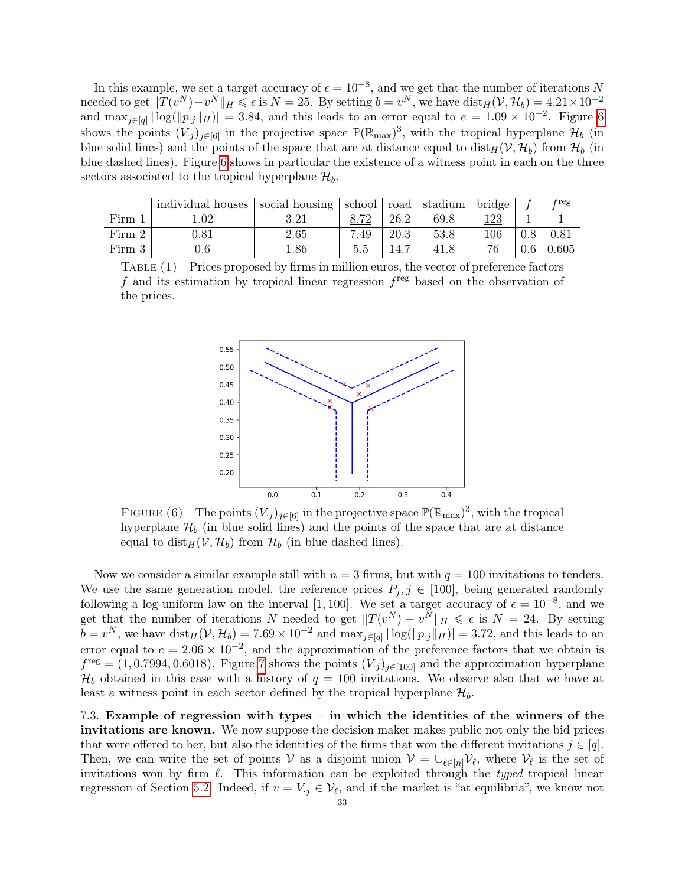In this example, we set a target accuracy of  $\epsilon = 10^{-8}$ , and we get that the number of iterations N needed to get  $||T(v^N) - v^N||_H \leqslant \epsilon$  is  $N = 25$ . By setting  $b = v^N$ , we have  $dist_H(V, \mathcal{H}_b) = 4.21 \times 10^{-2}$ and  $\max_{j \in [q]} |\log(||p_j||_H)| = 3.84$ , and this leads to an error equal to  $e = 1.09 \times 10^{-2}$ . Figure [6](#page-32-1) shows the points  $(V_j)_{j\in[6]}$  in the projective space  $\mathbb{P}(\mathbb{R}_{max})^3$ , with the tropical hyperplane  $\mathcal{H}_b$  (in blue solid lines) and the points of the space that are at distance equal to  $dist_H(V, H_b)$  from  $H_b$  (in blue dashed lines). Figure [6](#page-32-1) shows in particular the existence of a witness point in each on the three sectors associated to the tropical hyperplane  $\mathcal{H}_b$ .

<span id="page-32-0"></span>

|        | individual houses   social housing   school   road   stadium   bridge |      |      |      |      |     | $_{\rm \bf freg}$ |
|--------|-----------------------------------------------------------------------|------|------|------|------|-----|-------------------|
| Firm 1 | .02                                                                   | 291  | Q 70 | 26.2 | 69.8 |     |                   |
| Firm 2 | 1.81                                                                  | 2.65 | 7.49 | 20.3 | 53.8 | 106 |                   |
| Firm 3 |                                                                       |      | 5.5  |      |      |     | 0.605             |

<span id="page-32-1"></span>Table (1) Prices proposed by firms in million euros, the vector of preference factors  $f$  and its estimation by tropical linear regression  $f^{\text{reg}}$  based on the observation of the prices.



FIGURE (6) The points  $(V_j)_{j \in [6]}$  in the projective space  $\mathbb{P}(\mathbb{R}_{max})^3$ , with the tropical hyperplane  $\mathcal{H}_b$  (in blue solid lines) and the points of the space that are at distance equal to  $dist_H(V, \mathcal{H}_b)$  from  $\mathcal{H}_b$  (in blue dashed lines).

Now we consider a similar example still with  $n = 3$  firms, but with  $q = 100$  invitations to tenders. We use the same generation model, the reference prices  $P_j, j \in [100]$ , being generated randomly following a log-uniform law on the interval [1, 100]. We set a target accuracy of  $\epsilon = 10^{-8}$ , and we get that the number of iterations N needed to get  $||T(v^N) - v^N||_H \leq \epsilon$  is  $N = 24$ . By setting  $b = v^N$ , we have  $dist_H(V, H_b) = 7.69 \times 10^{-2}$  and  $max_{j \in [q]} |\log(||p_{\cdot j}||_H)| = 3.72$ , and this leads to an error equal to  $e = 2.06 \times 10^{-2}$ , and the approximation of the preference factors that we obtain is  $f^{\text{reg}} = (1, 0.7994, 0.6018)$ . Figure [7](#page-33-0) shows the points  $(V_i)_{i \in [100]}$  and the approximation hyperplane  $\mathcal{H}_b$  obtained in this case with a history of  $q = 100$  invitations. We observe also that we have at least a witness point in each sector defined by the tropical hyperplane  $\mathcal{H}_b$ .

7.3. Example of regression with types – in which the identities of the winners of the invitations are known. We now suppose the decision maker makes public not only the bid prices that were offered to her, but also the identities of the firms that won the different invitations  $j \in [q]$ . Then, we can write the set of points V as a disjoint union  $V = \bigcup_{\ell \in [n]} V_{\ell}$ , where  $V_{\ell}$  is the set of invitations won by firm  $\ell$ . This information can be exploited through the typed tropical linear regression of Section [5.2.](#page-25-6) Indeed, if  $v = V_{i,j} \in V_{\ell}$ , and if the market is "at equilibria", we know not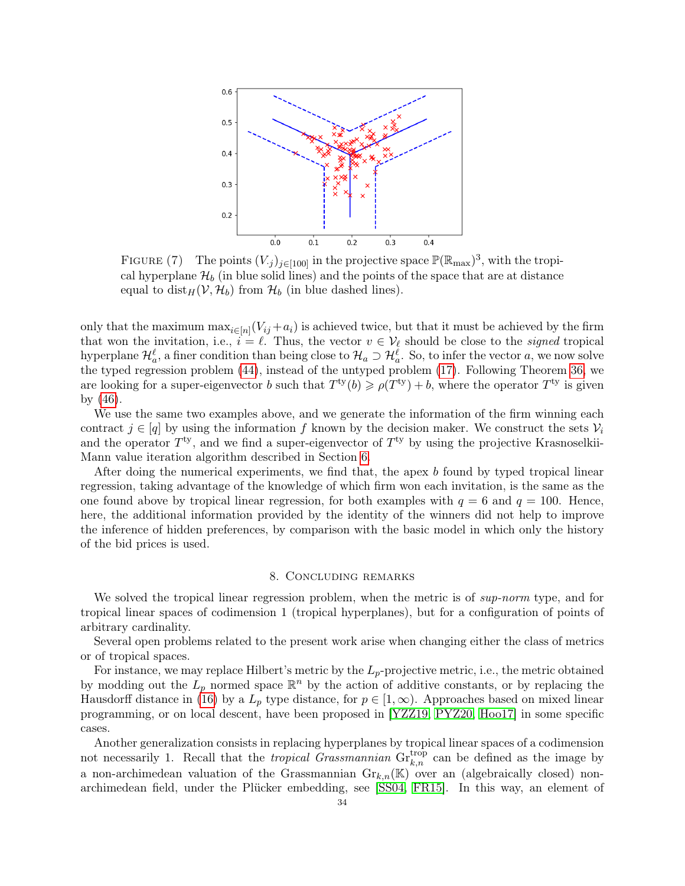<span id="page-33-0"></span>

FIGURE (7) The points  $(V_{.j})_{j\in[100]}$  in the projective space  $\mathbb{P}(\mathbb{R}_{\max})^3$ , with the tropical hyperplane  $\mathcal{H}_b$  (in blue solid lines) and the points of the space that are at distance equal to  $dist_H(V, \mathcal{H}_b)$  from  $\mathcal{H}_b$  (in blue dashed lines).

only that the maximum  $\max_{i \in [n]} (V_{ij} + a_i)$  is achieved twice, but that it must be achieved by the firm that won the invitation, i.e.,  $i = \ell$ . Thus, the vector  $v \in V_{\ell}$  should be close to the *signed* tropical hyperplane  $\mathcal{H}_a^{\ell}$ , a finer condition than being close to  $\mathcal{H}_a \supset \mathcal{H}_a^{\ell}$ . So, to infer the vector  $a$ , we now solve the typed regression problem [\(44\)](#page-25-3), instead of the untyped problem [\(17\)](#page-14-3). Following Theorem [36,](#page-25-5) we are looking for a super-eigenvector b such that  $T^{ty}(b) \geqslant \rho(T^{ty}) + b$ , where the operator  $T^{ty}$  is given by [\(46\)](#page-25-1).

We use the same two examples above, and we generate the information of the firm winning each contract  $j \in [q]$  by using the information f known by the decision maker. We construct the sets  $\mathcal{V}_i$ and the operator  $T<sup>ty</sup>$ , and we find a super-eigenvector of  $T<sup>ty</sup>$  by using the projective Krasnoselkii-Mann value iteration algorithm described in Section [6.](#page-27-0)

After doing the numerical experiments, we find that, the apex b found by typed tropical linear regression, taking advantage of the knowledge of which firm won each invitation, is the same as the one found above by tropical linear regression, for both examples with  $q = 6$  and  $q = 100$ . Hence, here, the additional information provided by the identity of the winners did not help to improve the inference of hidden preferences, by comparison with the basic model in which only the history of the bid prices is used.

# 8. Concluding remarks

We solved the tropical linear regression problem, when the metric is of sup-norm type, and for tropical linear spaces of codimension 1 (tropical hyperplanes), but for a configuration of points of arbitrary cardinality.

Several open problems related to the present work arise when changing either the class of metrics or of tropical spaces.

For instance, we may replace Hilbert's metric by the  $L_p$ -projective metric, i.e., the metric obtained by modding out the  $L_p$  normed space  $\mathbb{R}^n$  by the action of additive constants, or by replacing the Hausdorff distance in [\(16\)](#page-14-4) by a  $L_p$  type distance, for  $p \in [1,\infty)$ . Approaches based on mixed linear programming, or on local descent, have been proposed in [\[YZZ19,](#page-39-10) [PYZ20,](#page-39-28) [Hoo17\]](#page-39-29) in some specific cases.

Another generalization consists in replacing hyperplanes by tropical linear spaces of a codimension not necessarily 1. Recall that the *tropical Grassmannian*  $\operatorname{Gr}_{k,n}^{\text{trop}}$  can be defined as the image by a non-archimedean valuation of the Grassmannian  $\mathrm{Gr}_{k,n}(\mathbb{K})$  over an (algebraically closed) nonarchimedean field, under the Plücker embedding, see [\[SS04,](#page-39-0) [FR15\]](#page-38-0). In this way, an element of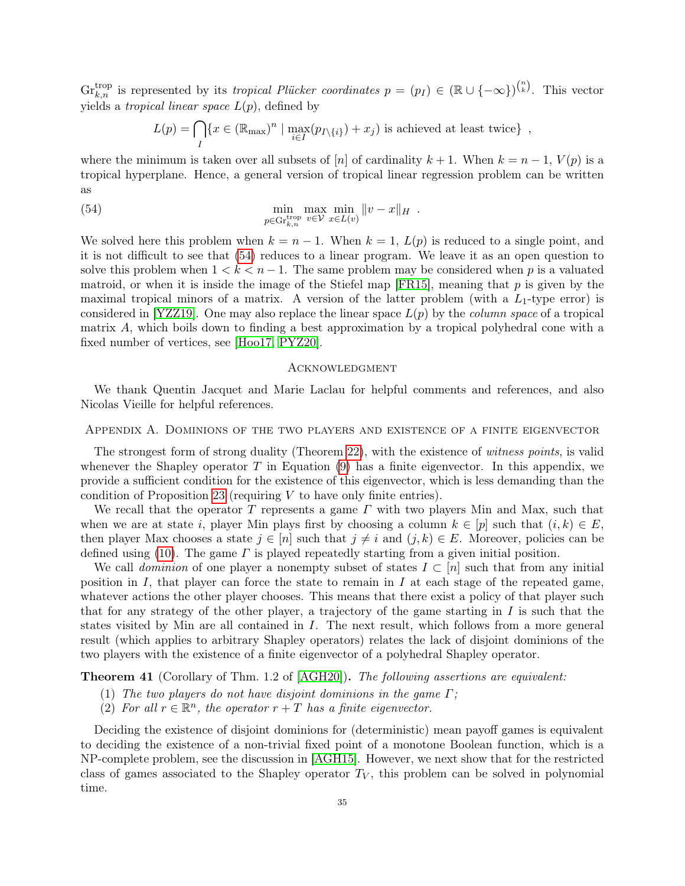$\mathrm{Gr}_{k,n}^{\text{trop}}$  is represented by its *tropical Plücker coordinates*  $p = (p_I) \in (\mathbb{R} \cup \{-\infty\})^{n \choose k}$ . This vector yields a *tropical linear space*  $L(p)$ , defined by

$$
L(p) = \bigcap_{I} \{x \in (\mathbb{R}_{\text{max}})^n \mid \max_{i \in I} (p_{I \setminus \{i\}}) + x_j) \text{ is achieved at least twice}\},\
$$

where the minimum is taken over all subsets of [n] of cardinality  $k + 1$ . When  $k = n - 1$ ,  $V(p)$  is a tropical hyperplane. Hence, a general version of tropical linear regression problem can be written as

<span id="page-34-2"></span>(54) 
$$
\min_{p \in \text{Gr}_{k,n}^{\text{trop}}} \max_{v \in \mathcal{V}} \min_{x \in L(v)} ||v - x||_H.
$$

We solved here this problem when  $k = n - 1$ . When  $k = 1$ ,  $L(p)$  is reduced to a single point, and it is not difficult to see that [\(54\)](#page-34-2) reduces to a linear program. We leave it as an open question to solve this problem when  $1 < k < n - 1$ . The same problem may be considered when p is a valuated matroid, or when it is inside the image of the Stiefel map  $[FR15]$ , meaning that p is given by the maximal tropical minors of a matrix. A version of the latter problem (with a  $L_1$ -type error) is considered in [\[YZZ19\]](#page-39-10). One may also replace the linear space  $L(p)$  by the *column space* of a tropical matrix A, which boils down to finding a best approximation by a tropical polyhedral cone with a fixed number of vertices, see [\[Hoo17,](#page-39-29) [PYZ20\]](#page-39-28).

# **ACKNOWLEDGMENT**

We thank Quentin Jacquet and Marie Laclau for helpful comments and references, and also Nicolas Vieille for helpful references.

### <span id="page-34-0"></span>Appendix A. Dominions of the two players and existence of a finite eigenvector

The strongest form of strong duality (Theorem [22\)](#page-17-2), with the existence of witness points, is valid whenever the Shapley operator T in Equation  $(9)$  has a finite eigenvector. In this appendix, we provide a sufficient condition for the existence of this eigenvector, which is less demanding than the condition of Proposition [23](#page-18-2) (requiring  $V$  to have only finite entries).

We recall that the operator T represents a game  $\Gamma$  with two players Min and Max, such that when we are at state i, player Min plays first by choosing a column  $k \in [p]$  such that  $(i, k) \in E$ , then player Max chooses a state  $j \in [n]$  such that  $j \neq i$  and  $(j, k) \in E$ . Moreover, policies can be defined using [\(10\)](#page-8-4). The game  $\Gamma$  is played repeatedly starting from a given initial position.

We call dominion of one player a nonempty subset of states  $I \subset [n]$  such that from any initial position in  $I$ , that player can force the state to remain in  $I$  at each stage of the repeated game, whatever actions the other player chooses. This means that there exist a policy of that player such that for any strategy of the other player, a trajectory of the game starting in  $I$  is such that the states visited by Min are all contained in I. The next result, which follows from a more general result (which applies to arbitrary Shapley operators) relates the lack of disjoint dominions of the two players with the existence of a finite eigenvector of a polyhedral Shapley operator.

<span id="page-34-1"></span>Theorem 41 (Corollary of Thm. 1.2 of [\[AGH20\]](#page-37-3)). The following assertions are equivalent:

- (1) The two players do not have disjoint dominions in the game  $\Gamma$ ;
- (2) For all  $r \in \mathbb{R}^n$ , the operator  $r + T$  has a finite eigenvector.

Deciding the existence of disjoint dominions for (deterministic) mean payoff games is equivalent to deciding the existence of a non-trivial fixed point of a monotone Boolean function, which is a NP-complete problem, see the discussion in [\[AGH15\]](#page-37-4). However, we next show that for the restricted class of games associated to the Shapley operator  $T_V$ , this problem can be solved in polynomial time.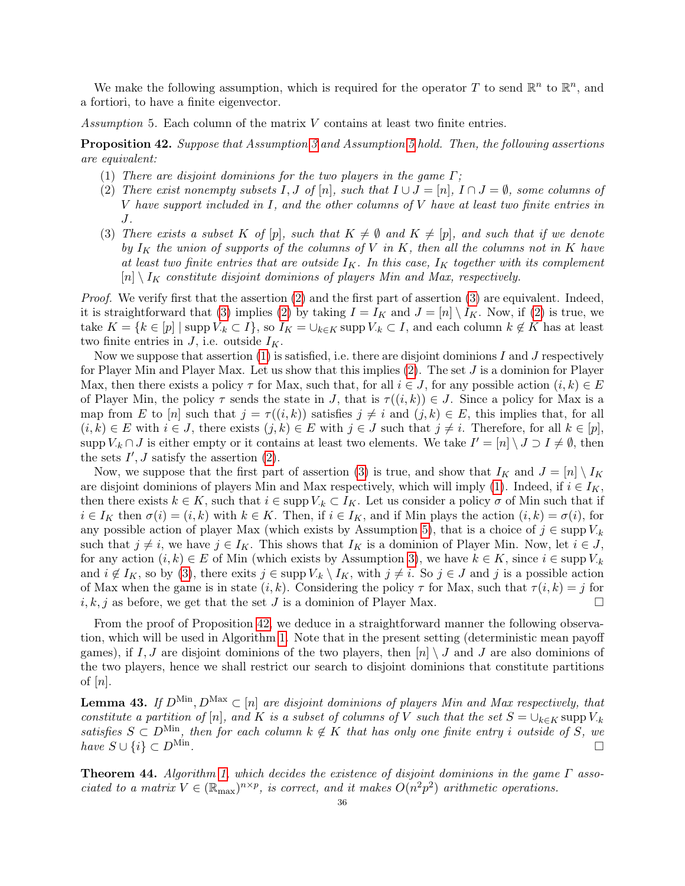We make the following assumption, which is required for the operator T to send  $\mathbb{R}^n$  to  $\mathbb{R}^n$ , and a fortiori, to have a finite eigenvector.

<span id="page-35-0"></span>Assumption 5. Each column of the matrix V contains at least two finite entries.

<span id="page-35-4"></span>Proposition 42. Suppose that Assumption [3](#page-8-1) and Assumption [5](#page-35-0) hold. Then, the following assertions are equivalent:

- <span id="page-35-3"></span>(1) There are disjoint dominions for the two players in the game  $\Gamma$ ;
- <span id="page-35-1"></span>(2) There exist nonempty subsets I, J of [n], such that  $I \cup J = [n]$ ,  $I \cap J = \emptyset$ , some columns of V have support included in I, and the other columns of V have at least two finite entries in J.
- <span id="page-35-2"></span>(3) There exists a subset K of  $[p]$ , such that  $K \neq \emptyset$  and  $K \neq [p]$ , and such that if we denote by  $I_K$  the union of supports of the columns of V in K, then all the columns not in K have at least two finite entries that are outside  $I_K$ . In this case,  $I_K$  together with its complement  $[n] \setminus I_K$  constitute disjoint dominions of players Min and Max, respectively.

Proof. We verify first that the assertion [\(2\)](#page-35-1) and the first part of assertion [\(3\)](#page-35-2) are equivalent. Indeed, it is straightforward that [\(3\)](#page-35-2) implies [\(2\)](#page-35-1) by taking  $I = I_K$  and  $J = [n] \setminus I_K$ . Now, if (2) is true, we take  $K = \{k \in [p] \mid \text{supp } V_{\cdot k} \subset I\}$ , so  $I_K = \bigcup_{k \in K} \text{supp } V_{\cdot k} \subset I$ , and each column  $k \notin K$  has at least two finite entries in  $J$ , i.e. outside  $I_K$ .

Now we suppose that assertion  $(1)$  is satisfied, i.e. there are disjoint dominions I and J respectively for Player Min and Player Max. Let us show that this implies  $(2)$ . The set  $J$  is a dominion for Player Max, then there exists a policy  $\tau$  for Max, such that, for all  $i \in J$ , for any possible action  $(i, k) \in E$ of Player Min, the policy  $\tau$  sends the state in J, that is  $\tau((i,k)) \in J$ . Since a policy for Max is a map from E to [n] such that  $j = \tau((i, k))$  satisfies  $j \neq i$  and  $(j, k) \in E$ , this implies that, for all  $(i, k) \in E$  with  $i \in J$ , there exists  $(j, k) \in E$  with  $j \in J$  such that  $j \neq i$ . Therefore, for all  $k \in [p]$ , supp  $V_{k} \cap J$  is either empty or it contains at least two elements. We take  $I' = [n] \setminus J \supset I \neq \emptyset$ , then the sets  $I', J$  satisfy the assertion  $(2)$ .

Now, we suppose that the first part of assertion [\(3\)](#page-35-2) is true, and show that  $I_K$  and  $J = [n] \setminus I_K$ are disjoint dominions of players Min and Max respectively, which will imply [\(1\)](#page-35-3). Indeed, if  $i \in I_K$ , then there exists  $k \in K$ , such that  $i \in \text{supp } V_k \subset I_K$ . Let us consider a policy  $\sigma$  of Min such that if  $i \in I_K$  then  $\sigma(i) = (i, k)$  with  $k \in K$ . Then, if  $i \in I_K$ , and if Min plays the action  $(i, k) = \sigma(i)$ , for any possible action of player Max (which exists by Assumption [5\)](#page-35-0), that is a choice of  $j \in \text{supp } V_{.k}$ such that  $j \neq i$ , we have  $j \in I_K$ . This shows that  $I_K$  is a dominion of Player Min. Now, let  $i \in J$ , for any action  $(i, k) \in E$  of Min (which exists by Assumption [3\)](#page-8-1), we have  $k \in K$ , since  $i \in \text{supp } V_{\cdot k}$ and  $i \notin I_K$ , so by [\(3\)](#page-35-2), there exits  $j \in \text{supp } V_k \setminus I_K$ , with  $j \neq i$ . So  $j \in J$  and j is a possible action of Max when the game is in state  $(i, k)$ . Considering the policy  $\tau$  for Max, such that  $\tau(i, k) = j$  for  $i, k, j$  as before, we get that the set J is a dominion of Player Max.

From the proof of Proposition [42,](#page-35-4) we deduce in a straightforward manner the following observation, which will be used in Algorithm [1.](#page-36-0) Note that in the present setting (deterministic mean payoff games), if I, J are disjoint dominions of the two players, then  $[n] \setminus J$  and J are also dominions of the two players, hence we shall restrict our search to disjoint dominions that constitute partitions of  $[n]$ .

<span id="page-35-5"></span>**Lemma 43.** If  $D^{\text{Min}}, D^{\text{Max}} \subset [n]$  are disjoint dominions of players Min and Max respectively, that constitute a partition of [n], and K is a subset of columns of V such that the set  $S = \bigcup_{k \in K}$  supp  $V_k$ satisfies  $S \subset D^{\text{Min}}$ , then for each column  $k \notin K$  that has only one finite entry i outside of S, we have  $S \cup \{i\} \subset D^{\text{Min}}$ . . In the contract of the contract of the contract of the contract of the contract of the contract of the contract of

**Theorem 44.** Algorithm [1,](#page-36-0) which decides the existence of disjoint dominions in the game  $\Gamma$  associated to a matrix  $V \in (\mathbb{R}_{max})^{n \times p}$ , is correct, and it makes  $O(n^2p^2)$  arithmetic operations.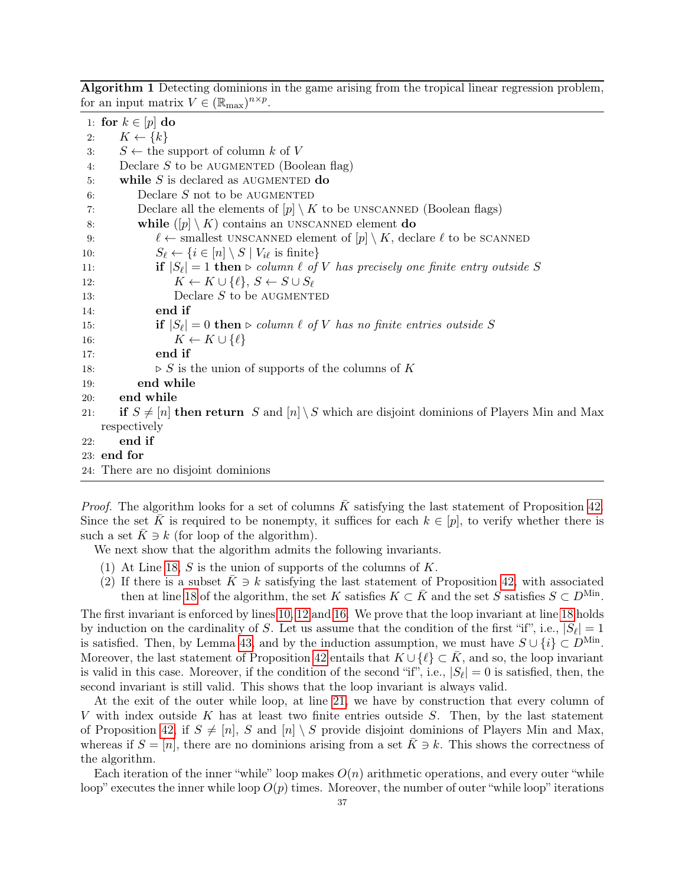<span id="page-36-0"></span>Algorithm 1 Detecting dominions in the game arising from the tropical linear regression problem, for an input matrix  $V \in (\mathbb{R}_{\text{max}})^{n \times p}$ .

1: for  $k \in [p]$  do 2:  $K \leftarrow \{k\}$ 3:  $S \leftarrow$  the support of column k of V 4: Declare  $S$  to be AUGMENTED (Boolean flag) 5: while  $S$  is declared as AUGMENTED do 6: Declare  $S$  not to be AUGMENTED 7: Declare all the elements of  $[p] \setminus K$  to be UNSCANNED (Boolean flags) 8: while  $([p] \setminus K)$  contains an UNSCANNED element do 9:  $\ell \leftarrow$  smallest UNSCANNED element of  $[p] \setminus K$ , declare  $\ell$  to be SCANNED 10:  $S_{\ell} \leftarrow \{i \in [n] \setminus S \mid V_{i\ell} \text{ is finite}\}\$ 11: **if**  $|S_\ell| = 1$  then  $\triangleright$  column  $\ell$  of  $V$  has precisely one finite entry outside S 12:  $K \leftarrow K \cup \{\ell\}, S \leftarrow S \cup S_{\ell}$ 13: Declare S to be AUGMENTED 14: end if 15: **if**  $|S_{\ell}| = 0$  **then**  $\triangleright$  column  $\ell$  of  $V$  has no finite entries outside  $S$ 16:  $K \leftarrow K \cup \{\ell\}$ 17: end if 18:  $\triangleright S$  is the union of supports of the columns of K 19: end while 20: end while 21: if  $S \neq [n]$  then return S and  $[n] \setminus S$  which are disjoint dominions of Players Min and Max respectively 22: end if 23: end for 24: There are no disjoint dominions

*Proof.* The algorithm looks for a set of columns  $\overline{K}$  satisfying the last statement of Proposition [42.](#page-35-4) Since the set K is required to be nonempty, it suffices for each  $k \in [p]$ , to verify whether there is such a set  $K \ni k$  (for loop of the algorithm).

We next show that the algorithm admits the following invariants.

- (1) At Line [18,](#page-35-5) S is the union of supports of the columns of  $K$ .
- (2) If there is a subset  $K \ni k$  satisfying the last statement of Proposition [42,](#page-35-4) with associated then at line [18](#page-35-5) of the algorithm, the set K satisfies  $K \subset \overline{K}$  and the set S satisfies  $S \subset D^{\text{Min}}$ .

The first invariant is enforced by lines [10, 12](#page-35-5) and [16.](#page-35-5) We prove that the loop invariant at line [18](#page-35-5) holds by induction on the cardinality of S. Let us assume that the condition of the first "if", i.e.,  $|S_{\ell}| = 1$ is satisfied. Then, by Lemma [43,](#page-35-5) and by the induction assumption, we must have  $S \cup \{i\} \subset D^{\text{Min}}$ . Moreover, the last statement of Proposition [42](#page-35-4) entails that  $K \cup \{l\} \subset \overline{K}$ , and so, the loop invariant is valid in this case. Moreover, if the condition of the second "if", i.e.,  $|S_{\ell}| = 0$  is satisfied, then, the second invariant is still valid. This shows that the loop invariant is always valid.

At the exit of the outer while loop, at line [21,](#page-35-5) we have by construction that every column of V with index outside K has at least two finite entries outside S. Then, by the last statement of Proposition [42,](#page-35-4) if  $S \neq [n], S$  and  $[n] \setminus S$  provide disjoint dominions of Players Min and Max, whereas if  $S = [n]$ , there are no dominions arising from a set  $K \ni k$ . This shows the correctness of the algorithm.

Each iteration of the inner "while" loop makes  $O(n)$  arithmetic operations, and every outer "while" loop" executes the inner while loop  $O(p)$  times. Moreover, the number of outer "while loop" iterations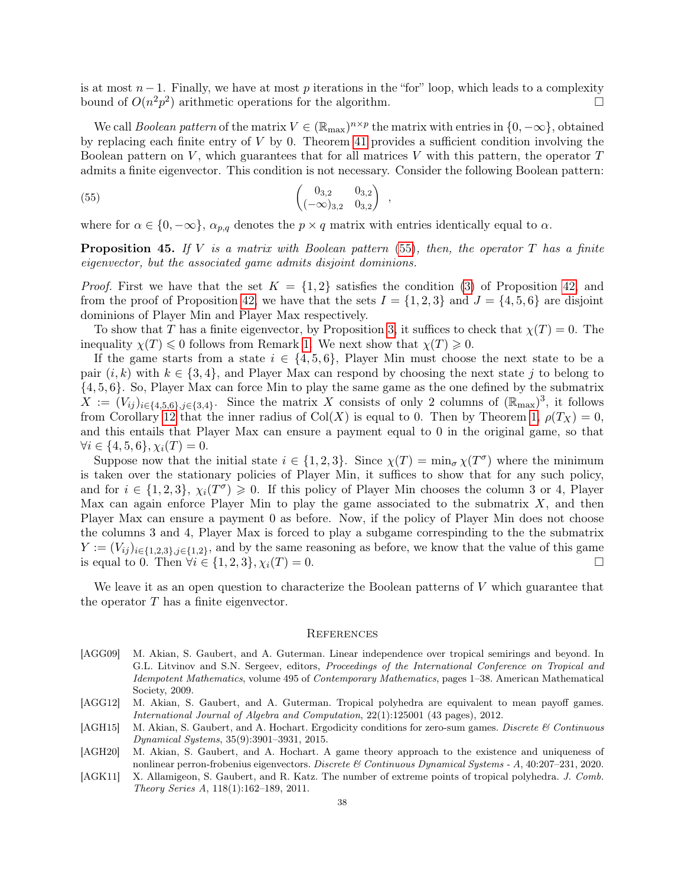is at most  $n-1$ . Finally, we have at most p iterations in the "for" loop, which leads to a complexity bound of  $O(n^2p^2)$  arithmetic operations for the algorithm.

We call *Boolean pattern* of the matrix  $V \in (\mathbb{R}_{max})^{n \times p}$  the matrix with entries in  $\{0, -\infty\}$ , obtained by replacing each finite entry of  $V$  by 0. Theorem [41](#page-34-1) provides a sufficient condition involving the Boolean pattern on V, which guarantees that for all matrices V with this pattern, the operator  $T$ admits a finite eigenvector. This condition is not necessary. Consider the following Boolean pattern:

<span id="page-37-5"></span>(55) 
$$
\begin{pmatrix} 0_{3,2} & 0_{3,2} \\ (-\infty)_{3,2} & 0_{3,2} \end{pmatrix} ,
$$

where for  $\alpha \in \{0, -\infty\}, \alpha_{p,q}$  denotes the  $p \times q$  matrix with entries identically equal to  $\alpha$ .

**Proposition 45.** If V is a matrix with Boolean pattern  $(55)$ , then, the operator T has a finite eigenvector, but the associated game admits disjoint dominions.

*Proof.* First we have that the set  $K = \{1,2\}$  satisfies the condition [\(3\)](#page-35-2) of Proposition [42,](#page-35-4) and from the proof of Proposition [42,](#page-35-4) we have that the sets  $I = \{1, 2, 3\}$  and  $J = \{4, 5, 6\}$  are disjoint dominions of Player Min and Player Max respectively.

To show that T has a finite eigenvector, by Proposition [3,](#page-7-4) it suffices to check that  $\chi(T) = 0$ . The inequality  $\chi(T) \leq 0$  follows from Remark [1.](#page-8-5) We next show that  $\chi(T) \geq 0$ .

If the game starts from a state  $i \in \{4, 5, 6\}$ , Player Min must choose the next state to be a pair  $(i, k)$  with  $k \in \{3, 4\}$ , and Player Max can respond by choosing the next state j to belong to {4, 5, 6}. So, Player Max can force Min to play the same game as the one defined by the submatrix  $X := (V_{ij})_{i \in \{4,5,6\}, j \in \{3,4\}}$ . Since the matrix X consists of only 2 columns of  $(\mathbb{R}_{\text{max}})^3$ , it follows from Corollary [12](#page-12-3) that the inner radius of Col(X) is equal to 0. Then by Theorem [1,](#page-7-1)  $\rho(T_X) = 0$ , and this entails that Player Max can ensure a payment equal to 0 in the original game, so that  $\forall i \in \{4, 5, 6\}, \chi_i(T) = 0.$ 

Suppose now that the initial state  $i \in \{1,2,3\}$ . Since  $\chi(T) = \min_{\sigma} \chi(T^{\sigma})$  where the minimum is taken over the stationary policies of Player Min, it suffices to show that for any such policy, and for  $i \in \{1,2,3\}, \chi_i(T^{\sigma}) \geq 0$ . If this policy of Player Min chooses the column 3 or 4, Player Max can again enforce Player Min to play the game associated to the submatrix  $X$ , and then Player Max can ensure a payment 0 as before. Now, if the policy of Player Min does not choose the columns 3 and 4, Player Max is forced to play a subgame correspinding to the the submatrix  $Y := (V_{ij})_{i \in \{1,2,3\}, j \in \{1,2\}}$ , and by the same reasoning as before, we know that the value of this game is equal to 0. Then  $\forall i \in \{1, 2, 3\}, \chi_i(T) = 0.$  □

We leave it as an open question to characterize the Boolean patterns of  $V$  which guarantee that the operator  $T$  has a finite eigenvector.

#### **REFERENCES**

- <span id="page-37-2"></span>[AGG09] M. Akian, S. Gaubert, and A. Guterman. Linear independence over tropical semirings and beyond. In G.L. Litvinov and S.N. Sergeev, editors, *Proceedings of the International Conference on Tropical and* Idempotent Mathematics, volume 495 of Contemporary Mathematics, pages 1–38. American Mathematical Society, 2009.
- <span id="page-37-0"></span>[AGG12] M. Akian, S. Gaubert, and A. Guterman. Tropical polyhedra are equivalent to mean payoff games. International Journal of Algebra and Computation, 22(1):125001 (43 pages), 2012.
- <span id="page-37-4"></span>[AGH15] M. Akian, S. Gaubert, and A. Hochart. Ergodicity conditions for zero-sum games. Discrete  $\&$  Continuous Dynamical Systems, 35(9):3901–3931, 2015.
- <span id="page-37-3"></span>[AGH20] M. Akian, S. Gaubert, and A. Hochart. A game theory approach to the existence and uniqueness of nonlinear perron-frobenius eigenvectors. Discrete & Continuous Dynamical Systems - A, 40:207–231, 2020.
- <span id="page-37-1"></span>[AGK11] X. Allamigeon, S. Gaubert, and R. Katz. The number of extreme points of tropical polyhedra. J. Comb. Theory Series A, 118(1):162–189, 2011.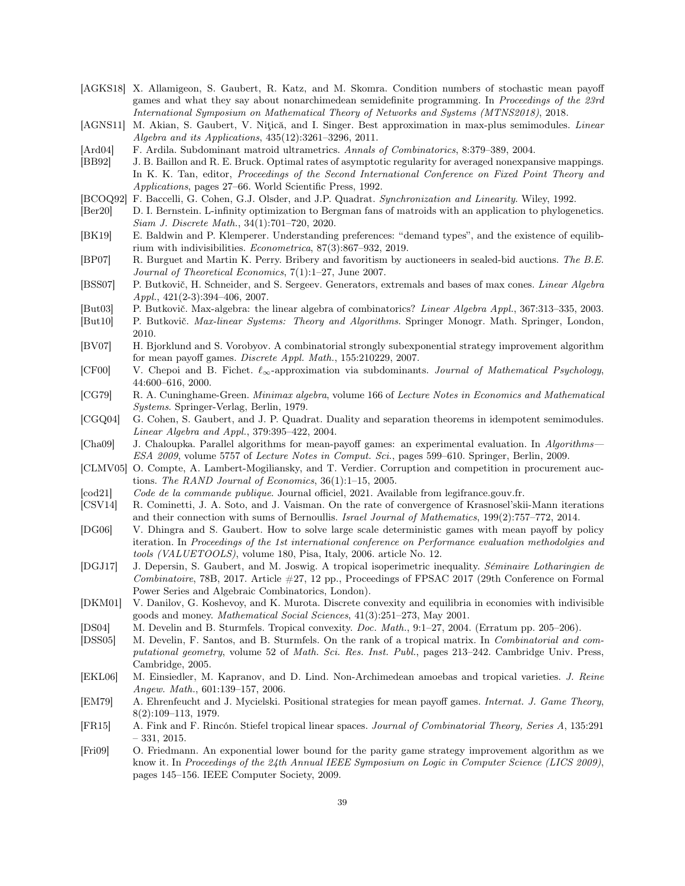- <span id="page-38-19"></span>[AGKS18] X. Allamigeon, S. Gaubert, R. Katz, and M. Skomra. Condition numbers of stochastic mean payoff games and what they say about nonarchimedean semidefinite programming. In Proceedings of the 23rd International Symposium on Mathematical Theory of Networks and Systems (MTNS2018), 2018.
- <span id="page-38-10"></span>[AGNS11] M. Akian, S. Gaubert, V. Nițică, and I. Singer. Best approximation in max-plus semimodules. Linear Algebra and its Applications, 435(12):3261–3296, 2011.
- <span id="page-38-13"></span>[Ard04] F. Ardila. Subdominant matroid ultrametrics. Annals of Combinatorics, 8:379–389, 2004.
- <span id="page-38-25"></span>[BB92] J. B. Baillon and R. E. Bruck. Optimal rates of asymptotic regularity for averaged nonexpansive mappings. In K. K. Tan, editor, *Proceedings of the Second International Conference on Fixed Point Theory and* Applications, pages 27–66. World Scientific Press, 1992.
- <span id="page-38-20"></span>[BCOQ92] F. Baccelli, G. Cohen, G.J. Olsder, and J.P. Quadrat. Synchronization and Linearity. Wiley, 1992.
- <span id="page-38-12"></span>[Ber20] D. I. Bernstein. L-infinity optimization to Bergman fans of matroids with an application to phylogenetics. Siam J. Discrete Math., 34(1):701–720, 2020.
- <span id="page-38-4"></span>[BK19] E. Baldwin and P. Klemperer. Understanding preferences: "demand types", and the existence of equilibrium with indivisibilities. Econometrica, 87(3):867–932, 2019.
- <span id="page-38-18"></span>[BP07] R. Burguet and Martin K. Perry. Bribery and favoritism by auctioneers in sealed-bid auctions. The B.E. Journal of Theoretical Economics, 7(1):1–27, June 2007.
- <span id="page-38-22"></span>[BSS07] P. Butkovič, H. Schneider, and S. Sergeev. Generators, extremals and bases of max cones. Linear Algebra Appl., 421(2-3):394–406, 2007.
- <span id="page-38-23"></span>[But03] P. Butkovič. Max-algebra: the linear algebra of combinatorics? Linear Algebra Appl., 367:313–335, 2003.
- <span id="page-38-14"></span>[But10] P. Butkovič. Max-linear Systems: Theory and Algorithms. Springer Monogr. Math. Springer, London, 2010.
- <span id="page-38-6"></span>[BV07] H. Bjorklund and S. Vorobyov. A combinatorial strongly subexponential strategy improvement algorithm for mean payoff games. Discrete Appl. Math., 155:210229, 2007.
- <span id="page-38-11"></span>[CF00] V. Chepoi and B. Fichet.  $\ell_{\infty}$ -approximation via subdominants. Journal of Mathematical Psychology, 44:600–616, 2000.
- <span id="page-38-24"></span>[CG79] R. A. Cuninghame-Green. Minimax algebra, volume 166 of Lecture Notes in Economics and Mathematical Systems. Springer-Verlag, Berlin, 1979.
- <span id="page-38-2"></span>[CGQ04] G. Cohen, S. Gaubert, and J. P. Quadrat. Duality and separation theorems in idempotent semimodules. Linear Algebra and Appl., 379:395–422, 2004.
- <span id="page-38-8"></span>[Cha09] J. Chaloupka. Parallel algorithms for mean-payoff games: an experimental evaluation. In Algorithms— ESA 2009, volume 5757 of Lecture Notes in Comput. Sci., pages 599–610. Springer, Berlin, 2009.
- <span id="page-38-17"></span>[CLMV05] O. Compte, A. Lambert-Mogiliansky, and T. Verdier. Corruption and competition in procurement auctions. The RAND Journal of Economics, 36(1):1–15, 2005.
- <span id="page-38-27"></span>[cod21] Code de la commande publique. Journal officiel, 2021. Available from legifrance.gouv.fr.
- <span id="page-38-26"></span>[CSV14] R. Cominetti, J. A. Soto, and J. Vaisman. On the rate of convergence of Krasnosel'skii-Mann iterations and their connection with sums of Bernoullis. Israel Journal of Mathematics, 199(2):757-772, 2014.
- <span id="page-38-7"></span>[DG06] V. Dhingra and S. Gaubert. How to solve large scale deterministic games with mean payoff by policy iteration. In Proceedings of the 1st international conference on Performance evaluation methodolgies and tools (VALUETOOLS), volume 180, Pisa, Italy, 2006. article No. 12.
- <span id="page-38-15"></span>[DGJ17] J. Depersin, S. Gaubert, and M. Joswig. A tropical isoperimetric inequality. Séminaire Lotharingien de Combinatoire, 78B, 2017. Article #27, 12 pp., Proceedings of FPSAC 2017 (29th Conference on Formal Power Series and Algebraic Combinatorics, London).
- <span id="page-38-16"></span>[DKM01] V. Danilov, G. Koshevoy, and K. Murota. Discrete convexity and equilibria in economies with indivisible goods and money. Mathematical Social Sciences, 41(3):251–273, May 2001.
- <span id="page-38-3"></span>[DS04] M. Develin and B. Sturmfels. Tropical convexity. Doc. Math., 9:1–27, 2004. (Erratum pp. 205–206).
- <span id="page-38-21"></span>[DSS05] M. Develin, F. Santos, and B. Sturmfels. On the rank of a tropical matrix. In Combinatorial and computational geometry, volume 52 of Math. Sci. Res. Inst. Publ., pages 213–242. Cambridge Univ. Press, Cambridge, 2005.
- <span id="page-38-1"></span>[EKL06] M. Einsiedler, M. Kapranov, and D. Lind. Non-Archimedean amoebas and tropical varieties. J. Reine Angew. Math., 601:139–157, 2006.
- <span id="page-38-5"></span>[EM79] A. Ehrenfeucht and J. Mycielski. Positional strategies for mean payoff games. Internat. J. Game Theory, 8(2):109–113, 1979.
- <span id="page-38-0"></span>[FR15] A. Fink and F. Rincón. Stiefel tropical linear spaces. Journal of Combinatorial Theory, Series A, 135:291 – 331, 2015.
- <span id="page-38-9"></span>[Fri09] O. Friedmann. An exponential lower bound for the parity game strategy improvement algorithm as we know it. In Proceedings of the 24th Annual IEEE Symposium on Logic in Computer Science (LICS 2009), pages 145–156. IEEE Computer Society, 2009.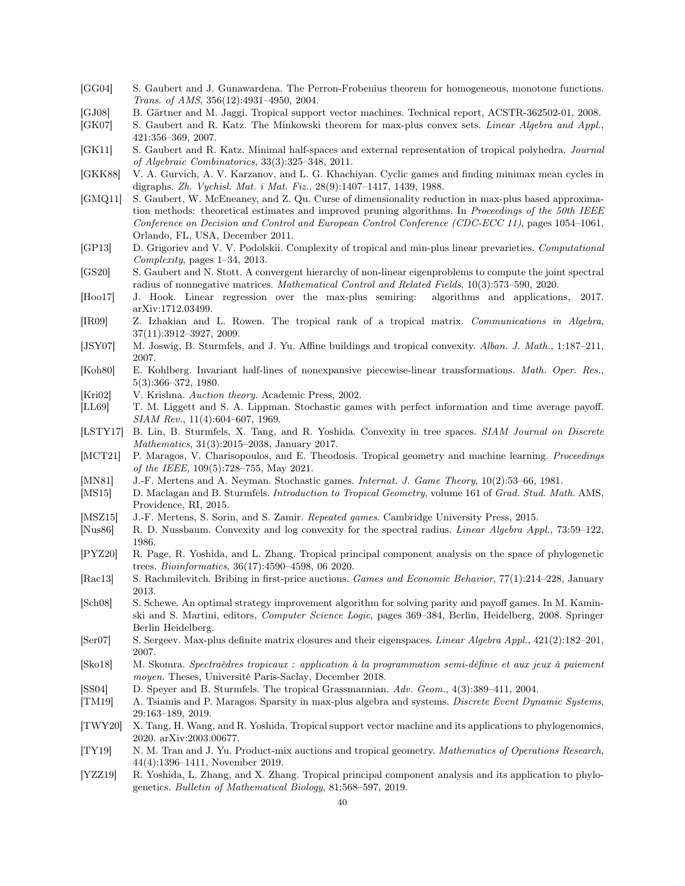- <span id="page-39-22"></span>[GG04] S. Gaubert and J. Gunawardena. The Perron-Frobenius theorem for homogeneous, monotone functions. Trans. of AMS, 356(12):4931–4950, 2004.
- <span id="page-39-5"></span>[GJ08] B. Gärtner and M. Jaggi. Tropical support vector machines. Technical report, ACSTR-362502-01, 2008.
- <span id="page-39-24"></span>[GK07] S. Gaubert and R. Katz. The Minkowski theorem for max-plus convex sets. Linear Algebra and Appl., 421:356–369, 2007.
- <span id="page-39-17"></span>[GK11] S. Gaubert and R. Katz. Minimal half-spaces and external representation of tropical polyhedra. Journal of Algebraic Combinatorics, 33(3):325–348, 2011.
- <span id="page-39-1"></span>[GKK88] V. A. Gurvich, A. V. Karzanov, and L. G. Khachiyan. Cyclic games and finding minimax mean cycles in digraphs. Zh. Vychisl. Mat. i Mat. Fiz., 28(9):1407–1417, 1439, 1988.
- <span id="page-39-8"></span>[GMQ11] S. Gaubert, W. McEneaney, and Z. Qu. Curse of dimensionality reduction in max-plus based approximation methods: theoretical estimates and improved pruning algorithms. In Proceedings of the 50th IEEE Conference on Decision and Control and European Control Conference (CDC-ECC 11), pages 1054–1061, Orlando, FL, USA, December 2011.
- <span id="page-39-13"></span>[GP13] D. Grigoriev and V. V. Podolskii. Complexity of tropical and min-plus linear prevarieties. Computational Complexity, pages 1–34, 2013.
- <span id="page-39-27"></span>[GS20] S. Gaubert and N. Stott. A convergent hierarchy of non-linear eigenproblems to compute the joint spectral radius of nonnegative matrices. Mathematical Control and Related Fields, 10(3):573–590, 2020.
- <span id="page-39-29"></span>[Hoo17] J. Hook. Linear regression over the max-plus semiring: algorithms and applications, 2017. arXiv:1712.03499.
- <span id="page-39-25"></span>[IR09] Z. Izhakian and L. Rowen. The tropical rank of a tropical matrix. Communications in Algebra, 37(11):3912–3927, 2009.
- <span id="page-39-4"></span>[JSY07] M. Joswig, B. Sturmfels, and J. Yu. Affine buildings and tropical convexity. Alban. J. Math., 1:187–211, 2007.
- <span id="page-39-19"></span>[Koh80] E. Kohlberg. Invariant half-lines of nonexpansive piecewise-linear transformations. Math. Oper. Res., 5(3):366–372, 1980.
- <span id="page-39-2"></span>[Kri02] V. Krishna. Auction theory. Academic Press, 2002.
- <span id="page-39-21"></span>[LL69] T. M. Liggett and S. A. Lippman. Stochastic games with perfect information and time average payoff. SIAM Rev., 11(4):604–607, 1969.
- <span id="page-39-3"></span>[LSTY17] B. Lin, B. Sturmfels, X. Tang, and R. Yoshida. Convexity in tree spaces. SIAM Journal on Discrete Mathematics, 31(3):2015–2038, January 2017.
- <span id="page-39-7"></span>[MCT21] P. Maragos, V. Charisopoulos, and E. Theodosis. Tropical geometry and machine learning. Proceedings of the IEEE, 109(5):728–755, May 2021.
- <span id="page-39-20"></span>[MN81] J.-F. Mertens and A. Neyman. Stochastic games. Internat. J. Game Theory, 10(2):53–66, 1981.
- <span id="page-39-16"></span>[MS15] D. Maclagan and B. Sturmfels. *Introduction to Tropical Geometry*, volume 161 of *Grad. Stud. Math.* AMS, Providence, RI, 2015.
- <span id="page-39-18"></span>[MSZ15] J.-F. Mertens, S. Sorin, and S. Zamir. Repeated games. Cambridge University Press, 2015.
- <span id="page-39-23"></span>[Nus86] R. D. Nussbaum. Convexity and log convexity for the spectral radius. Linear Algebra Appl., 73:59–122, 1986.
- <span id="page-39-28"></span>[PYZ20] R. Page, R. Yoshida, and L. Zhang. Tropical principal component analysis on the space of phylogenetic trees. Bioinformatics, 36(17):4590–4598, 06 2020.
- <span id="page-39-12"></span>[Rac13] S. Rachmilevitch. Bribing in first-price auctions. Games and Economic Behavior, 77(1):214–228, January 2013.
- <span id="page-39-26"></span>[Sch08] S. Schewe. An optimal strategy improvement algorithm for solving parity and payoff games. In M. Kaminski and S. Martini, editors, Computer Science Logic, pages 369–384, Berlin, Heidelberg, 2008. Springer Berlin Heidelberg.
- <span id="page-39-15"></span>[Ser07] S. Sergeev. Max-plus definite matrix closures and their eigenspaces. Linear Algebra Appl., 421(2):182–201, 2007.
- <span id="page-39-14"></span>[Sko18] M. Skomra. Spectraèdres tropicaux : application à la programmation semi-définie et aux jeux à paiement moyen. Theses, Université Paris-Saclay, December 2018.
- <span id="page-39-0"></span>[SS04] D. Speyer and B. Sturmfels. The tropical Grassmannian. Adv. Geom., 4(3):389–411, 2004.
- <span id="page-39-9"></span>[TM19] A. Tsiamis and P. Maragos. Sparsity in max-plus algebra and systems. Discrete Event Dynamic Systems, 29:163–189, 2019.
- <span id="page-39-6"></span>[TWY20] X. Tang, H. Wang, and R. Yoshida. Tropical support vector machine and its applications to phylogenomics, 2020. arXiv:2003.00677.
- <span id="page-39-11"></span>[TY19] N. M. Tran and J. Yu. Product-mix auctions and tropical geometry. Mathematics of Operations Research, 44(4):1396–1411, November 2019.
- <span id="page-39-10"></span>[YZZ19] R. Yoshida, L. Zhang, and X. Zhang. Tropical principal component analysis and its application to phylogenetics. Bulletin of Mathematical Biology, 81:568–597, 2019.